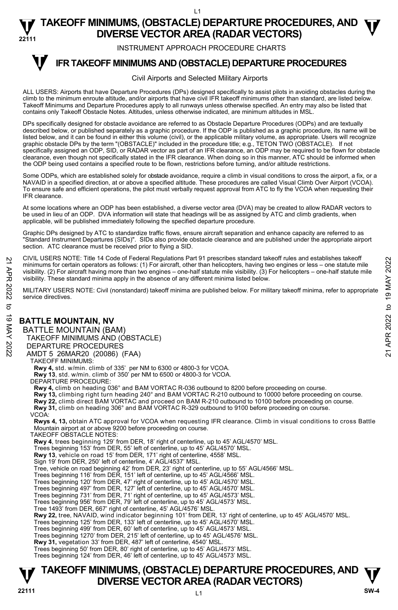INSTRUMENT APPROACH PROCEDURE CHARTS

#### **IFR TAKEOFF MINIMUMS AND (OBSTACLE) DEPARTURE PROCEDURES T**

#### Civil Airports and Selected Military Airports

ALL USERS: Airports that have Departure Procedures (DPs) designed specifically to assist pilots in avoiding obstacles during the climb to the minimum enroute altitude, and/or airports that have civil IFR takeoff minimums other than standard, are listed below. Takeoff Minimums and Departure Procedures apply to all runways unless otherwise specified. An entry may also be listed that contains only Takeoff Obstacle Notes. Altitudes, unless otherwise indicated, are minimum altitudes in MSL.

DPs specifically designed for obstacle avoidance are referred to as Obstacle Departure Procedures (ODPs) and are textually described below, or published separately as a graphic procedure. If the ODP is published as a graphic procedure, its name will be listed below, and it can be found in either this volume (civil), or the applicable military volume, as appropriate. Users will recognize graphic obstacle DPs by the term "(OBSTACLE)" included in the procedure title; e.g., TETON TWO (OBSTACLE). If not specifically assigned an ODP, SID, or RADAR vector as part of an IFR clearance, an ODP may be required to be flown for obstacle clearance, even though not specifically stated in the IFR clearance. When doing so in this manner, ATC should be informed when the ODP being used contains a specified route to be flown, restrictions before turning, and/or altitude restrictions.

Some ODPs, which are established solely for obstacle avoidance, require a climb in visual conditions to cross the airport, a fix, or a NAVAID in a specified direction, at or above a specified altitude. These procedures are called Visual Climb Over Airport (VCOA). To ensure safe and efficient operations, the pilot must verbally request approval from ATC to fly the VCOA when requesting their IFR clearance.

At some locations where an ODP has been established, a diverse vector area (DVA) may be created to allow RADAR vectors to<br>be used in lieu of an ODP. DVA information will state that headings will be as assigned by ATC and applicable, will be published immediately following the specified departure procedure.

Graphic DPs designed by ATC to standardize traffic flows, ensure aircraft separation and enhance capacity are referred to as "Standard Instrument Departures (SIDs)". SIDs also provide obstacle clearance and are published under the appropriate airport section. ATC clearance must be received prior to flying a SID.

CIVIL USERS NOTE: Title 14 Code of Federal Regulations Part 91 prescribes standard takeoff rules and establishes takeoff minimums for certain operators as follows: (1) For aircraft, other than helicopters, having two engines or less – one statute mile visibility. (2) For aircraft having more than two engines – one-half statute mile visibility. (3) For helicopters – one-half statute mile visibility. These standard minima apply in the absence of any different minima listed below. 21 CIVIL USERS NOTE: Thire 14 Code or Federal regulations Part 91 prescinces standard takeoff minimums for certain operators as follows: (1) For aircraft, due than helicopters, having two engines or less – one statute mi

MILITARY USERS NOTE: Civil (nonstandard) takeoff minima are published below. For military takeoff minima, refer to appropriate service directives.

## **BATTLE MOUNTAIN, NV**

BATTLE MOUNTAIN (BAM) TAKEOFF MINIMUMS AND (OBSTACLE) DEPARTURE PROCEDURES AMDT 5 26MAR20 (20086) (FAA) TAKEOFF MINIMUMS:

**Rwy 4,** std. w/min. climb of 335' per NM to 6300 or 4800-3 for VCOA.

**Rwy 13**, std. w/min. climb of 350' per NM to 6500 or 4800-3 for VCOA.

DEPARTURE PROCEDURE:

**Rwy 4,** climb on heading 036° and BAM VORTAC R-036 outbound to 8200 before proceeding on course.

**Rwy 13,** climbing right turn heading 240° and BAM VORTAC R-210 outbound to 10000 before proceeding on course.

**Rwy 22,** climb direct BAM VORTAC and proceed on BAM R-210 outbound to 10100 before proceeding on course.

**Rwy 31,** climb on heading 306° and BAM VORTAC R-329 outbound to 9100 before proceeding on course.

VCOA:

**Rwys 4, 13,** obtain ATC approval for VCOA when requesting IFR clearance. Climb in visual conditions to cross Battle Mountain airport at or above 9200 before proceeding on course.

TAKEOFF OBSTACLE NOTES:

**Rwy 4**, trees beginning 129' from DER, 18' right of centerline, up to 45' AGL/4570' MSL.

Trees beginning 153' from DER, 55' left of centerline, up to 45' AGL/4570' MSL.

**Rwy 13**, vehicle on road 15' from DER, 171' right of centerline, 4558' MSL.

Sign 19' from DER, 250' left of centerline, 4' AGL/4537' MSL.

Tree, vehicle on road beginning 42' from DER, 23' right of centerline, up to 55' AGL/4566' MSL.

Trees beginning 116' from DER, 151' left of centerline, up to 45' AGL/4566' MSL.

Trees beginning 120' from DER, 47' right of centerline, up to 45' AGL/4570' MSL.

Trees beginning 497' from DER, 127' left of centerline, up to 45' AGL/4570' MSL.

Trees beginning 731' from DER, 71' right of centerline, up to 45' AGL/4573' MSL. Trees beginning 956' from DER, 79' left of centerline, up to 45' AGL/4573' MSL.

Tree 1493' from DER, 667' right of centerline, 45' AGL/4576' MSL.

**Rwy 22,** tree, NAVAID, wind indicator beginning 101' from DER, 13' right of centerline, up to 45' AGL/4570' MSL.

Trees beginning 125' from DER, 133' left of centerline, up to 45' AGL/4570' MSL.

Trees beginning 499' from DER, 60' left of centerline, up to 45' AGL/4573' MSL.

Trees beginning 1270' from DER, 215' left of centerline, up to 45' AGL/4576' MSL.

**Rwy 31,** vegetation 33' from DER, 487' left of centerline, 4540' MSL.

Trees beginning 50' from DER, 80' right of centerline, up to 45' AGL/4573' MSL. Trees beginning 124' from DER, 46' left of centerline, up to 45' AGL/4573' MSL.

## **TAKEOFF MINIMUMS, (OBSTACLE) DEPARTURE PROCEDURES, AND**  $\Psi$ **<br>DIVERSE VECTOR AREA (RADAR VECTORS) V** DIVERSE VECTOR AREA (RADAR VECTORS) W SW-4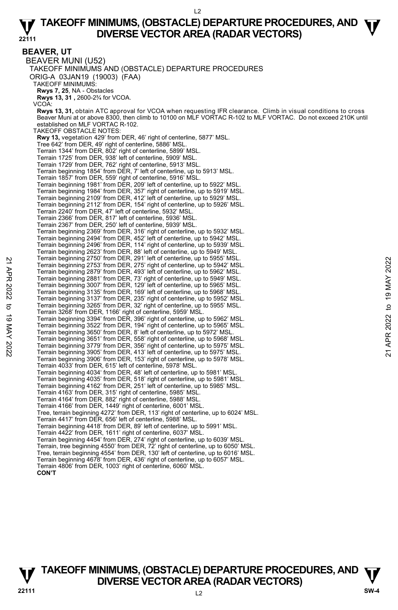**BEAVER, UT**  BEAVER MUNI (U52) TAKEOFF MINIMUMS AND (OBSTACLE) DEPARTURE PROCEDURES ORIG-A 03JAN19 (19003) (FAA) TAKEOFF MINIMUMS: **Rwys 7, 25**, NA - Obstacles **Rwys 13, 31 ,** 2600-2¾ for VCOA. VCOA: **Rwys 13, 31,** obtain ATC approval for VCOA when requesting IFR clearance. Climb in visual conditions to cross Beaver Muni at or above 8300, then climb to 10100 on MLF VORTAC R-102 to MLF VORTAC. Do not exceed 210K until established on MLF VORTAC R-102. TAKEOFF OBSTACLE NOTES: **Rwy 13,** vegetation 429' from DER, 46' right of centerline, 5877' MSL. Tree 642' from DER, 49' right of centerline, 5886' MSL. Terrain 1344' from DER, 802' right of centerline, 5899' MSL. Terrain 1725' from DER, 938' left of centerline, 5909' MSL. Terrain 1729' from DER, 762' right of centerline, 5913' MSL. Terrain beginning 1854' from DER, 7' left of centerline, up to 5913' MSL. Terrain 1857' from DER, 559' right of centerline, 5916' MSL. Terrain beginning 1981' from DER, 209' left of centerline, up to 5922' MSL.<br>Terrain beginning 1984' from DER, 357' right of centerline, up to 5919' MSL.<br>Terrain beginning 2109' from DER, 412' left of centerline, up to 5929 Terrain beginning 2112' from DER, 154' right of centerline, up to 5926' MSL. Terrain 2240' from DER, 47' left of centerline, 5932' MSL. Terrain 2366' from DER, 817' left of centerline, 5936' MSL. Terrain 2367' from DER, 250' left of centerline, 5939' MSL. Terrain beginning 2369' from DER, 316' right of centerline, up to 5932' MSL. Terrain beginning 2494' from DER, 452' left of centerline, up to 5942' MSL. Terrain beginning 2496' from DER, 114' right of centerline, up to 5939' MSL. Terrain beginning 2623' from DER, 88' left of centerline, up to 5949' MSL. Terrain beginning 2750' from DER, 291' left of centerline, up to 5955' MSL. Terrain beginning 2753' from DER, 275' right of centerline, up to 5942' MSL. Terrain beginning 2879' from DER, 493' left of centerline, up to 5962' MSL. Terrain beginning 2881' from DER, 73' right of centerline, up to 5949' MSL. Terrain beginning 3007' from DER, 129' left of centerline, up to 5965' MSL. Terrain beginning 3135' from DER, 169' left of centerline, up to 5968' MSL. Terrain beginning 3137' from DER, 235' right of centerline, up to 5952' MSL. Terrain beginning 3265' from DER, 32' right of centerline, up to 5955' MSL. Terrain 3268' from DER, 1166' right of centerline, 5959' MSL. Terrain beginning 3394' from DER, 396' right of centerline, up to 5962' MSL. Terrain beginning 3522' from DER, 194' right of centerline, up to 5965' MSL. Terrain beginning 3650' from DER, 8' left of centerline, up to 5972' MSL. Terrain beginning 3651' from DER, 558' right of centerline, up to 5968' MSL. Terrain beginning 3779' from DER, 356' right of centerline, up to 5975' MSL. Terrain beginning 3905' from DER, 413' left of centerline, up to 5975' MSL. Terrain beginning 3906' from DER, 153' right of centerline, up to 5978' MSL. Terrain 4033' from DER, 615' left of centerline, 5978' MSL. Terrain beginning 4034' from DER, 48' left of centerline, up to 5981' MSL. Terrain beginning 4035' from DER, 518' right of centerline, up to 5981' MSL. Terrain beginning 4162' from DER, 251' left of centerline, up to 5985' MSL. Terrain 4163' from DER, 315' right of centerline, 5985' MSL. Terrain 4164' from DER, 882' right of centerline, 5988' MSL. Terrain 4166' from DER, 1449' right of centerline, 6001' MSL. Tree, terrain beginning 4272' from DER, 113' right of centerline, up to 6024' MSL. Terrain 4417' from DER, 656' left of centerline, 5988' MSL. Terrain beginning 4418' from DER, 89' left of centerline, up to 5991' MSL. Terrain 4422' from DER, 1611' right of centerline, 6037' MSL. Terrain beginning 4454' from DER, 274' right of centerline, up to 6039' MSL. Terrain, tree beginning 4550' from DER, 72' right of centerline, up to 6050' MSL. Tree, terrain beginning 4554' from DER, 130' left of centerline, up to 6016' MSL. Terrain beginning 4678' from DER, 436' right of centerline, up to 6057' MSL. Terrain 4806' from DER, 1003' right of centerline, 6060' MSL. Ferrain beginning 2753' from DER, 29<sup>1'</sup> let of conterline, up to 5942' MSL.<br>
Terrain beginning 2879' from DER, 493' left of centerline, up to 5942' MSL.<br>
Terrain beginning 2879' from DER, 493' left of centerline, up to 5

**CON'T**

## $\overline{2}$ **TAKEOFF MINIMUMS, (OBSTACLE) DEPARTURE PROCEDURES, AND**  $\Psi$ **<br>DIVERSE VECTOR AREA (RADAR VECTORS) V** DIVERSE VECTOR AREA (RADAR VECTORS) V<br>22111 SW-4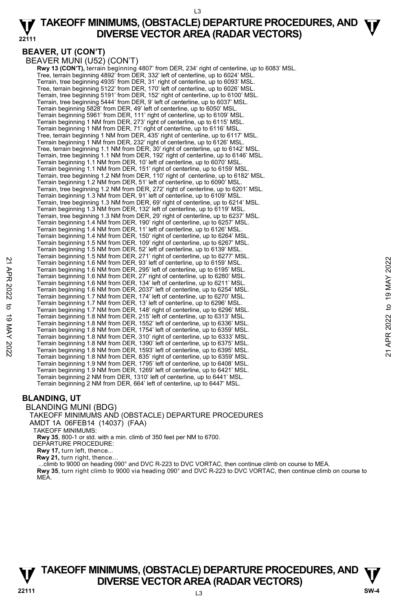## **BEAVER, UT (CON'T)**

BEAVER MUNI (U52) (CON'T)

 **Rwy 13 (CON'T),** terrain beginning 4807' from DER, 234' right of centerline, up to 6083' MSL. Tree, terrain beginning 4892' from DER, 332' left of centerline, up to 6024' MSL. Terrain, tree beginning 4935' from DER, 31' right of centerline, up to 6093' MSL.<br>Tree, terrain beginning 5122' from DER, 170' left of centerline, up to 6026' MSL.<br>Terrain, tree beginning 5191' from DER, 152' right of cent Terrain, tree beginning 5444' from DER, 9' left of centerline, up to 6037' MSL. Terrain beginning 5828' from DER, 49' left of centerline, up to 6050' MSL. Terrain beginning 5961' from DER, 111' right of centerline, up to 6109' MSL. Terrain beginning 1 NM from DER, 273' right of centerline, up to 6115' MSL. Terrain beginning 1 NM from DER, 71' right of centerline, up to 6116' MSL. Tree, terrain beginning 1 NM from DER, 435' right of centerline, up to 6117' MSL. Terrain beginning 1 NM from DER, 232' right of centerline, up to 6126' MSL. Tree, terrain beginning 1.1 NM from DER, 30' right of centerline, up to 6142' MSL. Terrain, tree beginning 1.1 NM from DER, 192' right of centerline, up to 6146' MSL. Terrain beginning 1.1 NM from DER, 10' left of centerline, up to 6070' MSL. Terrain beginning 1.1 NM from DER, 151' right of centerline, up to 6159' MSL. Terrain, tree beginning 1.2 NM from DER, 110' right of centerline, up to 6182' MSL. Terrain beginning 1.2 NM from DER, 51' left of centerline, up to 6090' MSL. Terrain, tree beginning 1.2 NM from DER, 272' right of centerline, up to 6201' MSL. Terrain beginning 1.3 NM from DER, 91' left of centerline, up to 6109' MSL. Terrain, tree beginning 1.3 NM from DER, 69' right of centerline, up to 6214' MSL. Terrain beginning 1.3 NM from DER, 132' left of centerline, up to 6119' MSL. Terrain, tree beginning 1.3 NM from DER, 29' right of centerline, up to 6237' MSL. Terrain beginning 1.4 NM from DER, 190' right of centerline, up to 6257' MSL. Terrain beginning 1.4 NM from DER, 11' left of centerline, up to 6126' MSL. Terrain beginning 1.4 NM from DER, 150' right of centerline, up to 6264' MSL. Terrain beginning 1.5 NM from DER, 109' right of centerline, up to 6267' MSL. Terrain beginning 1.5 NM from DER, 52' left of centerline, up to 6139' MSL. Terrain beginning 1.5 NM from DER, 271' right of centerline, up to 6277' MSL. Terrain beginning 1.6 NM from DER, 93' left of centerline, up to 6159' MSL. Terrain beginning 1.6 NM from DER, 295' left of centerline, up to 6195' MSL. Terrain beginning 1.6 NM from DER, 27' right of centerline, up to 6280' MSL. Terrain beginning 1.6 NM from DER, 134' left of centerline, up to 6211' MSL. Terrain beginning 1.6 NM from DER, 2037' left of centerline, up to 6254' MSL. Terrain beginning 1.7 NM from DER, 174' left of centerline, up to 6270' MSL. Terrain beginning 1.7 NM from DER, 13' left of centerline, up to 6296' MSL. Terrain beginning 1.7 NM from DER, 148' right of centerline, up to 6296' MSL.<br>Terrain beginning 1.8 NM from DER, 215' left of centerline, up to 6313' MSL.<br>Terrain beginning 1.8 NM from DER, 1552' left of centerline, up to Terrain beginning 1.8 NM from DER, 1754' left of centerline, up to 6359' MSL. Terrain beginning 1.8 NM from DER, 310' right of centerline, up to 6333' MSL. Terrain beginning 1.8 NM from DER, 1390' left of centerline, up to 6375' MSL. Terrain beginning 1.8 NM from DER, 1593' left of centerline, up to 6395' MSL. Terrain beginning 1.8 NM from DER, 835' right of centerline, up to 6359' MSL. Terrain beginning 1.9 NM from DER, 1795' left of centerline, up to 6408' MSL. Terrain beginning 1.9 NM from DER, 1269' left of centerline, up to 6421' MSL. Terrain beginning 2 NM from DER, 1310' left of centerline, up to 6441' MSL. Terrain beginning 2 NM from DER, 664' left of centerline, up to 6447' MSL. Ferrain beginning 1.6 NM from DER, 93' left of centerline, up to 6159' MSL.<br>
Terrain beginning 1.6 NM from DER, 295' left of centerline, up to 6199' MSL.<br>
Terrain beginning 1.6 NM from DER, 205' left of centerline, up to

## **BLANDING, UT**

#### BLANDING MUNI (BDG)

#### TAKEOFF MINIMUMS AND (OBSTACLE) DEPARTURE PROCEDURES AMDT 1A 06FEB14 (14037) (FAA)

TAKEOFF MINIMUMS:

**Rwy 35**, 800-1 or std. with a min. climb of 350 feet per NM to 6700. DEPARTURE PROCEDURE:

**Rwy 17,** turn left, thence...

**Rwy 21,** turn right, thence…

...climb to 9000 on heading 090° and DVC R-223 to DVC VORTAC, then continue climb on course to MEA.

**Rwy 35**, turn right climb to 9000 via heading 090° and DVC R-223 to DVC VORTAC, then continue climb on course to MEA.

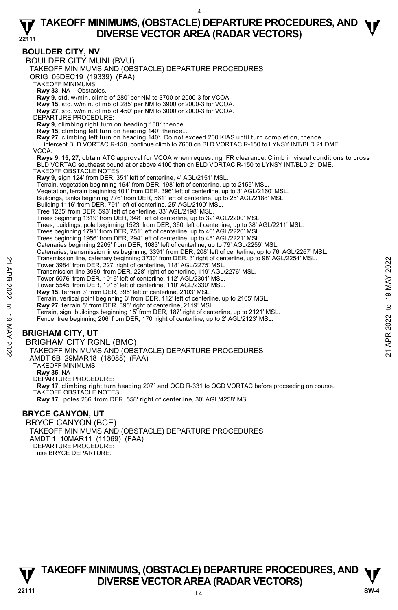## **BOULDER CITY, NV**

BOULDER CITY MUNI (BVU) TAKEOFF MINIMUMS AND (OBSTACLE) DEPARTURE PROCEDURES ORIG 05DEC19 (19339) (FAA) TAKEOFF MINIMUMS: **Rwy 33,** NA – Obstacles. **Rwy 9,** std. w/min. climb of 280' per NM to 3700 or 2000-3 for VCOA. **Rwy 15,** std. w/min. climb of 285' per NM to 3900 or 2000-3 for VCOA. **Rwy 27,** std. w/min. climb of 450' per NM to 3000 or 2000-3 for VCOA. DEPARTURE PROCEDURE: **Rwy 9**, climbing right turn on heading 180° thence... **Rwy 15,** climbing left turn on heading 140° thence... **Rwy 27**, climbing left turn on heading 140°. Do not exceed 200 KIAS until turn completion, thence...<br>... intercept BLD VORTAC R-150, continue climb to 7600 on BLD VORTAC R-150 to LYNSY INT/BLD 21 DME. VCOA: **Rwys 9, 15, 27,** obtain ATC approval for VCOA when requesting IFR clearance. Climb in visual conditions to cross<br>BLD VORTAC southeast bound at or above 4100 then on BLD VORTAC R-150 to LYNSY INT/BLD 21 DME. TAKEOFF OBSTACLE NOTES: **Rwy 9,** sign 124' from DER, 351' left of centerline, 4' AGL/2151' MSL. Terrain, vegetation beginning 164' from DER, 198' left of centerline, up to 2155' MSL. Vegetation, terrain beginning 401' from DER, 396' left of centerline, up to 3' AGL/2160' MSL. Buildings, tanks beginning 776' from DER, 561' left of centerline, up to 25' AGL/2188' MSL. Building 1116' from DER, 791' left of centerline, 25' AGL/2190' MSL. Tree 1235' from DER, 593' left of centerline, 33' AGL/2198' MSL. Trees beginning 1319' from DER, 348' left of centerline, up to 32' AGL/2200' MSL. Trees, buildings, pole beginning 1523' from DER, 360' left of centerline, up to 38' AGL/2211' MSL. Trees beginning 1791' from DER, 751' left of centerline, up to 46' AGL/2220' MSL. Trees beginning 1956' from DER, 294' left of centerline, up to 48' AGL/2221' MSL. Catenaries beginning 2205' from DER, 1083' left of centerline, up to 79' AGL/2259' MSL. Catenaries, transmission lines beginning 3391' from DER, 208' left of centerline, up to 76' AGL/2267' MSL.<br>Transmission line, catenary beginning 3730' from DER, 3' right of centerline, up to 98' AGL/2254' MSL. Tower 3984' from DER, 227' right of centerline, 118' AGL/2275' MSL. Transmission line 3989' from DER, 228' right of centerline, 119' AGL/2276' MSL. Tower 5076' from DER, 1016' left of centerline, 112' AGL/2301' MSL. Tower 5545' from DER, 1916' left of centerline, 110' AGL/2330' MSL. **Rwy 15,** terrain 3' from DER, 395' left of centerline, 2103' MSL. Terrain, vertical point beginning 3' from DER, 112' left of centerline, up to 2105' MSL.<br>**Rwy 27,** terrain 5' from DER, 395' right of centerline, 2119' MSL.<br>Terrain, sign, buildings beginning 15' from DER, 187' right of ce Fence, tree beginning 206' from DER, 170' right of centerline, up to 2' AGL/2123' MSL. **BRIGHAM CITY, UT**  BRIGHAM CITY RGNL (BMC) TAKEOFF MINIMUMS AND (OBSTACLE) DEPARTURE PROCEDURES AMDT 6B 29MAR18 (18088) (FAA) TAKEOFF MINIMUMS: **Rwy 35,** NA DEPARTURE PROCEDURE: **Rwy 17,** climbing right turn heading 207° and OGD R-331 to OGD VORTAC before proceeding on course. TAKEOFF OBSTACLE NOTES: **Rwy 17,** poles 266' from DER, 558' right of centerline, 30' AGL/4258' MSL. Transmission line, catenary beginning 3/30' from DER, 37 mght of centerline, 118' AGL/2275' MSL.<br>
Tower 3984' from DER, 222' right of centerline, 118' AGL/2275' MSL.<br>
Transmission line 3989' from DER, 228' right of centerl

## **BRYCE CANYON, UT**

BRYCE CANYON (BCE) TAKEOFF MINIMUMS AND (OBSTACLE) DEPARTURE PROCEDURES AMDT 1 10MAR11 (11069) (FAA) DEPARTURE PROCEDURE: use BRYCE DEPARTURE.

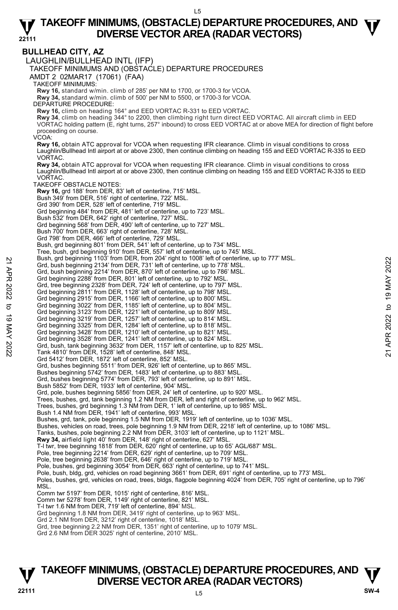**BULLHEAD CITY, AZ**  LAUGHLIN/BULLHEAD INTL (IFP) TAKEOFF MINIMUMS AND (OBSTACLE) DEPARTURE PROCEDURES AMDT 2 02MAR17 (17061) (FAA) TAKEOFF MINIMUMS: **Rwy 16,** standard w/min. climb of 285' per NM to 1700, or 1700-3 for VCOA. **Rwy 34,** standard w/min. climb of 500' per NM to 5500, or 1700-3 for VCOA. DEPARTURE PROCEDURE: **Rwy 16,** climb on heading 164° and EED VORTAC R-331 to EED VORTAC. **Rwy 34**, climb on heading 344° to 2200, then climbing right turn direct EED VORTAC. All aircraft climb in EED<br>VORTAC holding pattern (E, right turns, 257° inbound) to cross EED VORTAC at or above MEA for direction of flig proceeding on course. VCOA: **Rwy 16,** obtain ATC approval for VCOA when requesting IFR clearance. Climb in visual conditions to cross Laughlin/Bullhead Intl airport at or above 2300, then continue climbing on heading 155 and EED VORTAC R-335 to EED VORTAC. **Rwy 34,** obtain ATC approval for VCOA when requesting IFR clearance. Climb in visual conditions to cross Laughlin/Bullhead Intl airport at or above 2300, then continue climbing on heading 155 and EED VORTAC R-335 to EED **VORTAC** TAKEOFF OBSTACLE NOTES: **Rwy 16,** grd 188' from DER, 83' left of centerline, 715' MSL. Bush 349' from DER, 516' right of centerline, 722' MSL. Grd 390' from DER, 528' left of centerline, 719' MSL. Grd beginning 484' from DER, 481' left of centerline, up to 723' MSL. Bush 532' from DER, 642' right of centerline, 727' MSL. Grd beginning 568' from DER, 490' left of centerline, up to 727' MSL. Bush 700' from DER, 663' right of centerline, 728' MSL. Grd 798' from DER, 466' left of centerline, 729' MSL. Bush, grd beginning 801' from DER, 541' left of centerline, up to 734' MSL. Tree, bush, grd beginning 910' from DER, 557' left of centerline, up to 745' MSL. Bush, grd beginning 1103' from DER, from 204' right to 1008' left of centerline, up to 777' MSL. Grd, bush beginning 2134' from DER, 731' left of centerline, up to 778' MSL. Grd, bush beginning 2214' from DER, 870' left of centerline, up to 786' MSL. Grd beginning 2288' from DER, 801' left of centerline, up to 792' MSL. Grd, tree beginning 2328' from DER, 724' left of centerline, up to 797' MSL. Grd beginning 2811' from DER, 1128' left of centerline, up to 798' MSL. Grd beginning 2915' from DER, 1166' left of centerline, up to 800' MSL. Grd beginning 3022' from DER, 1185' left of centerline, up to 804' MSL. Grd beginning 3123' from DER, 1221' left of centerline, up to 809' MSL. Grd beginning 3219' from DER, 1257' left of centerline, up to 814' MSL. Grd beginning 3325' from DER, 1284' left of centerline, up to 818' MSL. Grd beginning 3428' from DER, 1210' left of centerline, up to 821' MSL. Grd beginning 3528' from DER, 1241' left of centerline, up to 824' MSL. Grd, bush, tank beginning 3632' from DER, 1157' left of centerline, up to 825' MSL. Tank 4810' from DER, 1528' left of centerline, 848' MSL. Grd 5412' from DER, 1872' left of centerline, 852' MSL. Grd, bushes beginning 5511' from DER, 926' left of centerline, up to 865' MSL. Bushes beginning 5742' from DER, 1483' left of centerline, up to 883' MSL. Grd, bushes beginning 5774' from DER, 793' left of centerline, up to 891' MSL. Bush 5852' from DER, 1933' left of centerline, 904' MSL. Grd, pole, bushes beginning 5856' from DER, 24' left of centerline, up to 920' MSL. Trees, bushes, grd, tank beginning 1.2 NM from DER, left and right of centerline, up to 962' MSL. Trees, bushes, grd beginning 1.3 NM from DER, 1' left of centerline, up to 985' MSL. Bush 1.4 NM from DER, 1941' left of centerline, 993' MSL. Bushes, grd, tank, pole beginning 1.5 NM from DER, 1919' left of centerline, up to 1036' MSL. Bushes, vehicles on road, trees, pole beginning 1.9 NM from DER, 2218' left of centerline, up to 1086' MSL. Tanks, bushes, pole beginning 2.2 NM from DER, 3103' left of centerline, up to 1121' MSL.<br>**Rwy 34,** airfield light 40' from DER, 148' right of centerline, 627' MSL. T-l twr, tree beginning 1818' from DER, 620' right of centerline, up to 65' AGL/687' MSL. Pole, tree beginning 2214' from DER, 629' right of centerline, up to 709' MSL. Pole, tree beginning 2638' from DER, 646' right of centerline, up to 719' MSL. Pole, bushes, grd beginning 3054' from DER, 663' right of centerline, up to 741' MSL. Pole, bush, bldg, grd, vehicles on road beginning 3661' from DER, 691' right of centerline, up to 773' MSL. Poles, bushes, grd, vehicles on road, trees, bldgs, flagpole beginning 4024' from DER, 705' right of centerline, up to 796' MSL. Comm twr 5197' from DER, 1015' right of centerline, 816' MSL. Comm twr 5278' from DER, 1149' right of centerline, 821' MSL. T-l twr 1.6 NM from DER, 719' left of centerline, 894' MSL. Grd beginning 1.8 NM from DER, 3419' right of centerline, up to 963' MSL. Grd 2.1 NM from DER, 3212' right of centerline, 1018' MSL. Grd, tree beginning 2.2 NM from DER, 1351' right of centerline, up to 1079' MSL. Grd 2.6 NM from DER 3025' right of centerline, 2010' MSL. 22 Sush, gro Beginning 1103' from DER, 731' left of center ine, up to 778' MSL.<br>
2rd, bush beginning 2234' from DER, 870' left of centerline, up to 778' MSL.<br>
3rd, bush beginning 228' from DER, 870' left of centerline, u

## **TAKEOFF MINIMUMS, (OBSTACLE) DEPARTURE PROCEDURES, AND**  $\Psi$ **<br>DIVERSE VECTOR AREA (RADAR VECTORS) V** DIVERSE VECTOR AREA (RADAR VECTORS) V<br>22111 SW-4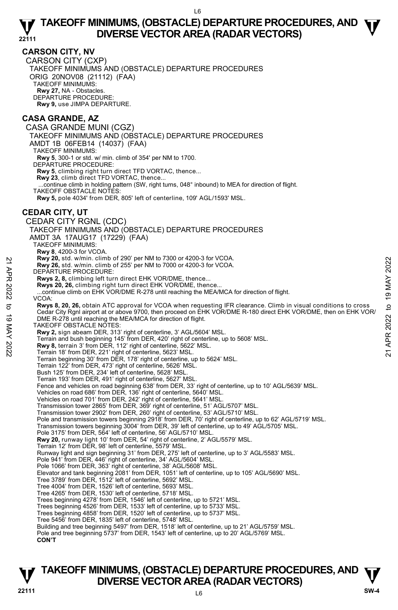## **CARSON CITY, NV**

CARSON CITY (CXP) TAKEOFF MINIMUMS AND (OBSTACLE) DEPARTURE PROCEDURES ORIG 20NOV08 (21112) (FAA) TAKEOFF MINIMUMS: **Rwy 27,** NA - Obstacles. DEPARTURE PROCEDURE: **Rwy 9,** use JIMPA DEPARTURE.

## **CASA GRANDE, AZ**

CASA GRANDE MUNI (CGZ) TAKEOFF MINIMUMS AND (OBSTACLE) DEPARTURE PROCEDURES AMDT 1B 06FEB14 (14037) (FAA) TAKEOFF MINIMUMS: **Rwy 5**, 300-1 or std. w/ min. climb of 354' per NM to 1700. DEPARTURE PROCEDURE: **Rwy 5**, climbing right turn direct TFD VORTAC, thence... **Rwy 23**, climb direct TFD VORTAC, thence... ...continue climb in holding pattern (SW, right turns, 048° inbound) to MEA for direction of flight. TAKEOFF OBSTACLE NOTES: **Rwy 5,** pole 4034' from DER, 805' left of centerline, 109' AGL/1593' MSL. **CEDAR CITY, UT**  CEDAR CITY RGNL (CDC) TAKEOFF MINIMUMS AND (OBSTACLE) DEPARTURE PROCEDURES AMDT 3A 17AUG17 (17229) (FAA) TAKEOFF MINIMUMS: **Rwy 8**, 4200-3 for VCOA. **Rwy 20,** std. w/min. climb of 290' per NM to 7300 or 4200-3 for VCOA. **Rwy 26,** std. w/min. climb of 255' per NM to 7000 or 4200-3 for VCOA. DEPARTURE PROCEDURE: **Rwys 2, 8,** climbing left turn direct EHK VOR/DME, thence... **Rwys 20, 26,** climbing right turn direct EHK VOR/DME, thence... ...continue climb on EHK VOR/DME R-278 until reaching the MEA/MCA for direction of flight. VCOA: **Rwys 8, 20, 26,** obtain ATC approval for VCOA when requesting IFR clearance. Climb in visual conditions to cross Cedar City Rgnl airport at or above 9700, then proceed on EHK VOR/DME R-180 direct EHK VOR/DME, then on EHK VOR/ DME R-278 until reaching the MEA/MCA for direction of flight. TAKEOFF OBSTACLE NOTES: **Rwy 2,** sign abeam DER, 313' right of centerline, 3' AGL/5604' MSL. Terrain and bush beginning 145' from DER, 420' right of centerline, up to 5608' MSL. **Rwy 8,** terrain 3' from DER, 112' right of centerline, 5622' MSL. Terrain 18' from DER, 221' right of centerline, 5623' MSL. Terrain beginning 30' from DER, 178' right of centerline, up to 5624' MSL. Terrain 122' from DER, 473' right of centerline, 5626' MSL. Bush 125' from DER, 234' left of centerline, 5628' MSL. Terrain 193' from DER, 491' right of centerline, 5627' MSL. Fence and vehicles on road beginning 638' from DER, 33' right of centerline, up to 10' AGL/5639' MSL. Vehicles on road 686' from DER, 136' right of centerline, 5640' MSL. Vehicles on road 701' from DER, 242' right of centerline, 5641' MSL. Transmission tower 2865' from DER, 369' right of centerline, 51' AGL/5707' MSL. Transmission tower 2902' from DER, 260' right of centerline, 53' AGL/5710' MSL. Pole and transmission towers beginning 2918' from DER, 70' right of centerline, up to 62' AGL/5719' MSL. Transmission towers beginning 3004' from DER, 39' left of centerline, up to 49' AGL/5705' MSL. Pole 3175' from DER, 564' left of centerline, 56' AGL/5710' MSL. **Rwy 20,** runway light 10' from DER, 54' right of centerline, 2' AGL/5579' MSL. Terrain 12' from DER, 98' left of centerline, 5579' MSL. Runway light and sign beginning 31' from DER, 275' left of centerline, up to 3' AGL/5583' MSL. Pole 941' from DER, 446' right of centerline, 34' AGL/5604' MSL. Pole 1066' from DER, 363' right of centerline, 38' AGL/5608' MSL. Elevator and tank beginning 2081' from DER, 1051' left of centerline, up to 105' AGL/5690' MSL. Tree 3789' from DER, 1512' left of centerline, 5692' MSL. Tree 4004' from DER, 1526' left of centerline, 5693' MSL. Tree 4265' from DER, 1530' left of centerline, 5718' MSL. Trees beginning 4278' from DER, 1546' left of centerline, up to 5721' MSL. Trees beginning 4526' from DER, 1533' left of centerline, up to 5733' MSL. Trees beginning 4858' from DER, 1520' left of centerline, up to 5737' MSL. Tree 5456' from DER, 1835' left of centerline, 5748' MSL. Building and tree beginning 5497' from DER, 1518' left of centerline, up to 21' AGL/5759' MSL. Pole and tree beginning 5737' from DER, 1543' left of centerline, up to 20' AGL/5769' MSL. **CON'T**  22 **Example 10** of 290 per NM to 7300 or 4200-3 for VCOA.<br>
22 **Example 10** MAY 2022 to 19 MAY 2022 to 19 MAY 2022 to 19 MAY 2022<br> **EPARTURE PROCEDURE:**<br>
22 **EVALUATION EXECUTE:**<br>
22 **Ravis 2, 8**, climbing left turn direct

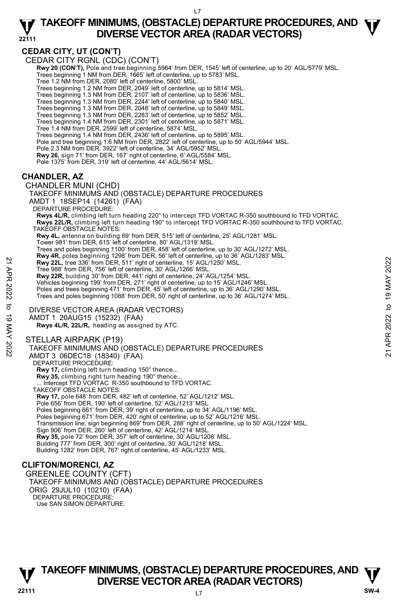**22111** 

## **CEDAR CITY, UT (CON'T)**

CEDAR CITY RGNL (CDC) (CON'T)

 **Rwy 20 (CON'T),** Pole and tree beginning 5964' from DER, 1545' left of centerline, up to 20' AGL/5779' MSL. Trees beginning 1 NM from DER, 1665' left of centerline, up to 5783' MSL.

Tree 1.2 NM from DER, 2080' left of centerline, 5800' MSL.

Trees beginning 1.2 NM from DER, 2049' left of centerline, up to 5814' MSL.

Trees beginning 1.3 NM from DER, 2107' left of centerline, up to 5836' MSL.

Trees beginning 1.3 NM from DER, 2244' left of centerline, up to 5840' MSL.<br>Trees beginning 1.3 NM from DER, 2048' left of centerline, up to 5849' MSL.<br>Trees beginning 1.3 NM from DER, 2283' left of centerline, up to 5852'

Trees beginning 1.4 NM from DER, 2301' left of centerline, up to 5871' MSL.

Tree 1.4 NM from DER, 2599' left of centerline, 5874' MSL.

Trees beginning 1.4 NM from DER, 2436' left of centerline, up to 5895' MSL.

Pole and tree beginning 1.6 NM from DER, 2822' left of centerline, up to 50' AGL/5944' MSL.

Pole 2.3 NM from DER, 3922' left of centerline, 34' AGL/5952' MSL. **Rwy 26,** sign 71' from DER, 167' right of centerline, 6' AGL/5584' MSL.

Pole 1375' from DER, 319' left of centerline, 44' AGL/5614' MSL.

## **CHANDLER, AZ**

CHANDLER MUNI (CHD) TAKEOFF MINIMUMS AND (OBSTACLE) DEPARTURE PROCEDURES AMDT 1 18SEP14 (14261) (FAA) DEPARTURE PROCEDURE: **Rwys 4L/R,** climbing left turn heading 220° to intercept TFD VORTAC R-350 southbound to TFD VORTAC. **Rwys 22L/R,** climbing left turn heading 190° to intercept TFD VORTAC R-350 southbound to TFD VORTAC. TAKEOFF OBSTACLE NOTES: **Rwy 4L,** antenna on building 69' from DER, 515' left of centerline, 25' AGL/1281' MSL. Tower 981' from DER, 615' left of centerline, 80' AGL/1319' MSL. Trees and poles beginning 1100' from DER, 458' left of centerline, up to 30' AGL/1272' MSL. **Rwy 4R,** poles beginning 1298' from DER, 56' left of centerline, up to 36' AGL/1283' MSL. **Rwy 22L,** tree 336' from DER, 511' right of centerline, 15' AGL/1250' MSL. Tree 988' from DER, 756' left of centerline, 30' AGL/1266' MSL. **Rwy 22R,** building 30' from DER, 441' right of centerline, 24' AGL/1254' MSL. Vehicles beginning 199' from DER, 271' right of centerline, up to 15' AGL/1246' MSL. Poles and trees beginning 471' from DER, 45' left of centerline, up to 36' AGL/1290' MSL Trees and poles beginning 1088' from DER, 50' right of centerline, up to 36' AGL/1274' MSL. DIVERSE VECTOR AREA (RADAR VECTORS) AMDT 1 20AUG15 (15232) (FAA)  **Rwys 4L/R, 22L/R,** heading as assigned by ATC. STELLAR AIRPARK (P19) TAKEOFF MINIMUMS AND (OBSTACLE) DEPARTURE PROCEDURES AMDT 3 06DEC18 (18340) (FAA) DEPARTURE PROCEDURE: **Rwy 17,** climbing left turn heading 150° thence... **Rwy 35,** climbing right turn heading 190° thence...<br>... Intercept TFD VORTAC R-350 southbound to TFD VORTAC. TAKEOFF OBSTACLE NOTES: **Rwy 17,** pole 648' from DER, 482' left of centerline, 52' AGL/1212' MSL. Pole 656' from DER, 190' left of centerline, 52' AGL/1213' MSL. Poles beginning 661' from DER, 39' right of centerline, up to 34' AGL/1196' MSL. Rwy 221, tree 336' from DER, 51' right of centerline, 15' AGL/1250' MSL.<br>
Tree 988' from DER, 51' right of centerline, 30' AGL/1250' MSL.<br>
Tree 988' from DER, 51' right of centerline, 24' AGL/1254' MSL.<br>
Powse 22R, buildin

Poles beginning 671' from DER, 420' right of centerline, up to 52' AGL/1216' MSL.

Transmission line, sign beginning 869' from DER, 288' right of centerline, up to 50' AGL/1224' MSL. Sign 906' from DER, 260' left of centerline, 42' AGL/1214' MSL.

**Rwy 35,** pole 72' from DER, 357' left of centerline, 30' AGL/1208' MSL.

Building 777' from DER, 300' right of centerline, 30' AGL/1218' MSL.

Building 1282' from DER, 767' right of centerline, 45' AGL/1233' MSL.

## **CLIFTON/MORENCI, AZ**

GREENLEE COUNTY (CFT) TAKEOFF MINIMUMS AND (OBSTACLE) DEPARTURE PROCEDURES ORIG 29JUL10 (10210) (FAA) DEPARTURE PROCEDURE: Use SAN SIMON DEPARTURE.

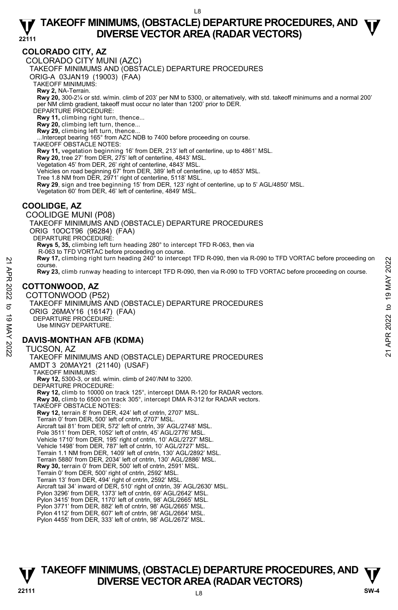## **COLORADO CITY, AZ**

COLORADO CITY MUNI (AZC)

TAKEOFF MINIMUMS AND (OBSTACLE) DEPARTURE PROCEDURES

ORIG-A 03JAN19 (19003) (FAA)

TAKEOFF MINIMUMS:

**Rwy 2,** NA-Terrain.<br>**Rwy 20,** 300-2¼ or std. w/min. climb of 203' per NM to 5300, or alternatively, with std. takeoff minimums and a normal 200' per NM climb gradient, takeoff must occur no later than 1200' prior to DER.

DEPARTURE PROCEDURE:

**Rwy 11,** climbing right turn, thence...

**Rwy 20,** climbing left turn, thence... **Rwy 29,** climbing left turn, thence...

...Intercept bearing 165° from AZC NDB to 7400 before proceeding on course. TAKEOFF OBSTACLE NOTES:

Rwy 11, vegetation beginning 16' from DER, 213' left of centerline, up to 4861' MSL.

**Rwy 20,** tree 27' from DER, 275' left of centerline, 4843' MSL.

Vegetation 45' from DER, 26' right of centerline, 4843' MSL.

Vehicles on road beginning 67' from DER, 389' left of centerline, up to 4853' MSL.

Tree 1.8 NM from DER, 2971' right of centerline, 5118' MSL.

**Rwy 29**, sign and tree beginning 15' from DER, 123' right of centerline, up to 5' AGL/4850' MSL.<br>Vegetation 60' from DER, 46' left of centerline, 4849' MSL.

## **COOLIDGE, AZ**

COOLIDGE MUNI (P08) TAKEOFF MINIMUMS AND (OBSTACLE) DEPARTURE PROCEDURES ORIG 10OCT96 (96284) (FAA) DEPARTURE PROCEDURE: **Rwys 5, 35,** climbing left turn heading 280° to intercept TFD R-063, then via R-063 to TFD VORTAC before proceeding on course. **Rwy 17,** climbing right turn heading 240° to intercept TFD R-090, then via R-090 to TFD VORTAC before proceeding on course. **Rwy 23,** climb runway heading to intercept TFD R-090, then via R-090 to TFD VORTAC before proceeding on course.

## **COTTONWOOD, AZ**

COTTONWOOD (P52) TAKEOFF MINIMUMS AND (OBSTACLE) DEPARTURE PROCEDURES ORIG 26MAY16 (16147) (FAA) DEPARTURE PROCEDURE: Use MINGY DEPARTURE. 22 AWAY 17, climbing right turn heading 240° to intercept TFD R-090, then via R-090 to TFD VORTAC before proceeding on course.<br>
22 APR 2022<br>
22 **COTTONWOOD, AZ**<br>
22 **COTTONWOOD, AZ**<br>
22 COTTONWOOD, AZ<br>
22 COTTONWOOD, AZ<br>

## **DAVIS-MONTHAN AFB (KDMA)**

TUCSON, AZ TAKEOFF MINIMUMS AND (OBSTACLE) DEPARTURE PROCEDURES AMDT 3 20MAY21 (21140) (USAF) TAKEOFF MINIMUMS: **Rwy 12,** 5300-3, or std. w/min. climb of 240'/NM to 3200. DEPARTURE PROCEDURE: **Rwy 12,** climb to 10000 on track 125°, intercept DMA R-120 for RADAR vectors.  **Rwy 30,** climb to 6500 on track 305°, intercept DMA R-312 for RADAR vectors. TAKEOFF OBSTACLE NOTES: **Rwy 12,** terrain 8' from DER, 424' left of cntrln, 2707' MSL. Terrain 0' from DER, 500' left of cntrln, 2707' MSL. Aircraft tail 81' from DER, 572' left of cntrln, 39' AGL/2748' MSL. Pole 3511' from DER, 1052' left of cntrln, 45' AGL/2776' MSL. Vehicle 1710' from DER, 195' right of cntrln, 10' AGL/2727' MSL. Vehicle 1498' from DER, 787' left of cntrln, 10' AGL/2727' MSL. Terrain 1.1 NM from DER, 1409' left of cntrln, 130' AGL/2892' MSL. Terrain 5880' from DER, 2034' left of cntrln, 130' AGL/2886' MSL. **Rwy 30,** terrain 0' from DER, 500' left of cntrln, 2591' MSL. Terrain 0' from DER, 500' right of cntrln, 2592' MSL. Terrain 13' from DER, 494' right of cntrln, 2592' MSL. Aircraft tail 34' inward of DER, 510' right of cntrln, 39' AGL/2630' MSL. Pylon 3296' from DER, 1373' left of cntrln, 69' AGL/2642' MSL. Pylon 3415' from DER, 1170' left of cntrln, 98' AGL/2665' MSL. Pylon 3771' from DER, 882' left of cntrln, 98' AGL/2665' MSL. Pylon 4112' from DER, 607' left of cntrln, 98' AGL/2664' MSL. Pylon 4455' from DER, 333' left of cntrln, 98' AGL/2672' MSL.

## **TAKEOFF MINIMUMS, (OBSTACLE) DEPARTURE PROCEDURES, AND**  $\Psi$ **<br>DIVERSE VECTOR AREA (RADAR VECTORS) V** DIVERSE VECTOR AREA (RADAR VECTORS) **V**<br>22111 SW-4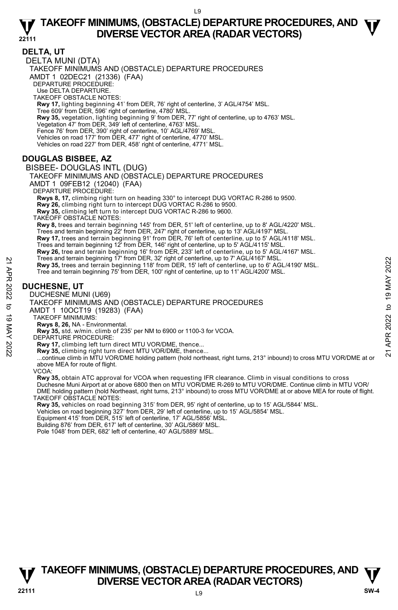**DELTA, UT**  DELTA MUNI (DTA) TAKEOFF MINIMUMS AND (OBSTACLE) DEPARTURE PROCEDURES AMDT 1 02DEC21 (21336) (FAA) DEPARTURE PROCEDURE: Use DELTA DEPARTURE. TAKEOFF OBSTACLE NOTES: **Rwy 17,** lighting beginning 41' from DER, 76' right of centerline, 3' AGL/4754' MSL. Tree 609' from DER, 596' right of centerline, 4780' MSL. **Rwy 35,** vegetation, lighting beginning 9' from DER, 77' right of centerline, up to 4763' MSL.<br>Vegetation 47' from DER, 349' left of centerline, 4763' MSL. Fence 76' from DER, 390' right of centerline, 10' AGL/4769' MSL. Vehicles on road 177' from DER, 477' right of centerline, 4770' MSL. Vehicles on road 227' from DER, 458' right of centerline, 4771' MSL.

## **DOUGLAS BISBEE, AZ**

BISBEE- DOUGLAS INTL (DUG) TAKEOFF MINIMUMS AND (OBSTACLE) DEPARTURE PROCEDURES AMDT 1 09FEB12 (12040) (FAA) DEPARTURE PROCEDURE: **Rwys 8, 17,** climbing right turn on heading 330° to intercept DUG VORTAC R-286 to 9500. **Rwy 26,** climbing right turn to intercept DUG VORTAC R-286 to 9500. **Rwy 35,** climbing left turn to intercept DUG VORTAC R-286 to 9600. TAKEOFF OBSTACLE NOTES: **Rwy 8,** trees and terrain beginning 145' from DER, 51' left of centerline, up to 8' AGL/4220' MSL. Trees and terrain beginning 22' from DER, 247' right of centerline, up to 13' AGL/4197' MSL.<br>**Rwy 17,** trees and terrain beginning 91' from DER, 76' left of centerline, up to 5' AGL/4118' MSL. Trees and terrain beginning 12' from DER, 146' right of centerline, up to 5' AGL/4115' MSL. **Rwy 26,** tree and terrain beginning 16' from DER, 233' left of centerline, up to 5' AGL/4167' MSL. Trees and terrain beginning 17' from DER, 32' right of centerline, up to 7' AGL/4167' MSL. **Rwy 35,** trees and terrain beginning 118' from DER, 15' left of centerline, up to 6' AGL/4190' MSL. Tree and terrain beginning 75' from DER, 100' right of centerline, up to 11' AGL/4200' MSL. Free and terrain beginning 11° Trom DER, 32' right of centerline, up to 1'AGL/4190' MSL.<br>
The and terrain beginning 75' from DER, 100' right of centerline, up to 6' AGL/4190' MSL.<br>
Tree and terrain beginning 75' from DER,

## **DUCHESNE, UT**

DUCHESNE MUNI (U69)

TAKEOFF MINIMUMS AND (OBSTACLE) DEPARTURE PROCEDURES

AMDT 1 10OCT19 (19283) (FAA)

TAKEOFF MINIMUMS: **Rwys 8, 26,** NA - Environmental.

**Rwy 35,** std. w/min. climb of 235' per NM to 6900 or 1100-3 for VCOA. DEPARTURE PROCEDURE:

**Rwy 17,** climbing left turn direct MTU VOR/DME, thence...

**Rwy 35,** climbing right turn direct MTU VOR/DME, thence...

 ...continue climb in MTU VOR/DME holding pattern (hold northeast, right turns, 213° inbound) to cross MTU VOR/DME at or above MEA for route of flight.

VCOA:

**Rwy 35,** obtain ATC approval for VCOA when requesting IFR clearance. Climb in visual conditions to cross<br>Duchesne Muni Airport at or above 6800 then on MTU VOR/DME R-269 to MTU VOR/DME. Continue climb in MTU VOR/ DME holding pattern (hold Northeast, right turns, 213° inbound) to cross MTU VOR/DME at or above MEA for route of flight. TAKEOFF OBSTACLE NOTES:

**Rwy 35,** vehicles on road beginning 315' from DER, 95' right of centerline, up to 15' AGL/5844' MSL.

Vehicles on road beginning 327' from DER, 29' left of centerline, up to 15' AGL/5854' MSL.

Equipment 415' from DER, 515' left of centerline, 17' AGL/5856' MSL.

Building 876' from DER, 617' left of centerline, 30' AGL/5869' MSL.

Pole 1048' from DER, 682' left of centerline, 40' AGL/5889' MSL.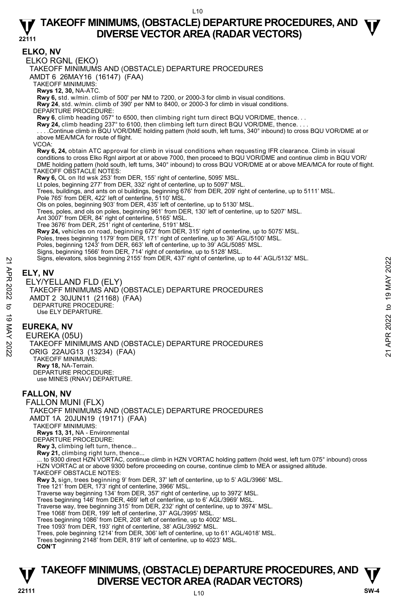**ELKO, NV**  ELKO RGNL (EKO) TAKEOFF MINIMUMS AND (OBSTACLE) DEPARTURE PROCEDURES AMDT 6 26MAY16 (16147) (FAA) TAKEOFF MINIMUMS: **Rwys 12, 30,** NA-ATC. **Rwy 6,** std. w/min. climb of 500' per NM to 7200, or 2000-3 for climb in visual conditions. **Rwy 24**, std. w/min. climb of 390' per NM to 8400, or 2000-3 for climb in visual conditions. DEPARTURE PROCEDURE: **Rwy 6**, climb heading 057° to 6500, then climbing right turn direct BQU VOR/DME, thence. . . **Rwy 24,** climb heading 237° to 6100, then climbing left turn direct BQU VOR/DME, thence. . . . . . . .Continue climb in BQU VOR/DME holding pattern (hold south, left turns, 340° inbound) to cross BQU VOR/DME at or above MEA/MCA for route of flight. VCOA: **Rwy 6, 24,** obtain ATC approval for climb in visual conditions when requesting IFR clearance. Climb in visual conditions to cross Elko Rgnl airport at or above 7000, then proceed to BQU VOR/DME and continue climb in BQU VOR/ DME holding pattern (hold south, left turns, 340° inbound) to cross BQU VOR/DME at or above MEA/MCA for route of flight. TAKEOFF OBSTACLE NOTES: **Rwy 6,** OL on ltd wsk 253' from DER, 155' right of centerline, 5095' MSL. Lt poles, beginning 277' from DER, 332' right of centerline, up to 5097' MSL. Trees, buildings, and ants on ol buildings, beginning 676' from DER, 209' right of centerline, up to 5111' MSL. Pole 765' from DER, 422' left of centerline, 5110' MSL. Ols on poles, beginning 903' from DER, 435' left of centerline, up to 5130' MSL. Trees, poles, and ols on poles, beginning 961' from DER, 130' left of centerline, up to 5207' MSL. Ant 3007' from DER, 84' right of centerline, 5165' MSL. Tree 3676' from DER, 251' right of centerline, 5191' MSL. **Rwy 24,** vehicles on road, beginning 672' from DER, 315' right of centerline, up to 5075' MSL.<br>Poles, trees beginning 1179' from DER, 171' right of centerline, up to 36' AGL/5100' MSL. Poles, beginning 1243' from DER, 663' left of centerline, up to 39' AGL/5085' MSL. Signs, beginning 1566' from DER, 714' right of centerline, up to 5128' MSL. Signs, elevators, silos beginning 2155' from DER, 437' right of centerline, up to 44' AGL/5132' MSL. **ELY, NV**  ELY/YELLAND FLD (ELY) TAKEOFF MINIMUMS AND (OBSTACLE) DEPARTURE PROCEDURES AMDT 2 30JUN11 (21168) (FAA) DEPARTURE PROCEDURE: Use ELY DEPARTURE. **EUREKA, NV**  EUREKA (05U) TAKEOFF MINIMUMS AND (OBSTACLE) DEPARTURE PROCEDURES ORIG 22AUG13 (13234) (FAA) TAKEOFF MINIMUMS: **Rwy 18,** NA-Terrain. DEPARTURE PROCEDURE: use MINES (RNAV) DEPARTURE. **FALLON, NV**  FALLON MUNI (FLX) TAKEOFF MINIMUMS AND (OBSTACLE) DEPARTURE PROCEDURES AMDT 1A 20JUN19 (19171) (FAA) TAKEOFF MINIMUMS: **Rwys 13, 31,** NA - Environmental DEPARTURE PROCEDURE: Rwy 3, climbing left turn, thence. **Rwy 21,** climbing right turn, thence... ... to 9300 direct HZN VORTAC, continue climb in HZN VORTAC holding pattern (hold west, left turn 075° inbound) cross HZN VORTAC at or above 9300 before proceeding on course, continue climb to MEA or assigned altitude. TAKEOFF OBSTACLE NOTES: **Rwy 3,** sign, trees beginning 9' from DER, 37' left of centerline, up to 5' AGL/3966' MSL.<br>Tree 121' from DER, 173' right of centerline, 3966' MSL. Traverse way beginning 134' from DER, 357' right of centerline, up to 3972' MSL. Trees beginning 146' from DER, 469' left of centerline, up to 6' AGL/3969' MSL. Traverse way, tree beginning 315' from DER, 232' right of centerline, up to 3974' MSL. Tree 1068' from DER, 199' left of centerline, 37' AGL/3995' MSL. Trees beginning 1086' from DER, 208' left of centerline, up to 4002' MSL. Tree 1093' from DER, 193' right of centerline, 38' AGL/3992' MSL. Trees, pole beginning 1214' from DER, 306' left of centerline, up to 61' AGL/4018' MSL. Trees beginning 2148' from DER, 819' left of centerline, up to 4023' MSL. **CON'T** Nors, elevators, silos beginning 2155 from DER, 437 right of centerline, up to 44° AGL/5132° MSL.<br>
22 ELY, NV<br>
22 ELY/YELLAND FLD (ELY)<br>
7 TAKEOFF MINIMUMS AND (OBSTACLE) DEPARTURE PROCEDURES<br>
2022 TAMP 2022 AUGUSTA (FAA)

## **TAKEOFF MINIMUMS, (OBSTACLE) DEPARTURE PROCEDURES, AND**  $\Psi$ **<br>DIVERSE VECTOR AREA (RADAR VECTORS) V** DIVERSE VECTOR AREA (RADAR VECTORS) **V**<br>22111 SW-4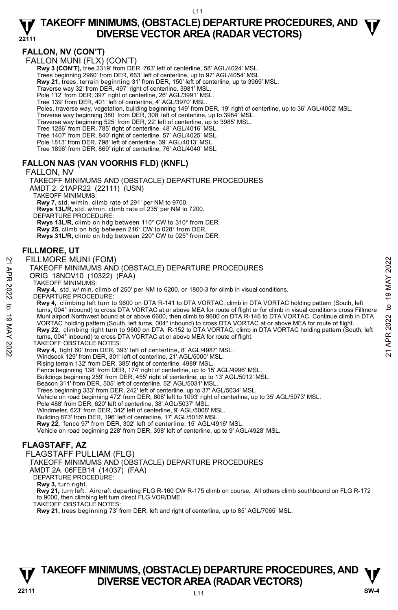## **FALLON, NV (CON'T)**

FALLON MUNI (FLX) (CON'T)

**Rwy 3 (CON'T), tree 2319' from DER, 763' left of centerline, 58' AGL/4024' MSL** 

Trees beginning 2960' from DER, 663' left of centerline, up to 97' AGL/4054' MSL.

**Rwy 21,** trees, terrain beginning 31' from DER, 150' left of centerline, up to 3969' MSL.<br>Traverse way 32' from DER, 497' right of centerline, 3981' MSL.

Pole 112' from DER, 397' right of centerline, 26' AGL/3991' MSL.

Tree 139' from DER, 401' left of centerline, 4' AGL/3970' MSL.

Poles, traverse way, vegetation, building beginning 149' from DER, 19' right of centerline, up to 36' AGL/4002' MSL.

Traverse way beginning 380' from DER, 308' left of centerline, up to 3984' MSL. Traverse way beginning 525' from DER, 22' left of centerline, up to 3985' MSL.

Tree 1286' from DER, 785' right of centerline, 48' AGL/4016' MSL.

Tree 1407' from DER, 840' right of centerline, 57' AGL/4025' MSL. Pole 1813' from DER, 798' left of centerline, 39' AGL/4013' MSL.

Tree 1896' from DER, 869' right of centerline, 76' AGL/4040' MSL.

## **FALLON NAS (VAN VOORHIS FLD) (KNFL)**

FALLON, NV

TAKEOFF MINIMUMS AND (OBSTACLE) DEPARTURE PROCEDURES AMDT 2 21APR22 (22111) (USN) TAKEOFF MINIMUMS:

**Rwy 7,** std. w/min. climb rate of 291' per NM to 9700.  **Rwys 13L/R,** std. w/min. climb rate of 235' per NM to 7200.

DEPARTURE PROCEDURE:

 **Rwys 13L/R,** climb on hdg between 110° CW to 310° from DER.  **Rwy 25,** climb on hdg between 216° CW to 028° from DER.  **Rwys 31L/R,** climb on hdg between 220° CW to 025° from DER.

### **FILLMORE, UT**

#### FILLMORE MUNI (FOM)

#### TAKEOFF MINIMUMS AND (OBSTACLE) DEPARTURE PROCEDURES

ORIG 18NOV10 (10322) (FAA)

TAKEOFF MINIMUMS:

**Rwy 4,** std. w/ min. climb of 250' per NM to 6200, or 1800-3 for climb in visual conditions. DEPARTURE PROCEDURE:

**Rwy 4,** climbing left turn to 9600 on DTA R-141 to DTA VORTAC, climb in DTA VORTAC holding pattern (South, left turns, 004° inbound) to cross DTA VORTAC at or above MEA for route of flight or for climb in visual conditions cross Fillmore Muni airport Northwest bound at or above 6600, then climb to 9600 on DTA R-146 to DTA VORTAC. Continue climb in DTA<br>VORTAC holding pattern (South, left turns, 004° inbound) to cross DTA VORTAC at or above MEA for route of **Rwy 22,** climbing right turn to 9600 on DTA R-152 to DTA VORTAC, climb in DTA VORTAC holding pattern (South, left turns, 004° inbound) to cross DTA VORTAC at or above MEA for route of flight. FILLMORE MUNI (FOM)<br>
TAKEOFF MINIMUMS AND (OBSTACLE) DEPARTURE PROCEDURES<br>
ORIG 18NOV10 (10322) (FAA)<br>
TAKEOFF MINIMUMS:<br>
RW 4, std. w/ min. climb of 250' per NM to 6200, or 1800-3 for climb in visual conditions.<br>
RW 4, s

TAKEOFF OBSTACLE NOTES:

**Rwy 4,** light 60' from DER, 393' left of centerline, 8' AGL/4987' MSL.

Windsock 129' from DER, 301' left of centerline, 21' AGL/5000' MSL.

Rising terrain 132' from DER, 385' right of centerline, 4989' MSL. Fence beginning 138' from DER, 174' right of centerline, up to 15' AGL/4996' MSL.

Buildings beginning 259' from DER, 455' right of centerline, up to 13' AGL/5012' MSL.

Beacon 311' from DER, 505' left of centerline, 52' AGL/5031' MSL.

Trees beginning 333' from DER, 242' left of centerline, up to 37' AGL/5034' MSL. Vehicle on road beginning 472' from DER, 608' left to 1093' right of centerline, up to 35' AGL/5073' MSL.

Pole 488' from DER, 620' left of centerline, 38' AGL/5037' MSL.

Windmeter, 623' from DER, 342' left of centerline, 9' AGL/5008' MSL. Building 873' from DER, 196' left of centerline, 17' AGL/5016' MSL.

**Rwy 22,** fence 97' from DER, 302' left of centerline, 15' AGL/4916' MSL.

Vehicle on road beginning 228' from DER, 398' left of centerline, up to 9' AGL/4928' MSL.

## **FLAGSTAFF, AZ**

FLAGSTAFF PULLIAM (FLG)

TAKEOFF MINIMUMS AND (OBSTACLE) DEPARTURE PROCEDURES

AMDT 2A 06FEB14 (14037) (FAA)

DEPARTURE PROCEDURE:

**Rwy 3,** turn right.

 **Rwy 21,** turn left. Aircraft departing FLG R-160 CW R-175 climb on course. All others climb southbound on FLG R-172 to 9000, then climbing left turn direct FLG VOR/DME.

TAKEOFF OBSTACLE NOTES:

**Rwy 21,** trees beginning 73' from DER, left and right of centerline, up to 85' AGL/7065' MSL.

## **TAKEOFF MINIMUMS, (OBSTACLE) DEPARTURE PROCEDURES, AND**  $\Psi$ **<br>DIVERSE VECTOR AREA (RADAR VECTORS) V** DIVERSE VECTOR AREA (RADAR VECTORS) W SW-4 **BM**

 $111$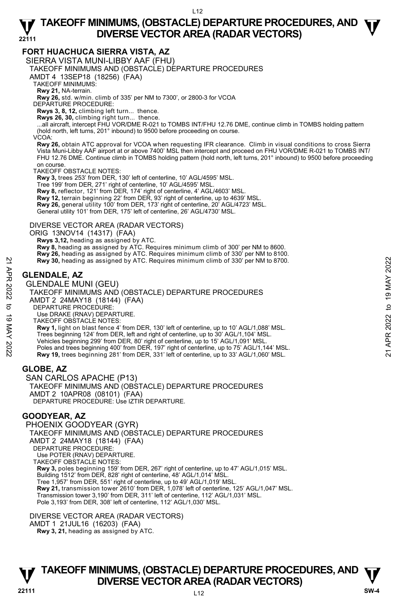### **FORT HUACHUCA SIERRA VISTA, AZ**

SIERRA VISTA MUNI-LIBBY AAF (FHU)

TAKEOFF MINIMUMS AND (OBSTACLE) DEPARTURE PROCEDURES

AMDT 4 13SEP18 (18256) (FAA)

TAKEOFF MINIMUMS:

**Rwy 21,** NA-terrain.

**Rwy 26,** std. w/min. climb of 335' per NM to 7300', or 2800-3 for VCOA

DEPARTURE PROCEDURE:

**Rwys 3, 8, 12,** climbing left turn... thence.

**Rwys 26, 30,** climbing right turn... thence. ...all aircraft, intercept FHU VOR/DME R-021 to TOMBS INT/FHU 12.76 DME, continue climb in TOMBS holding pattern (hold north, left turns, 201° inbound) to 9500 before proceeding on course.

VCOA:

**Rwy 26,** obtain ATC approval for VCOA when requesting IFR clearance. Climb in visual conditions to cross Sierra Vista Muni-Libby AAF airport at or above 7400' MSL then intercept and proceed on FHU VOR/DME R-021 to TOMBS INT/ FHU 12.76 DME. Continue climb in TOMBS holding pattern (hold north, left turns, 201° inbound) to 9500 before proceeding on course.

TAKEOFF OBSTACLE NOTES:

**Rwy 3,** trees 253' from DER, 130' left of centerline, 10' AGL/4595' MSL.

Tree 199' from DER, 271' right of centerline, 10' AGL/4595' MSL.

**Rwy 8,** reflector, 121' from DER, 174' right of centerline, 4' AGL/4603' MSL.

**Rwy 12,** terrain beginning 22' from DER, 93' right of centerline, up to 4639' MSL.

**Rwy 26,** general utility 100' from DER, 173' right of centerline, 20' AGL/4723' MSL.

General utility 101' from DER, 175' left of centerline, 26' AGL/4730' MSL.

#### DIVERSE VECTOR AREA (RADAR VECTORS)

ORIG 13NOV14 (14317) (FAA)

 **Rwys 3,12,** heading as assigned by ATC.

**Rwy 8,** heading as assigned by ATC. Requires minimum climb of 300' per NM to 8600.

**Rwy 26,** heading as assigned by ATC. Requires minimum climb of 330' per NM to 8100.<br>**Rwy 30,** heading as assigned by ATC. Requires minimum climb of 330' per NM to 8700.

## **GLENDALE, AZ**

GLENDALE MUNI (GEU) TAKEOFF MINIMUMS AND (OBSTACLE) DEPARTURE PROCEDURES AMDT 2 24MAY18 (18144) (FAA) DEPARTURE PROCEDURE: Use DRAKE (RNAV) DEPARTURE.

TAKEOFF OBSTACLE NOTES: **Rwy 1,** light on blast fence 4' from DER, 130' left of centerline, up to 10' AGL/1,088' MSL. Trees beginning 124' from DER, left and right of centerline, up to 30' AGL/1,104' MSL. Vehicles beginning 299' from DER, 80' right of centerline, up to 15' AGL/1,091' MSL. Poles and trees beginning 400' from DER, 197' right of centerline, up to 75' AGL/1,144' MSL. **Rwy 19,** trees beginning 281' from DER, 331' left of centerline, up to 33' AGL/1,060' MSL. **EXAMPLE AND SET ANTIFICE SETTLE SETTLE AND THE SETTLE AND SET AND THE SETTLE MUNIMUMS AND (OBSTACLE) DEPARTURE PROCEDURES<br>
21 <b>GLENDALE MUNI (GEU)**<br>
22 **GLENDALE MUNI (GEU)**<br>
22 TAKEOFF MINIMUMS AND (OBSTACLE) DEPARTURE

## **GLOBE, AZ**

SAN CARLOS APACHE (P13) TAKEOFF MINIMUMS AND (OBSTACLE) DEPARTURE PROCEDURES AMDT 2 10APR08 (08101) (FAA) DEPARTURE PROCEDURE: Úse IZTIR DEPARTURE.

### **GOODYEAR, AZ**

PHOENIX GOODYEAR (GYR) TAKEOFF MINIMUMS AND (OBSTACLE) DEPARTURE PROCEDURES AMDT 2 24MAY18 (18144) (FAA) DEPARTURE PROCEDURE: Use POTER (RNAV) DEPARTURE. TAKEOFF OBSTACLE NOTES: **Rwy 3,** poles beginning 159' from DER, 267' right of centerline, up to 47' AGL/1,015' MSL. Building 1512' from DER, 828' right of centerline, 48' AGL/1,014' MSL. Tree 1,957' from DER, 551' right of centerline, up to 49' AGL/1,019' MSL. **Rwy 21,** transmission tower 2610' from DER, 1,078' left of centerline, 125' AGL/1,047' MSL. Transmission tower 3,190' from DER, 311' left of centerline, 112' AGL/1,031' MSL. Pole 3,193' from DER, 308' left of centerline, 112' AGL/1,030' MSL.

DIVERSE VECTOR AREA (RADAR VECTORS) AMDT 1 21JUL16 (16203) (FAA)  **Rwy 3, 21,** heading as assigned by ATC.

**TAKEOFF MINIMUMS, (OBSTACLE) DEPARTURE PROCEDURES, AND**  $\Psi$ **<br>DIVERSE VECTOR AREA (RADAR VECTORS) V** DIVERSE VECTOR AREA (RADAR VECTORS) W SW-4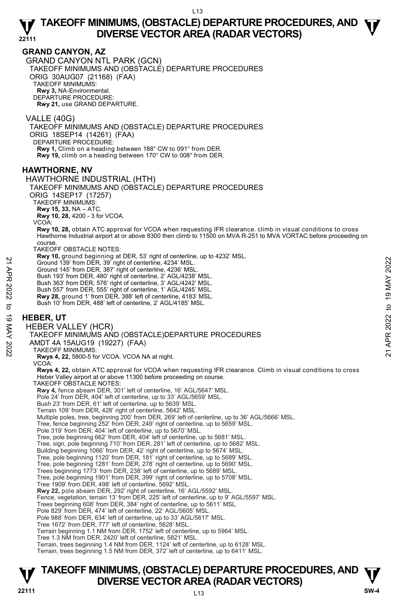### **GRAND CANYON, AZ**

GRAND CANYON NTL PARK (GCN) TAKEOFF MINIMUMS AND (OBSTACLE) DEPARTURE PROCEDURES ORIG 30AUG07 (21168) (FAA) TAKEOFF MINIMUMS: **Rwy 3,** NA-Environmental. DEPARTURE PROCEDURE: **Rwy 21,** use GRAND DEPARTURE.

VALLE (40G) TAKEOFF MINIMUMS AND (OBSTACLE) DEPARTURE PROCEDURES ORIG 18SEP14 (14261) (FAA) DEPARTURE PROCEDURE: **Rwy 1,** Climb on a heading between 188° CW to 091° from DER. **Rwy 19,** climb on a heading between 170° CW to 008° from DER.

## **HAWTHORNE, NV**

HAWTHORNE INDUSTRIAL (HTH)

TAKEOFF MINIMUMS AND (OBSTACLE) DEPARTURE PROCEDURES

ORIG 14SEP17 (17257)

TAKEOFF MINIMUMS:

**Rwy 15, 33,** NA – ATC.

**Rwy 10, 28,** 4200 - 3 for VCOA.

VCOA:

**Rwy 10, 28,** obtain ATC approval for VCOA when requesting IFR clearance. climb in visual conditions to cross<br>Hawthorne Industrial airport at or above 8300 then climb to 11500 on MVA R-251 to MVA VORTAC before proceeding o course.

TAKEOFF OBSTACLE NOTES:

**Rwy 10,** ground beginning at DER, 53' right of centerline, up to 4232' MSL.

Ground 139' from DER, 39' right of centerline, 4234' MSL.

Ground 145' from DER, 387' right of centerline, 4236' MSL.

Bush 193' from DER, 480' right of centerline, 2' AGL/4238' MSL. Bush 363' from DER, 576' right of centerline, 3' AGL/4242' MSL.

Bush 557' from DER, 555' right of centerline, 1' AGL/4245' MSL.

**Rwy 28,** ground 1' from DER, 388' left of centerline, 4183' MSL. Bush 10' from DER, 488' left of centerline, 2' AGL/4185' MSL.

#### **HEBER, UT**

HEBER VALLEY (HCR)

TAKEOFF MINIMUMS AND (OBSTACLE)DEPARTURE PROCEDURES 22 Cround 139' from DER, 39' right of centerline, 4234' MSL.<br>
22 Ground 139' from DER, 39' right of centerline, 4234' MSL.<br>
22 Ground 139' from DER, 480' right of centerline, 2' AGL/4238' MSL.<br>
Bush 193' from DER, 565' rig

AMDT 4A 15AUG19 (19227) (FAA)

TAKEOFF MINIMUMS:

**Rwys 4, 22,** 5800-5 for VCOA. VCOA NA at night.

VCOA:

**Rwys 4, 22,** obtain ATC approval for VCOA when requesting IFR clearance. Climb in visual conditions to cross Heber Valley airport at or above 11300 before proceeding on course.

TAKEOFF OBSTACLE NOTES:

**Rwy 4,** fence abeam DER, 301' left of centerline, 16' AGL/5647' MSL. Pole 24' from DER, 404' left of centerline, up to 33' AGL/5659' MSL.

Bush 23' from DER, 61' left of centerline, up to 5639' MSL.

Terrain 109' from DER, 428' right of centerline, 5642' MSL.

Multiple poles, tree, beginning 200' from DER, 269' left of centerline, up to 36' AGL/5666' MSL.

Tree, fence beginning 252' from DER, 249' right of centerline, up to 5659' MSL.

Pole 319' from DER, 404' left of centerline, up to 5670' MSL.

Tree, pole beginning 662' from DER, 404' left of centerline, up to 5681' MSL.

Tree, sign, pole beginning 710' from DER, 281' left of centerline, up to 5682' MSL.

Building beginning 1066' from DER, 42' right of centerline, up to 5674' MSL.

Tree, pole beginning 1120' from DER, 181' right of centerline, up to 5689' MSL. Tree, pole beginning 1281' from DER, 278' right of centerline, up to 5690' MSL.

Trees beginning 1773' from DER, 238' left of centerline, up to 5689' MSL.

Tree, pole beginning 1901' from DER, 399' right of centerline, up to 5708' MSL. Tree 1909' from DER, 498' left of centerline, 5692' MSL.

**Rwy 22,** pole abeam DER, 292' right of centerline, 16' AGL/5592' MSL.

Fence, vegetation, terrain 13' from DER, 225' left of centerline, up to 9' AGL/5597' MSL.

Trees beginning 608' from DER, 384' right of centerline, up to 5611' MSL. Pole 829' from DER, 474' left of centerline, 22' AGL/5605' MSL.

Pole 988' from DER, 634' left of centerline, up to 33' AGL/5617' MSL.

Tree 1672' from DER, 777' left of centerline, 5628' MSL.

Terrain beginning 1.1 NM from DER, 1752' left of centerline, up to 5964' MSL.

Tree 1.3 NM from DER, 2420' left of centerline, 5821' MSL.

Terrain, trees beginning 1.4 NM from DER, 1124' left of centerline, up to 6128' MSL.

Terrain, trees beginning 1.5 NM from DER, 372' left of centerline, up to 6411' MSL.

## **TAKEOFF MINIMUMS, (OBSTACLE) DEPARTURE PROCEDURES, AND**  $\Psi$ **<br>DIVERSE VECTOR AREA (RADAR VECTORS) DIVERSE VECTOR AREA (RADAR VECTORS) V**<br>22111 SW-4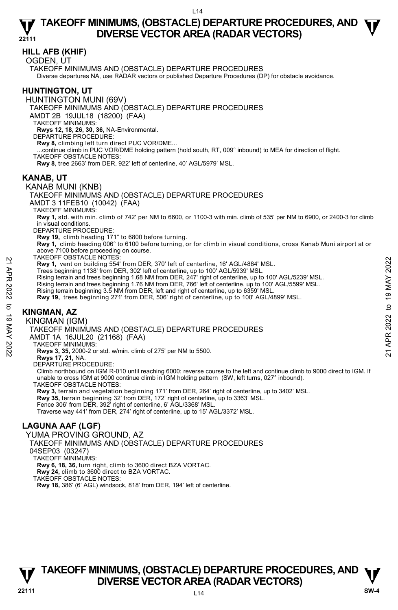### **HILL AFB (KHIF)**

OGDEN, UT

TAKEOFF MINIMUMS AND (OBSTACLE) DEPARTURE PROCEDURES Diverse departures NA, use RADAR vectors or published Departure Procedures (DP) for obstacle avoidance.

## **HUNTINGTON, UT**

HUNTINGTON MUNI (69V)

TAKEOFF MINIMUMS AND (OBSTACLE) DEPARTURE PROCEDURES

AMDT 2B 19JUL18 (18200) (FAA)

TAKEOFF MINIMUMS:

**Rwys 12, 18, 26, 30, 36,** NA-Environmental. DEPARTURE PROCEDURE:

**Rwy 8,** climbing left turn direct PUC VOR/DME...

...continue climb in PUC VOR/DME holding pattern (hold south, RT, 009° inbound) to MEA for direction of flight.

TAKEOFF OBSTACLE NOTES:

**Rwy 8,** tree 2663' from DER, 922' left of centerline, 40' AGL/5979' MSL.

### **KANAB, UT**

### KANAB MUNI (KNB)

TAKEOFF MINIMUMS AND (OBSTACLE) DEPARTURE PROCEDURES

AMDT 3 11FEB10 (10042) (FAA)

TAKEOFF MINIMUMS:

**Rwy 1,** std. with min. climb of 742' per NM to 6600, or 1100-3 with min. climb of 535' per NM to 6900, or 2400-3 for climb in visual conditions.

DEPARTURE PROCEDURE:

**Rwy 19,** climb heading 171° to 6800 before turning.

**Rwy 1,** climb heading 006° to 6100 before turning, or for climb in visual conditions, cross Kanab Muni airport at or above 7100 before proceeding on course.

TAKEOFF OBSTACLE NOTES:

- **Rwy 1,** vent on building 554' from DER, 370' left of centerline, 16' AGL/4884' MSL. Trees beginning 1138' from DER, 302' left of centerline, up to 100' AGL/5939' MSL.
- Rising terrain and trees beginning 1.68 NM from DER, 247' right of centerline, up to 100' AGL/5239' MSL. PACT USS PACT USING THE TRIM (19 MATHE PROCEDURES<br>
22 Trees beginning 1138' from DER, 370' left of centerline, up to 100' AGL/5939' MSL.<br>
Trees beginning 1138' from DER, 302' left of centerline, up to 100' AGL/5239' MSL.<br>
	-
	- Rising terrain and trees beginning 1.76 NM from DER, 766' left of centerline, up to 100' AGL/5599' MSL.<br>Rising terrain beginning 3.5 NM from DER, left and right of centerline, up to 6359' MSL.
	- **Rwy 19,** trees beginning 271' from DER, 506' right of centerline, up to 100' AGL/4899' MSL.

## **KINGMAN, AZ**

KINGMAN (IGM)

#### TAKEOFF MINIMUMS AND (OBSTACLE) DEPARTURE PROCEDURES

AMDT 1A 16JUL20 (21168) (FAA)

TAKEOFF MINIMUMS:

**Rwys 3, 35,** 2000-2 or std. w/min. climb of 275' per NM to 5500.

**Rwys 17, 21,** NA. DEPARTURE PROCEDURE:

Climb northbound on IGM R-010 until reaching 6000; reverse course to the left and continue climb to 9000 direct to IGM. If unable to cross IGM at 9000 continue climb in IGM holding pattern (SW, left turns, 027° inbound). TAKEOFF OBSTACLE NOTES:

**Rwy 3,** terrain and vegetation beginning 171' from DER, 264' right of centerline, up to 3402' MSL.

**Rwy 35,** terrain beginning 32' from DER, 172' right of centerline, up to 3363' MSL. Fence 306' from DER, 392' right of centerline, 6' AGL/3368' MSL.

Traverse way 441' from DER, 274' right of centerline, up to 15' AGL/3372' MSL.

## **LAGUNA AAF (LGF)**

YUMA PROVING GROUND, AZ

TAKEOFF MINIMUMS AND (OBSTACLE) DEPARTURE PROCEDURES

04SEP03 (03247)

TAKEOFF MINIMUMS:

**Rwy 6, 18, 36,** turn right, climb to 3600 direct BZA VORTAC.

**Rwy 24,** climb to 3600 direct to BZA VORTAC.

TAKEOFF OBSTACLE NOTES:

**Rwy 18,** 386' (6' AGL) windsock, 818' from DER, 194' left of centerline.

## **TAKEOFF MINIMUMS, (OBSTACLE) DEPARTURE PROCEDURES, AND**  $\Psi$ **<br>DIVERSE VECTOR AREA (RADAR VECTORS) V** DIVERSE VECTOR AREA (RADAR VECTORS) V<br>22111 SW-4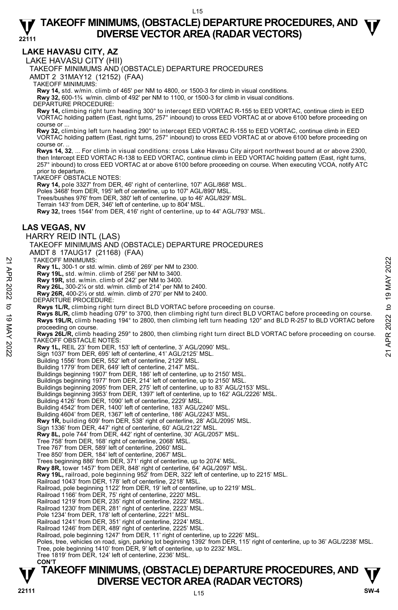**LAKE HAVASU CITY, AZ** 

LAKE HAVASU CITY (HII)

TAKEOFF MINIMUMS AND (OBSTACLE) DEPARTURE PROCEDURES

AMDT 2 31MAY12 (12152) (FAA)

TAKEOFF MINIMUMS:

**Rwy 14,** std. w/min. climb of 465' per NM to 4800, or 1500-3 for climb in visual conditions. **Rwy 32,** 600-1¾ w/min. climb of 492' per NM to 1100, or 1500-3 for climb in visual conditions.

DEPARTURE PROCEDURE:

**Rwy 14,** climbing right turn heading 300° to intercept EED VORTAC R-155 to EED VORTAC, continue climb in EED VORTAC holding pattern (East, right turns, 257° inbound) to cross EED VORTAC at or above 6100 before proceeding on course or ...

 **Rwy 32,** climbing left turn heading 290° to intercept EED VORTAC R-155 to EED VORTAC, continue climb in EED VORTAC holding pattern (East, right turns, 257° inbound) to cross EED VORTAC at or above 6100 before proceeding on course or.

 **Rwys 14, 32**, ... For climb in visual conditions: cross Lake Havasu City airport northwest bound at or above 2300, then Intercept EED VORTAC R-138 to EED VORTAC, continue climb in EED VORTAC holding pattern (East, right turns 257° inbound) to cross EED VORTAC at or above 6100 before proceeding on course. When executing VCOA, notify ATC prior to departure.

TAKEOFF OBSTACLE NOTES:

**Rwy 14,** pole 3327' from DER, 46' right of centerline, 107' AGL/868' MSL.

Poles 3468' from DER, 195' left of centerline, up to 107' AGL/890' MSL

Trees/bushes 976' from DER, 380' left of centerline, up to 46' AGL/829' MSL.

Terrain 143' from DER, 346' left of centerline, up to 804' MSL.

**Rwy 32,** trees 1544' from DER, 416' right of centerline, up to 44' AGL/793' MSL.

### **LAS VEGAS, NV**

HARRY REID INTL (LAS) TAKEOFF MINIMUMS AND (OBSTACLE) DEPARTURE PROCEDURES

AMDT 8 17AUG17 (21168) (FAA)

TAKEOFF MINIMUMS:

**Rwy 1L,** 300-1 or std. w/min. climb of 269' per NM to 2300.

- **Rwy 19L,** std. w/min. climb of 256' per NM to 3400.
- 

**Rwy 19R,** std. w/min. climb of 242' per NM to 3400. **Rwy 26L,** 300-2¼ or std. w/min. climb of 214' per NM to 2400.

- **Rwy 26R,** 400-2½ or std. w/min. climb of 270' per NM to 2400.
- DEPARTURE PROCEDURE:
- **Rwys 1L/R,** climbing right turn direct BLD VORTAC before proceeding on course.

**Rwys 8L/R,** climb heading 079° to 3700, then climbing right turn direct BLD VORTAC before proceeding on course. **Rwys 19L/R,** climb heading 194° to 2800, then climbing left turn heading 120° and BLD R-257 to BLD VORTAC before proceeding on course. TAKEOFF MINIMUMS:<br> **21** Rwy 191, 300-1 or std. w/min. climb of 269' per NM to 3400.<br>
Rwy 191, std. w/min. climb of 242' per NM to 3400.<br>
Rwy 201, 300-2'4 or std. w/min. climb of 214' per NM to 2400.<br>
Rwy 201, 300-2'4 or s

**Rwys 26L/R,** climb heading 259° to 2800, then climbing right turn direct BLD VORTAC before proceeding on course. TAKEOFF OBSTACLE NOTES:

**Rwy 1L,** REIL 23' from DER, 153' left of centerline, 3' AGL/2090' MSL.

Sign 1037' from DER, 695' left of centerline, 41' AGL/2125' MSL.

Building 1556' from DER, 552' left of centerline, 2129' MSL.

Building 1779' from DER, 649' left of centerline, 2147' MSL.

Buildings beginning 1907' from DER, 186' left of centerline, up to 2150' MSL. Buildings beginning 1977' from DER, 214' left of centerline, up to 2150' MSL.

- Buildings beginning 2095' from DER, 275' left of centerline, up to 83' AGL/2153' MSL.
- Buildings beginning 3953' from DER, 1397' left of centerline, up to 162' AGL/2226' MSL.<br>Building 4126' from DER, 1090' left of centerline, 2229' MSL.
- 

Building 4542' from DER, 1400' left of centerline, 183' AGL/2240' MSL.

Building 4604' from DER, 1367' left of centerline, 186' AGL/2243' MSL.

**Rwy 1R,** building 609' from DER, 538' right of centerline, 28' AGL/2095' MSL.

Sign 1336' from DER, 447' right of centerline, 60' AGL/2122' MSL.

**Rwy 8L,** pole 744' from DER, 442' right of centerline, 30' AGL/2057' MSL.

- Tree 758' from DER, 168' right of centerline, 2068' MSL. Tree 767' from DER, 589' left of centerline, 2060' MSL.
- Tree 850' from DER, 184' left of centerline, 2067' MSL.
- 

Trees beginning 886' from DER, 371' right of centerline, up to 2074' MSL.

**Rwy 8R,** tower 1457' from DER, 848' right of centerline, 64' AGL/2097' MSL. **Rwy 19L,** railroad, pole beginning 952' from DER, 322' left of centerline, up to 2215' MSL.

- Railroad 1043' from DER, 178' left of centerline, 2218' MSL.
- Railroad, pole beginning 1122' from DER, 19' left of centerline, up to 2219' MSL. Railroad 1166' from DER, 75' right of centerline, 2220' MSL.
- 

Railroad 1219' from DER, 235' right of centerline, 2222' MSL.

Railroad 1230' from DER, 281' right of centerline, 2223' MSL. Pole 1234' from DER, 178' left of centerline, 2221' MSL.

Railroad 1241' from DER, 351' right of centerline, 2224' MSL.

Railroad 1246' from DER, 489' right of centerline, 2225' MSL.

Railroad, pole beginning 1247' from DER, 11' right of centerline, up to 2226' MSL.

Poles, tree, vehicles on road, sign, parking lot beginning 1392' from DER, 115' right of centerline, up to 36' AGL/2238' MSL.

Tree, pole beginning 1410' from DER, 9' left of centerline, up to 2232' MSL.

Tree 1819' from DER, 124' left of centerline, 2236' MSL.

#### **CON'T**

## **TAKEOFF MINIMUMS, (OBSTACLE) DEPARTURE PROCEDURES, AND**  $\Psi$ **<br>DIVERSE VECTOR AREA (RADAR VECTORS) P DIVERSE VECTOR AREA (RADAR VECTORS) P P SW-4**  $\frac{80}{4}$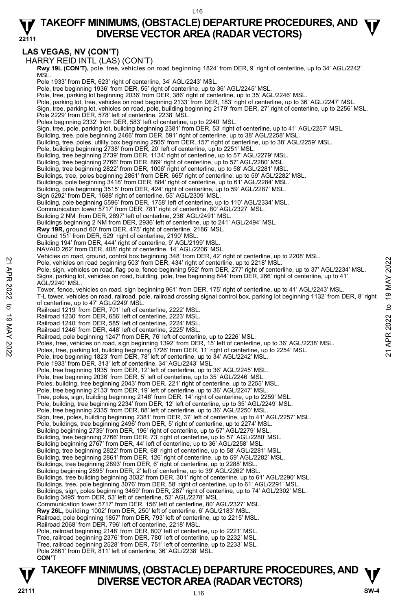#### L16

#### **22111 TAKEOFF MINIMUMS, (OBSTACLE) DEPARTURE PROCEDURES, AND**  $\Psi$ **DIVERSE VECTOR AREA (RADAR VECTORS)**

## **LAS VEGAS, NV (CON'T)**

HARRY REID INTL (LAS) (CON'T)

**Rwy 19L (CON'T),** pole, tree, vehicles on road beginning 1824' from DER, 9' right of centerline, up to 34' AGL/2242'<br>MSL. Pole 1933' from DER, 623' right of centerline, 34' AGL/2243' MSL. Pole, tree beginning 1936' from DER, 55' right of centerline, up to 36' AGL/2245' MSL. Pole, tree, parking lot beginning 2036' from DER, 386' right of centerline, up to 35' AGL/2246' MSL. Pole, parking lot, tree, vehicles on road beginning 2133' from DER, 183' right of centerline, up to 36' AGL/2247' MSL. Sign, tree, parking lot, vehicles on road, pole, building beginning 2179' from DER, 27' right of centerline, up to 2256' MSL. Pole 2229' from DER, 578' left of centerline, 2238' MSL. Poles beginning 2332' from DER, 583' left of centerline, up to 2240' MSL. Sign, tree, pole, parking lot, building beginning 2381' from DER, 53' right of centerline, up to 41' AGL/2257' MSL. Building, tree, pole beginning 2466' from DER, 591' right of centerline, up to 38' AGL/2258' MSL. Building, tree, poles, utility box beginning 2505' from DER, 157' right of centerline, up to 38' AGL/2259' MSL. Pole, building beginning 2738' from DER, 20' left of centerline, up to 2251' MSL. Building, tree beginning 2739' from DER, 1134' right of centerline, up to 57' AGL/2279' MSL. Building, tree beginning 2766' from DER, 869' right of centerline, up to 57' AGL/2280' MSL. Building, tree beginning 2822' from DER, 1006' right of centerline, up to 58' AGL/2281' MSL. Buildings, tree, poles beginning 2861' from DER, 665' right of centerline, up to 59' AGL/2282' MSL. Buildings, pole beginning 3418' from DER, 884' right of centerline, up to 61' AGL/2284' MSL. Building, pole beginning 3515' from DER, 424' right of centerline, up to 59' AGL/2287' MSL. Sign 5292' from DER, 1688' right of centerline, 55' AGL/2309' MSL. Building, pole beginning 5596' from DER, 1758' left of centerline, up to 110' AGL/2334' MSL. Communication tower 5717' from DER, 781' right of centerline, 80' AGL/2327' MSL. Building 2 NM from DER, 2897' left of centerline, 236' AGL/2491' MSL. Buildings beginning 2 NM from DER, 2936' left of centerline, up to 241' AGL/2494' MSL. **Rwy 19R,** ground 60' from DER, 475' right of centerline, 2186' MSL. Ground 151' from DER, 529' right of centerline, 2190' MSL. Building 194' from DER, 444' right of centerline, 9' AGL/2199' MSL. NAVAID 262' from DER, 408' right of centerline, 14' AGL/2206' MSL. Vehicles on road, ground, control box beginning 348' from DER, 42' right of centerline, up to 2208' MSL. Pole, vehicles on road beginning 503' from DER, 434' right of centerline, up to 2218' MSL. Pole, sign, vehicles on road, flag pole, fence beginning 592' from DER, 277' right of centerline, up to 37' AGL/2234' MSL. Signs, parking lot, vehicles on road, building, pole, tree beginning 844' from DER, 266' right of centerline, up to 41' AGL/2240' MSL. Tower, fence, vehicles on road, sign beginning 961' from DER, 175' right of centerline, up to 41' AGL/2243' MSL. T-L tower, vehicles on road, railroad, pole, railroad crossing signal control box, parking lot beginning 1132' from DER, 8' right of centerline, up to 47' AGL/2249' MSL. Railroad 1219' from DER, 701' left of centerline, 2222' MSL. Railroad 1230' from DER, 656' left of centerline, 2223' MSL. Railroad 1240' from DER, 585' left of centerline, 2224' MSL. Railroad 1246' from DER, 448' left of centerline, 2225' MSL. Railroad, pole beginning 1247' from DER, 76' left of centerline, up to 2226' MSL. Poles, tree, vehicles on road, sign beginning 1392' from DER, 15' left of centerline, up to 36' AGL/2238' MSL. Poles, tree, parking lot, building beginning 1726' from DER, 11' right of centerline, up to 2254' MSL. Pole, tree beginning 1823' from DER, 78' left of centerline, up to 34' AGL/2242' MSL. Pole 1933' from DER, 313' left of centerline, 34' AGL/2243' MSL. Pole, tree beginning 1935' from DER, 12' left of centerline, up to 36' AGL/2245' MSL. Pole, tree beginning 2036' from DER, 5' left of centerline, up to 35' AGL/2246' MSL. Poles, building, tree beginning 2043' from DER, 221' right of centerline, up to 2255' MSL. Pole, tree beginning 2133' from DER, 19' left of centerline, up to 36' AGL/2247' MSL.<br>Tree, poles, sign, building beginning 2146' from DER, 14' right of centerline, up to 2259' MSL. Pole, building, tree beginning 2234' from DER, 12' left of centerline, up to 35' AGL/2249' MSL. Pole, tree beginning 2335' from DER, 88' left of centerline, up to 36' AGL/2250' MSL.<br>Sign, tree, poles, building beginning 2381' from DER, 37' left of centerline, up to 41' AGL/2257' MSL.<br>Pole, buildings, tree beginning 2 Building beginning 2739' from DER, 196' right of centerline, up to 57' AGL/2279' MSL. Building, tree beginning 2766' from DER, 73' right of centerline, up to 57' AGL/2280' MSL.<br>Building beginning 2767' from DER, 44' left of centerline, up to 36' AGL/2258' MSL. Building, tree beginning 2822' from DER, 68' right of centerline, up to 58' AGL/2281' MSL. Building, tree beginning 2861' from DER, 126' right of centerline, up to 59' AGL/2282' MSL. Buildings, tree beginning 2893' from DER, 6' right of centerline, up to 2288' MSL. Building beginning 2895' from DER, 2' left of centerline, up to 39' AGL/2262' MSL. Buildings, tree building beginning 3032' from DER, 301' right of centerline, up to 61' AGL/2290' MSL. Buildings, tree, pole beginning 3076' from DER, 58' right of centerline, up to 61' AGL/2291' MSL. Buildings, sign, poles beginning 3459' from DER, 287' right of centerline, up to 74' AGL/2302' MSL. Building 3495' from DER, 53' left of centerline, 52' AGL/2278' MSL. Communication tower 5717' from DER, 156' left of centerline, 80' AGL/2327' MSL. **Rwy 26L,** building 1002' from DER, 250' left of centerline, 6' AGL/2183' MSL. Railroad, pole beginning 1857' from DER, 793' left of centerline, up to 2215' MSL. Railroad 2068' from DER, 796' left of centerline, 2218' MSL. Pole, railroad beginning 2148' from DER, 800' left of centerline, up to 2221' MSL. Tree, railroad beginning 2376' from DER, 780' left of centerline, up to 2232' MSL. Tree, railroad beginning 2528' from DER, 751' left of centerline, up to 2233' MSL. Pole 2861' from DER, 811' left of centerline, 36' AGL/2238' MSL.  **CON'T** 2022 To the protection of the experiment of the state of the protection of the state of the state of the state of the state of the state of the state of the state of the state of the state of the state of the state of the

# **TAKEOFF MINIMUMS, (OBSTACLE) DEPARTURE PROCEDURES, AND**  $\Psi$ **<br>DIVERSE VECTOR AREA (RADAR VECTORS) V** DIVERSE VECTOR AREA (RADAR VECTORS) W SW-4 **BM**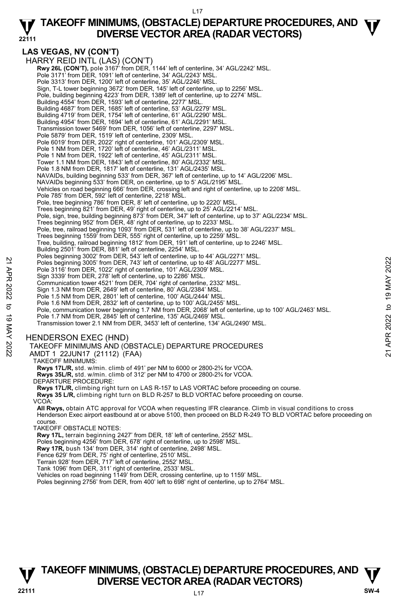#### L17

#### **22111 TAKEOFF MINIMUMS, (OBSTACLE) DEPARTURE PROCEDURES, AND**  $\Psi$ **DIVERSE VECTOR AREA (RADAR VECTORS)**

#### **LAS VEGAS, NV (CON'T)**  HARRY REID INTL (LAS) (CON'T) **Rwy 26L (CON'T),** pole 3167' from DER, 1144' left of centerline, 34' AGL/2242' MSL.<br>Pole 3171' from DER, 1091' left of centerline, 34' AGL/2243' MSL. Pole 3313' from DER, 1200' left of centerline, 35' AGL/2246' MSL. Sign, T-L tower beginning 3672' from DER, 145' left of centerline, up to 2256' MSL. Pole, building beginning 4223' from DER, 1389' left of centerline, up to 2274' MSL. Building 4554' from DER, 1593' left of centerline, 2277' MSL. Building 4687' from DER, 1685' left of centerline, 53' AGL/2279' MSL. Building 4719' from DER, 1754' left of centerline, 61' AGL/2290' MSL. Building 4954' from DER, 1694' left of centerline, 61' AGL/2291' MSL. Transmission tower 5469' from DER, 1056' left of centerline, 2297' MSL. Pole 5879' from DER, 1519' left of centerline, 2309' MSL. Pole 6019' from DER, 2022' right of centerline, 101' AGL/2309' MSL. Pole 1 NM from DER, 1720' left of centerline, 46' AGL/2311' MSL. Pole 1 NM from DER, 1922' left of centerline, 45' AGL/2311' MSL. Tower 1.1 NM from DER, 1843' left of centerline, 80' AGL/2332' MSL. Pole 1.8 NM from DER, 1817' left of centerline, 131' AGL/2435' MSL. NAVAIDs, building beginning 533' from DER, 367' left of centerline, up to 14' AGL/2206' MSL. NAVAIDs beginning 533' from DER, on centerline, up to 5' AGL/2195' MSL. Vehicles on road beginning 666' from DER, crossing left and right of centerline, up to 2208' MSL. Pole 785' from DER, 592' left of centerline, 2218' MSL. Pole, tree beginning 786' from DER, 8' left of centerline, up to 2220' MSL. Trees beginning 821' from DER, 49' right of centerline, up to 25' AGL/2214' MSL. Pole, sign, tree, building beginning 873' from DER, 347' left of centerline, up to 37' AGL/2234' MSL. Trees beginning 952' from DER, 48' right of centerline, up to 2233' MSL. Pole, tree, railroad beginning 1093' from DER, 531' left of centerline, up to 38' AGL/2237' MSL. Trees beginning 1559' from DER, 555' right of centerline, up to 2259' MSL. Tree, building, railroad beginning 1812' from DER, 191' left of centerline, up to 2246' MSL. Building 2501' from DER, 881' left of centerline, 2254' MSL. Poles beginning 3002' from DER, 543' left of centerline, up to 44' AGL/2271' MSL. Poles beginning 3005' from DER, 743' left of centerline, up to 48' AGL/2277' MSL. Pole 3116' from DER, 1022' right of centerline, 101' AGL/2309' MSL. Sign 3339' from DER, 278' left of centerline, up to 2286' MSL. Communication tower 4521' from DER, 704' right of centerline, 2332' MSL. Sign 1.3 NM from DER, 2649' left of centerline, 80' AGL/2384' MSL. Pole 1.5 NM from DER, 2801' left of centerline, 100' AGL/2444' MSL. Pole 1.6 NM from DER, 2832' left of centerline, up to 100' AGL/2455' MSL. Pole, communication tower beginning 1.7 NM from DER, 2068' left of centerline, up to 100' AGL/2463' MSL. Pole 1.7 NM from DER, 2845' left of centerline, 135' AGL/2469' MSL. Transmission tower 2.1 NM from DER, 3453' left of centerline, 134' AGL/2490' MSL. HENDERSON EXEC (HND) TAKEOFF MINIMUMS AND (OBSTACLE) DEPARTURE PROCEDURES AMDT 1 22JUN17 (21112) (FAA) TAKEOFF MINIMUMS: **Rwys 17L/R,** std. w/min. climb of 491' per NM to 6000 or 2800-2¾ for VCOA. **Rwys 35L/R,** std. w/min. climb of 312' per NM to 4700 or 2800-2¾ for VCOA. DEPARTURE PROCEDURE: **Rwys 17L/R,** climbing right turn on LAS R-157 to LAS VORTAC before proceeding on course. **Rwys 35 L/R,** climbing right turn on BLD R-257 to BLD VORTAC before proceeding on course. VCOA: Poles beginning 3005" from DER, 743" left of centerline, up to 48" AGL/2277" MSL.<br>
Pole 3116" from DER, 704" ight of centerline, up to 48" AGL/2277" MSL.<br>
Pole 3116" from DER, 2022 right of centerline, up to 2286" MSL.<br>
S

**All Rwys,** obtain ATC approval for VCOA when requesting IFR clearance. Climb in visual conditions to cross Henderson Exec airport eastbound at or above 5100, then proceed on BLD R-249 TO BLD VORTAC before proceeding on course.

TAKEOFF OBSTACLE NOTES:

**Rwy 17L,** terrain beginning 2427' from DER, 18' left of centerline, 2552' MSL.<br>Poles beginning 4256' from DER, 678' right of centerline, up to 2598' MSL.

**Rwy 17R,** bush 134' from DER, 314' right of centerline, 2498' MSL.

Fence 629' from DER, 75' right of centerline, 2510' MSL. Terrain 928' from DER, 717' left of centerline, 2552' MSL.

Tank 1096' from DER, 311' right of centerline, 2533' MSL.

Vehicles on road beginning 1149' from DER, crossing centerline, up to 1159' MSL.

Poles beginning 2756' from DER, from 400' left to 698' right of centerline, up to 2764' MSL.

## **TAKEOFF MINIMUMS, (OBSTACLE) DEPARTURE PROCEDURES, AND**  $\Psi$ **<br>DIVERSE VECTOR AREA (RADAR VECTORS) V** DIVERSE VECTOR AREA (RADAR VECTORS) W SW-4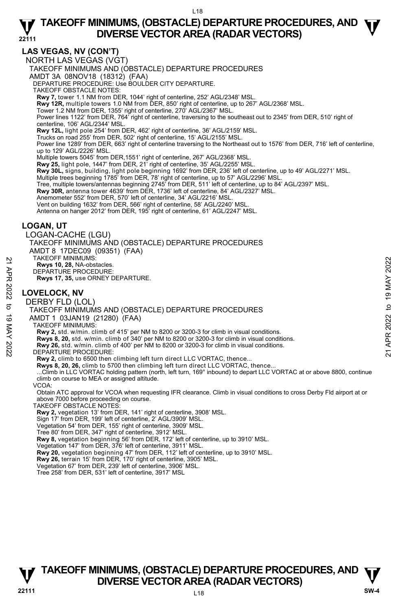## **LAS VEGAS, NV (CON'T)**

NORTH LAS VEGAS (VGT) TAKEOFF MINIMUMS AND (OBSTACLE) DEPARTURE PROCEDURES AMDT 3A 08NOV18 (18312) (FAA) DEPARTURE PROCEDURE: Use BOULDER CITY DEPARTURE. TAKEOFF OBSTACLE NOTES: **Rwy 7,** tower 1.1 NM from DER, 1044' right of centerline, 252' AGL/2348' MSL. **Rwy 12R,** multiple towers 1.0 NM from DER, 850' right of centerline, up to 267' AGL/2368' MSL.<br>Tower 1.2 NM from DER, 1355' right of centerline, 270' AGL/2367' MSL. Power lines 1122' from DER, 764' right of centerline, traversing to the southeast out to 2345' from DER, 510' right of centerline, 106' AGL/2344' MSL. **Rwy 12L,** light pole 254' from DER, 462' right of centerline, 36' AGL/2159' MSL. Trucks on road 255' from DER, 502' right of centerline, 15' AGL/2155' MSL. Power line 1289' from DER, 663' right of centerline traversing to the Northeast out to 1576' from DER, 716' left of centerline, up to 129' AGL/2226' MSL.<br>Multiple towers 5045' from DER,1551' right of centerline, 267' AGL/2368' MSL. **Rwy 25,** light pole, 1447' from DER, 21' right of centerline, 35' AGL/2255' MSL. **Rwy 30L,** signs, building, light pole beginning 1692' from DER, 236' left of centerline, up to 49' AGL/2271' MSL. Multiple trees beginning 1785' from DER, 78' right of centerline, up to 57' AGL/2296' MSL. Tree, multiple towers/antennas beginning 2745' from DER, 511' left of centerline, up to 84' AGL/2397' MSL. **Rwy 30R,** antenna tower 4639' from DER, 1736' left of centerline, 84' AGL/2327' MSL. Anemometer 552' from DER, 570' left of centerline, 34' AGL/2216' MSL. Vent on building 1632' from DER, 566' right of centerline, 58' AGL/2240' MSL. Antenna on hanger 2012' from DER, 195' right of centerline, 61' AGL/2247' MSL. **LOGAN, UT**  LOGAN-CACHE (LGU) TAKEOFF MINIMUMS AND (OBSTACLE) DEPARTURE PROCEDURES AMDT 8 17DEC09 (09351) (FAA) TAKEOFF MINIMUMS: **Rwys 10, 28,** NA-obstacles. DEPARTURE PROCEDURE: **Rwys 17, 35,** use ORNEY DEPARTURE. **LOVELOCK, NV**  DERBY FLD (LOL) TAKEOFF MINIMUMS AND (OBSTACLE) DEPARTURE PROCEDURES AMDT 1 03JAN19 (21280) (FAA) TAKEOFF MINIMUMS: **Rwy 2,** std. w/min. climb of 415' per NM to 8200 or 3200-3 for climb in visual conditions. **Rwys 8, 20,** std. w/min. climb of 340' per NM to 8200 or 3200-3 for climb in visual conditions. **Rwy 26,** std. w/min. climb of 400' per NM to 8200 or 3200-3 for climb in visual conditions. DEPARTURE PROCEDURE: Rwy 2, climb to 6500 then climbing left turn direct LLC VORTAC, thence **Rwys 8, 20, 26,** climb to 5700 then climbing left turn direct LLC VORTAC, thence... ...Climb in LLC VORTAC holding pattern (north, left turn, 169° inbound) to depart LLC VORTAC at or above 8800, continue climb on course to MEA or assigned altitude. VCOA: Obtain ATC approval for VCOA when requesting IFR clearance. Climb in visual conditions to cross Derby Fld airport at or above 7000 before proceeding on course. TAKEOFF OBSTACLE NOTES: **Rwy 2,** vegetation 13' from DER, 141' right of centerline, 3908' MSL. Sign 17' from DER, 199' left of centerline, 2' AGL/3909' MSL. Vegetation 54' from DER, 155' right of centerline, 3909' MSL. Tree 80' from DER, 347' right of centerline, 3912' MSL. **Rwy 8,** vegetation beginning 56' from DER, 172' left of centerline, up to 3910' MSL. Vegetation 147' from DER, 376' left of centerline, 3911' MSL. **Rwy 20,** vegetation beginning 47' from DER, 112' left of centerline, up to 3910' MSL.<br>**Rwy 26,** terrain 15' from DER, 170' right of centerline, 3905' MSL. **EXAMPLE PROCEDURE:**<br> **21 ARR 2022 TO 19 APP 2022**<br> **22 EDEPARTURE PROCEDURE:**<br> **22 EDVELOCK, NV**<br> **23 DOVELOCK, NV**<br> **23 DOVELOCK, NV**<br> **23 DOVELOCK, NV**<br> **24 DERBY FLD (LOL)**<br>
TAKEOFF MINIMUMS AND (OBSTACLE) DEPARTURE P

- Vegetation 67' from DER, 239' left of centerline, 3906' MSL.
- Tree 258' from DER, 531' left of centerline, 3917' MSL

## L18 **TAKEOFF MINIMUMS, (OBSTACLE) DEPARTURE PROCEDURES, AND**  $\Psi$ **<br>DIVERSE VECTOR AREA (RADAR VECTORS) V** DIVERSE VECTOR AREA (RADAR VECTORS) W SW-4 **BM**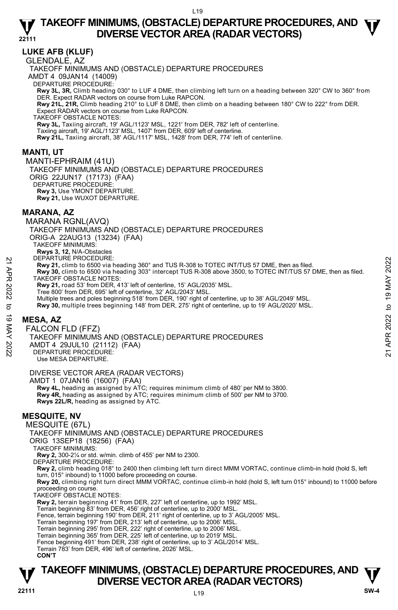## **LUKE AFB (KLUF)**

GLENDALE, AZ

TAKEOFF MINIMUMS AND (OBSTACLE) DEPARTURE PROCEDURES AMDT 4 09JAN14 (14009) DEPARTURE PROCEDURE: **Rwy 3L, 3R,** Climb heading 030° to LUF 4 DME, then climbing left turn on a heading between 320° CW to 360° from DER. Expect RADAR vectors on course from Luke RAPCON. **Rwy 21L, 21R,** Climb heading 210° to LUF 8 DME, then climb on a heading between 180° CW to 222° from DER. Expect RADAR vectors on course from Luke RAPCON. TAKEOFF OBSTACLE NOTES: **Rwy 3L,** Taxiing aircraft, 19' AGL/1123' MSL, 1221' from DER, 782' left of centerline. Taxiing aircraft, 19' AGL/1123' MSL, 1407' from DER, 609' left of centerline. **Rwy 21L,** Taxiing aircraft, 38' AGL/1117' MSL, 1428' from DER, 774' left of centerline. **MANTI, UT**  MANTI-EPHRAIM (41U) TAKEOFF MINIMUMS AND (OBSTACLE) DEPARTURE PROCEDURES ORIG 22JUN17 (17173) (FAA) DEPARTURE PROCEDURE

**Rwy 3,** Use YMONT DEPARTURE. **Rwy 21,** Use WUXOT DEPARTURE.

## **MARANA, AZ**

MARANA RGNL(AVQ) TAKEOFF MINIMUMS AND (OBSTACLE) DEPARTURE PROCEDURES ORIG-A 22AUG13 (13234) (FAA) TAKEOFF MINIMUMS: **Rwys 3, 12,** N/A-Obstacles DEPARTURE PROCEDURE: **Rwy 21,** climb to 6500 via heading 360° and TUS R-308 to TOTEC INT/TUS 57 DME, then as filed. **y 30,** climb to 6500 via heading 303° intercept TUS R-308 above 3500, to TOTEC INT/TUS 57 DME, then as filed. TAKEOFF OBSTACLE NOTES: **Rwy 21,** road 53' from DER, 413' left of centerline, 15' AGL/2035' MSL. Tree 800' from DER, 695' left of centerline, 32' AGL/2043' MSL. Multiple trees and poles beginning 518' from DER, 190' right of centerline, up to 38' AGL/2049' MSL. **Rwy 30,** multiple trees beginning 148' from DER, 275' right of centerline, up to 19' AGL/2020' MSL. 22 EARTURE PROCEDURE:<br>
22 EART UNIVELIME COLLUME:<br>
22 EART 2022 TAKE CON Via heading 360° and TUS R-308 to TOTEC INT/TUS 57 DME, then as filed.<br>
22 TAKE OFF OBSTACLE NOTES:<br>
22 TAKE OF OBSTACLE NOTES.<br>
22 TAKE OF OBSTACLE

## **MESA, AZ**

FALCON FLD (FFZ) TAKEOFF MINIMUMS AND (OBSTACLE) DEPARTURE PROCEDURES AMDT 4 29JUL10 (21112) (FAA) DEPARTURE PROCEDURE:

Use MESA DEPARTURE.

### DIVERSE VECTOR AREA (RADAR VECTORS)

AMDT 1 07JAN16 (16007) (FAA)

 **Rwy 4L,** heading as assigned by ATC; requires minimum climb of 480' per NM to 3800. **Rwy 4R,** heading as assigned by ATC; requires minimum climb of 500' per NM to 3700. **Rwys 22L/R,** heading as assigned by ATC.

## **MESQUITE, NV**

MESQUITE (67L)

TAKEOFF MINIMUMS AND (OBSTACLE) DEPARTURE PROCEDURES

ORIG 13SEP18 (18256) (FAA)

TAKEOFF MINIMUMS:

**Rwy 2,** 300-2¼ or std. w/min. climb of 455' per NM to 2300.

DEPARTURE PROCEDURE:

**Rwy 2,** climb heading 018° to 2400 then climbing left turn direct MMM VORTAC, continue climb-in hold (hold S, left turn, 015° inbound) to 11000 before proceeding on course.

**Rwy 20,** climbing right turn direct MMM VORTAC, continue climb-in hold (hold S, left turn 015° inbound) to 11000 before proceeding on course.

TAKEOFF OBSTACLE NOTES:

**Rwy 2,** terrain beginning 41' from DER, 227' left of centerline, up to 1992' MSL.

Terrain beginning 83' from DER, 456' right of centerline, up to 2000' MSL.

Fence, terrain beginning 190' from DER, 211' right of centerline, up to 3' AGL/2005' MSL.

Terrain beginning 197' from DER, 213' left of centerline, up to 2006' MSL.

Terrain beginning 295' from DER, 222' right of centerline, up to 2006' MSL.<br>Terrain beginning 365' from DER, 225' left of centerline, up to 2019' MSL.

Fence beginning 491' from DER, 238' right of centerline, up to 3' AGL/2014' MSL.

Terrain 783' from DER, 496' left of centerline, 2026' MSL.

**CON'T**

## **TAKEOFF MINIMUMS, (OBSTACLE) DEPARTURE PROCEDURES, AND**  $\Psi$ **<br>DIVERSE VECTOR AREA (RADAR VECTORS) V** DIVERSE VECTOR AREA (RADAR VECTORS) **V**<br>22111 SW-4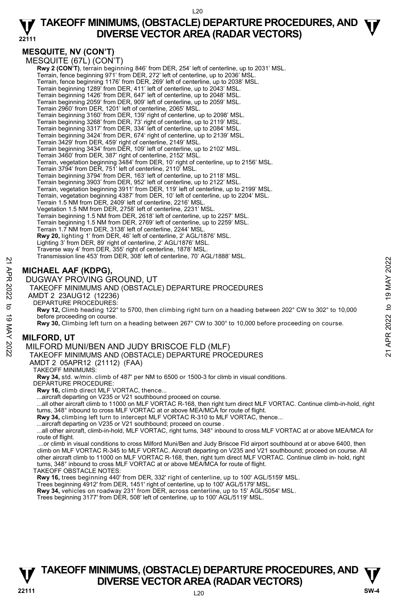## **MESQUITE, NV (CON'T)**

MESQUITE (67L) (CON'T) **Rwy 2 (CON'T)**, terrain beginning 846' from DER, 254' left of centerline, up to 2031' MSL.<br>Terrain, fence beginning 971' from DER, 272' left of centerline, up to 2036' MSL. Terrain, fence beginning 1176' from DER, 269' left of centerline, up to 2038' MSL. Terrain beginning 1289' from DER, 411' left of centerline, up to 2043' MSL. Terrain beginning 1426' from DER, 647' left of centerline, up to 2048' MSL. Terrain beginning 2059' from DER, 909' left of centerline, up to 2059' MSL. Terrain 2960' from DER, 1201' left of centerline, 2065' MSL. Terrain beginning 3160' from DER, 139' right of centerline, up to 2098' MSL. Terrain beginning 3268' from DER, 73' right of centerline, up to 2119' MSL. Terrain beginning 3317' from DER, 334' left of centerline, up to 2084' MSL. Terrain beginning 3424' from DER, 674' right of centerline, up to 2139' MSL. Terrain 3429' from DER, 459' right of centerline, 2149' MSL. Terrain beginning 3434' from DER, 109' left of centerline, up to 2102' MSL. Terrain 3460' from DER, 387' right of centerline, 2152' MSL. Terrain, vegetation beginning 3484' from DER, 10' right of centerline, up to 2156' MSL. Terrain 3794' from DER, 751' left of centerline, 2110' MSL. Terrain beginning 3794' from DER, 163' left of centerline, up to 2118' MSL. Terrain beginning 3903' from DER, 952' left of centerline, up to 2122' MSL. Terrain, vegetation beginning 3911' from DER, 119' left of centerline, up to 2199' MSL. Terrain, vegetation beginning 4387' from DER, 10' left of centerline, up to 2204' MSL. Terrain 1.5 NM from DER, 2409' left of centerline, 2216' MSL. Vegetation 1.5 NM from DER, 2758' left of centerline, 2231' MSL. Terrain beginning 1.5 NM from DER, 2618' left of centerline, up to 2257' MSL. Terrain beginning 1.5 NM from DER, 2769' left of centerline, up to 2259' MSL. Terrain 1.7 NM from DER, 3138' left of centerline, 2244' MSL. **Rwy 20,** lighting 1' from DER, 46' left of centerline, 2' AGL/1876' MSL. Lighting 3' from DER, 89' right of centerline, 2' AGL/1876' MSL. Traverse way 4' from DER, 355' right of centerline, 1878' MSL. Transmission line 453' from DER, 308' left of centerline, 70' AGL/1888' MSL. **MICHAEL AAF (KDPG),**<br> **DUGWAY PROVING GROUND, UT**<br>
TAKEOFF MINIMUMS AND (OBSTACLE) DEPARTURE PROCEDURES<br>
ANDT 2 23AUG12 (12236)<br>
ANDT 2 23AUG12 (12236)<br>
APREMINE PROCEDURES:<br>
ANDT 2 23AUG12 (12236)<br>
DEPARTURE PROCEDURES:

## **MICHAEL AAF (KDPG),**

DUGWAY PROVING GROUND, UT

TAKEOFF MINIMUMS AND (OBSTACLE) DEPARTURE PROCEDURES

AMDT 2 23AUG12 (12236)

DEPARTURE PROCEDURES:

**Rwy 12,** Climb heading 122° to 5700, then climbing right turn on a heading between 202° CW to 302° to 10,000 before proceeding on course.

**Rwy 30,** Climbing left turn on a heading between 267° CW to 300° to 10,000 before proceeding on course.

## **MILFORD, UT**

MILFORD MUNI/BEN AND JUDY BRISCOE FLD (MLF)

TAKEOFF MINIMUMS AND (OBSTACLE) DEPARTURE PROCEDURES

AMDT 2 05APR12 (21112) (FAA)

TAKEOFF MINIMUMS:

**Rwy 34,** std. w/min. climb of 487' per NM to 6500 or 1500-3 for climb in visual conditions.

DEPARTURE PROCEDURE:

**Rwy 16,** climb direct MLF VORTAC, thence...

...aircraft departing on V235 or V21 southbound proceed on course.

 ...all other aircraft climb to 11000 on MLF VORTAC R-168, then right turn direct MLF VORTAC. Continue climb-in-hold, right turns, 348° inbound to cross MLF VORTAC at or above MEA/MCA for route of flight.

**Rwy 34,** climbing left turn to intercept MLF VORTAC R-310 to MLF VORTAC, thence...

...aircraft departing on V235 or V21 southbound; proceed on course

 ...all other aircraft, climb-in-hold, MLF VORTAC, right turns, 348° inbound to cross MLF VORTAC at or above MEA/MCA for route of flight.

 ...or climb in visual conditions to cross Milford Muni/Ben and Judy Briscoe Fld airport southbound at or above 6400, then climb on MLF VORTAC R-345 to MLF VORTAC. Aircraft departing on V235 and V21 southbound; proceed on course. All other aircraft climb to 11000 on MLF VORTAC R-168, then, right turn direct MLF VORTAC. Continue climb in- hold, right turns, 348° inbound to cross MLF VORTAC at or above MEA/MCA for route of flight.

TAKEOFF OBSTACLE NOTES:

**Rwy 16,** trees beginning 440' from DER, 332' right of centerline, up to 100' AGL/5159' MSL.

Trees beginning 4912' from DER, 1451' right of centerline, up to 100' AGL/5179' MSL.

**Rwy 34,** vehicles on roadway 231' from DER, across centerline, up to 15' AGL/5054' MSL.

Trees beginning 3177' from DER, 508' left of centerline, up to 100' AGL/5119' MSL.

## **TAKEOFF MINIMUMS, (OBSTACLE) DEPARTURE PROCEDURES, AND**  $\Psi$ **<br>DIVERSE VECTOR AREA (RADAR VECTORS) V** DIVERSE VECTOR AREA (RADAR VECTORS) W SW-4 **BM**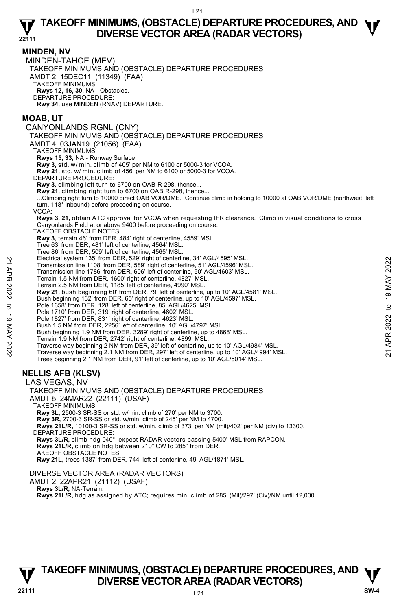#### **MINDEN, NV**

MINDEN-TAHOE (MEV) TAKEOFF MINIMUMS AND (OBSTACLE) DEPARTURE PROCEDURES AMDT 2 15DEC11 (11349) (FAA) TAKEOFF MINIMUMS: **Rwys 12, 16, 30,** NA - Obstacles. DEPARTURE PROCEDURE: **Rwy 34,** use MINDEN (RNAV) DEPARTURE.

## **MOAB, UT**

CANYONLANDS RGNL (CNY) TAKEOFF MINIMUMS AND (OBSTACLE) DEPARTURE PROCEDURES AMDT 4 03JAN19 (21056) (FAA) TAKEOFF MINIMUMS: **Rwys 15, 33,** NA - Runway Surface. **Rwy 3,** std. w/ min. climb of 405' per NM to 6100 or 5000-3 for VCOA. **Rwy 21,** std. w/ min. climb of 456' per NM to 6100 or 5000-3 for VCOA. DEPARTURE PROCEDURE: **Rwy 3,** climbing left turn to 6700 on OAB R-298, thence... **Rwy 21,** climbing right turn to 6700 on OAB R-298, thence... ...Climbing right turn to 10000 direct OAB VOR/DME. Continue climb in holding to 10000 at OAB VOR/DME (northwest, left turn, 118° inbound) before proceeding on course. VCOA:

**Rwys 3, 21,** obtain ATC approval for VCOA when requesting IFR clearance. Climb in visual conditions to cross Canyonlands Field at or above 9400 before proceeding on course.

TAKEOFF OBSTACLE NOTES:

**Rwy 3,** terrain 46' from DER, 484' right of centerline, 4559' MSL.

Tree 63' from DER, 481' left of centerline, 4564' MSL.

Tree 86' from DER, 509' left of centerline, 4565' MSL.

Electrical system 135' from DER, 529' right of centerline, 34' AGL/4595' MSL.

Transmission line 1108' from DER, 589' right of centerline, 51' AGL/4596' MSL.

Transmission line 1786' from DER, 606' left of centerline, 50' AGL/4603' MSL. Terrain 1.5 NM from DER, 1600' right of centerline, 4827' MSL.

Terrain 2.5 NM from DER, 1185' left of centerline, 4990' MSL.

**Rwy 21,** bush beginning 60' from DER, 79' left of centerline, up to 10' AGL/4581' MSL.

Bush beginning 132' from DER, 65' right of centerline, up to 10' AGL/4597' MSL.

Pole 1658' from DER, 128' left of centerline, 85' AGL/4625' MSL. Pole 1710' from DER, 319' right of centerline, 4602' MSL.

Pole 1827' from DER, 831' right of centerline, 4623' MSL. Bush 1.5 NM from DER, 2256' left of centerline, 10' AGL/4797' MSL.

Bush beginning 1.9 NM from DER, 3289' right of centerline, up to 4868' MSL.

Terrain 1.9 NM from DER, 2742' right of centerline, 4899' MSL.

Traverse way beginning 2 NM from DER, 39' left of centerline, up to 10' AGL/4984' MSL. Traverse way beginning 2.1 NM from DER, 297' left of centerline, up to 10' AGL/4994' MSL. Electrical system 135' from DER, 529' ignt of centerline, 51' AGL/4996' MSL.<br>
Transmission line 1786' from DER, 699' right of centerline, 51' AGL/4506' MSL.<br>
Transmission line 1786' from DER, 606' left of centerline, 4907

Trees beginning 2.1 NM from DER, 91' left of centerline, up to 10' AGL/5014' MSL.

## **NELLIS AFB (KLSV)**

LAS VEGAS, NV

TAKEOFF MINIMUMS AND (OBSTACLE) DEPARTURE PROCEDURES AMDT 5 24MAR22 (22111) (USAF) TAKEOFF MINIMUMS: **Rwy 3L,** 2500-3 SR-SS or std. w/min. climb of 270' per NM to 3700. **Rwy 3R,** 2700-3 SR-SS or std. w/min. climb of 245' per NM to 4700.  **Rwys 21L/R,** 10100-3 SR-SS or std. w/min. climb of 373' per NM (mil)/402' per NM (civ) to 13300. DEPARTURE PROCEDURE: **Rwys 3L/R,** climb hdg 040°, expect RADAR vectors passing 5400' MSL from RAPCON. **Rwys 21L/R,** climb on hdg between 210° CW to 285° from DER. TAKEOFF OBSTACLE NOTES:

**Rwy 21L,** trees 1387' from DER, 744' left of centerline, 49' AGL/1871' MSL.

DIVERSE VECTOR AREA (RADAR VECTORS)

AMDT 2 22APR21 (21112) (USAF)

 **Rwys 3L/R,** NA-Terrain.

**Rwys 21L/R,** hdg as assigned by ATC; requires min. climb of 285' (Mil)/297' (Civ)/NM until 12,000.

## **TAKEOFF MINIMUMS, (OBSTACLE) DEPARTURE PROCEDURES, AND**  $\Psi$ **<br>DIVERSE VECTOR AREA (RADAR VECTORS) V** DIVERSE VECTOR AREA (RADAR VECTORS) W SW-4 **BM**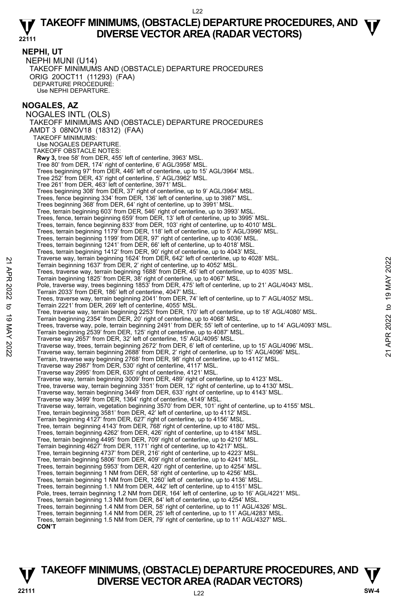#### **NEPHI, UT**

NEPHI MUNI (U14) TAKEOFF MINIMUMS AND (OBSTACLE) DEPARTURE PROCEDURES ORIG 20OCT11 (11293) (FAA) DEPARTURE PROCEDURE: Use NEPHI DEPARTURE.

### **NOGALES, AZ**

NOGALES INTL (OLS) TAKEOFF MINIMUMS AND (OBSTACLE) DEPARTURE PROCEDURES AMDT 3 08NOV18 (18312) (FAA) TAKEOFF MINIMUMS: Use NOGALES DEPARTURE. TAKEOFE OBSTACLE NOTES: **Rwy 3,** tree 58' from DER, 455' left of centerline, 3963' MSL. Tree 80' from DER, 174' right of centerline, 6' AGL/3958' MSL. Trees beginning 97' from DER, 446' left of centerline, up to 15' AGL/3964' MSL. Tree 252' from DER, 43' right of centerline, 5' AGL/3962' MSL. Tree 261' from DER, 463' left of centerline, 3971' MSL. Trees beginning 308' from DER, 37' right of centerline, up to 9' AGL/3964' MSL. Trees, fence beginning 334' from DER, 136' left of centerline, up to 3987' MSL. Trees beginning 368' from DER, 64' right of centerline, up to 3991' MSL. Tree, terrain beginning 603' from DER, 546' right of centerline, up to 3993' MSL. Trees, fence, terrain beginning 659' from DER, 13' left of centerline, up to 3995' MSL. Trees, terrain, fence beginning 833' from DER, 103' right of centerline, up to 4010' MSL. Trees, terrain beginning 1179' from DER, 118' left of centerline, up to 5' AGL/3996' MSL. Trees, terrain beginning 1199' from DER, 97' right of centerline, up to 4036' MSL. Trees, terrain beginning 1241' from DER, 66' left of centerline, up to 4018' MSL. Trees, terrain beginning 1412' from DER, 90' right of centerline, up to 4043' MSL. Traverse way, terrain beginning 1624' from DER, 642' left of centerline, up to 4028' MSL. Terrain beginning 1637' from DER, 2' right of centerline, up to 4052' MSL. Trees, traverse way, terrain beginning 1688' from DER, 45' left of centerline, up to 4035' MSL. Terrain beginning 1825' from DER, 38' right of centerline, up to 4067' MSL. Pole, traverse way, trees beginning 1853 from DER, 475' left of centerline, up to 21' AGL/4043' MSL. Terrain 2033' from DER, 186' left of centerline, 4047' MSL. Trees, traverse way, terrain beginning 2041' from DER, 74' left of centerline, up to 7' AGL/4052' MSL. Terrain 2221' from DER, 269' left of centerline, 4055' MSL. Tree, traverse way, terrain beginning 2253' from DER, 170' left of centerline, up to 18' AGL/4080' MSL. Terrain beginning 2354' from DER, 20' right of centerline, up to 4068' MSL. Trees, traverse way, pole, terrain beginning 2491' from DER; 55' left of centerline, up to 14' AGL/4093' MSL. Terrain beginning 2539' from DER, 125' right of centerline, up to 4087' MSL. Traverse way 2657' from DER, 32' left of centerline, 15' AGL/4095' MSL. Terrain beginning 1637 from DER, 2 right of center of center of enterine, up to 4028° MSL.<br>Terrain beginning 1637 from DER, 2 right of centerline, up to 4052° MSL.<br>Terrain beginning 1857 from DER, 2 right of center line, u Terrain, traverse way beginning 2768' from DER, 98' right of centerline, up to 4112' MSL. Traverse way 2987' from DER, 530' right of centerline, 4117' MSL. Traverse way 2995' from DER, 635' right of centerline, 4121' MSL. Traverse way, terrain beginning 3009' from DER, 489' right of centerline, up to 4123' MSL. Tree, traverse way, terrain beginning 3351' from DER, 12' right of centerline, up to 4130' MSL. Traverse way, terrain beginning 3449' from DER, 633' right of centerline, up to 4143' MSL. Traverse way 3499' from DER, 1364' right of centerline, 4149' MSL. Traverse way, terrain, vegetation beginning 3570' from DER, 101' right of centerline, up to 4155' MSL. Tree, terrain beginning 3581' from DER, 42' left of centerline, up to 4112' MSL. Terrain beginning 4127' from DER, 627' right of centerline, up to 4156' MSL. Tree, terrain beginning 4143' from DER, 768' right of centerline, up to 4180' MSL. Trees, terrain beginning 4262' from DER, 426' right of centerline, up to 4184' MSL. Tree, terrain beginning 4495' from DER, 709' right of centerline, up to 4210' MSL. Terrain beginning 4627' from DER, 1171' right of centerline, up to 4217' MSL. Tree, terrain beginning 4737' from DER, 216' right of centerline, up to 4223' MSL. Tree, terrain beginning 5806' from DER, 409' right of centerline, up to 4241' MSL. Trees, terrain beginning 5953' from DER, 420' right of centerline, up to 4254' MSL. Trees, terrain beginning 1 NM from DER, 58' right of centerline, up to 4256' MSL. Trees, terrain beginning 1 NM from DER, 1260' left of centerline, up to 4136' MSL. Trees, terrain beginning 1.1 NM from DER, 442' left of centerline, up to 4151' MSL. Pole, trees, terrain beginning 1.2 NM from DER, 164' left of centerline, up to 16' AGL/4221' MSL. Trees, terrain beginning 1.3 NM from DER, 84' left of centerline, up to 4254' MSL. Trees, terrain beginning 1.4 NM from DER, 58' right of centerline, up to 11' AGL/4326' MSL. Trees, terrain beginning 1.4 NM from DER, 25' left of centerline, up to 11' AGL/4283' MSL. Trees, terrain beginning 1.5 NM from DER, 79' right of centerline, up to 11' AGL/4327' MSL. **CON'T**

## **TAKEOFF MINIMUMS, (OBSTACLE) DEPARTURE PROCEDURES, AND**  $\Psi$ **<br>DIVERSE VECTOR AREA (RADAR VECTORS) V** DIVERSE VECTOR AREA (RADAR VECTORS) V<br>22111 SW-4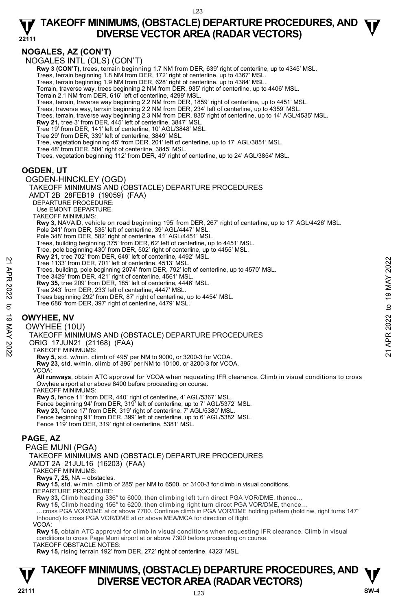## **NOGALES, AZ (CON'T)**

NOGALES INTL (OLS) (CON'T)

**Rwy 3 (CON'T),** trees, terrain beginning 1.7 NM from DER, 639' right of centerline, up to 4345' MSL.

Trees, terrain beginning 1.8 NM from DER, 172' right of centerline, up to 4367' MSL. Trees, terrain beginning 1.9 NM from DER, 628' right of centerline, up to 4384' MSL.

Terrain, traverse way, trees beginning 2 NM from DER, 935' right of centerline, up to 4406' MSL.

Terrain 2.1 NM from DER, 616' left of centerline, 4299' MSL.

- Trees, terrain, traverse way beginning 2.2 NM from DER, 1859' right of centerline, up to 4451' MSL. Trees, traverse way, terrain beginning 2.2 NM from DER, 234' left of centerline, up to 4359' MSL.
- Trees, terrain, traverse way beginning 2.3 NM from DER, 835' right of centerline, up to 14' AGL/4535' MSL.
- 

**Rwy 21,** tree 3' from DER, 445' left of centerline, 3847' MSL. Tree 19' from DER, 141' left of centerline, 10' AGL/3848' MSL.

Tree 29' from DER, 339' left of centerline, 3849' MSL.

Tree, vegetation beginning 45' from DER, 201' left of centerline, up to 17' AGL/3851' MSL. Tree 48' from DER, 504' right of centerline, 3845' MSL.

Trees, vegetation beginning 112' from DER, 49' right of centerline, up to 24' AGL/3854' MSL.

## **OGDEN, UT**

- OGDEN-HINCKLEY (OGD)
- TAKEOFF MINIMUMS AND (OBSTACLE) DEPARTURE PROCEDURES AMDT 2B 28FEB19 (19059) (FAA) DEPARTURE PROCEDURE: Use EMONT DEPARTURE. TAKEOFF MINIMUMS: **Rwy 3,** NAVAID, vehicle on road beginning 195' from DER, 267' right of centerline, up to 17' AGL/4426' MSL. Pole 241' from DER, 535' left of centerline, 39' AGL/4447' MSL. Pole 348' from DER, 582' right of centerline, 41' AGL/4451' MSL. Trees, building beginning 375' from DER, 62' left of centerline, up to 4451' MSL. Tree, pole beginning 430' from DER, 502' right of centerline, up to 4455' MSL. **Rwy 21,** tree 702' from DER, 649' left of centerline, 4492' MSL. Tree 1133' from DER, 701' left of centerline, 4513' MSL. Trees, building, pole beginning 2074' from DER, 792' left of centerline, up to 4570' MSL. Tree 3429' from DER, 421' right of centerline, 4561' MSL. **Rwy 35,** tree 209' from DER, 185' left of centerline, 4446' MSL. Tree 243' from DER, 233' left of centerline, 4447' MSL. Trees beginning 292' from DER, 87' right of centerline, up to 4454' MSL. Tree 686' from DER, 397' right of centerline, 4479' MSL. **OWYHEE, NV**  22 Tree 1133 from DER, 701' left of centerline, 4513' MSL.<br>
Tree 1133 from DER, 701' left of centerline, 4513' MSL.<br>
Tree 3029' from DER, 421' right of centerline, 446' MSL.<br>
Now 35, tree 209' from DER, 85' left of center

OWYHEE (10U)

TAKEOFF MINIMUMS AND (OBSTACLE) DEPARTURE PROCEDURES

ORIG 17JUN21 (21168) (FAA)

TAKEOFF MINIMUMS:

 **Rwy 5,** std. w/min. climb of 495' per NM to 9000, or 3200-3 for VCOA.

 **Rwy 23,** std. w/min. climb of 395' per NM to 10100, or 3200-3 for VCOA.

VCOA:

**All runways**, obtain ATC approval for VCOA when requesting IFR clearance. Climb in visual conditions to cross Owyhee airport at or above 8400 before proceeding on course.

TAKEOFF MINIMUMS:

**Rwy 5,** fence 11' from DER, 440' right of centerline, 4' AGL/5367' MSL. Fence beginning 94' from DER, 319' left of centerline, up to 7' AGL/5372' MSL.

**Rwy 23,** fence 17' from DER, 319' right of centerline, 7' AGL/5380' MSL.

Fence beginning 91' from DER, 399' left of centerline, up to 6' AGL/5382' MSL. Fence 119' from DER, 319' right of centerline, 5381' MSL.

## **PAGE, AZ**

PAGE MUNI (PGA)

TAKEOFF MINIMUMS AND (OBSTACLE) DEPARTURE PROCEDURES

AMDT 2A 21JUL16 (16203) (FAA)

TAKEOFF MINIMUMS:

**Rwys 7, 25,** NA – obstacles.

**Rwy 15,** std. w/ min. climb of 285' per NM to 6500, or 3100-3 for climb in visual conditions.

DEPARTURE PROCEDURE:

**Rwy 33,** Climb heading 336° to 6000, then climbing left turn direct PGA VOR/DME, thence…

**Rwy 15,** Climb heading 156° to 6200, then climbing right turn direct PGA VOR/DME, thence…

…cross PGA VOR/DME at or above 7700. Continue climb in PGA VOR/DME holding pattern (hold nw, right turns 147° Inbound) to cross PGA VOR/DME at or above MEA/MCA for direction of flight.

#### VCOA:

**Rwy 15,** obtain ATC approval for climb in visual conditions when requesting IFR clearance. Climb in visual conditions to cross Page Muni airport at or above 7300 before proceeding on course.

TAKEOFF OBSTACLE NOTES:

**Rwy 15,** rising terrain 192' from DER, 272' right of centerline, 4323' MSL.

## **TAKEOFF MINIMUMS, (OBSTACLE) DEPARTURE PROCEDURES, AND**  $\Psi$ **<br>DIVERSE VECTOR AREA (RADAR VECTORS) V** DIVERSE VECTOR AREA (RADAR VECTORS) W SW-4 **BM**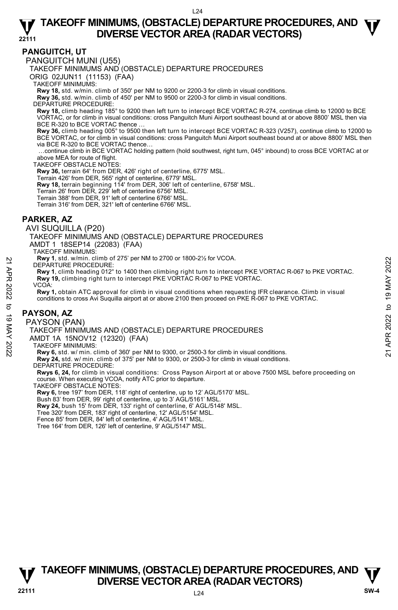### **PANGUITCH, UT**

PANGUITCH MUNI (U55)

TAKEOFF MINIMUMS AND (OBSTACLE) DEPARTURE PROCEDURES

ORIG 02JUN11 (11153) (FAA)

TAKEOFF MINIMUMS:

**Rwy 18,** std. w/min. climb of 350' per NM to 9200 or 2200-3 for climb in visual conditions. **Rwy 36,** std. w/min. climb of 450' per NM to 9500 or 2200-3 for climb in visual conditions.

DEPARTURE PROCEDURE:

**Rwy 18,** climb heading 185° to 9200 then left turn to intercept BCE VORTAC R-274, continue climb to 12000 to BCE VORTAC, or for climb in visual conditions: cross Panguitch Muni Airport southeast bound at or above 8800' MSL then via BCE R-320 to BCE VORTAC thence.

**Rwy 36,** climb heading 005° to 9500 then left turn to intercept BCE VORTAC R-323 (V257), continue climb to 12000 to BCE VORTAC, or for climb in visual conditions: cross Panguitch Muni Airport southeast bound at or above 8800' MSL then via BCE R-320 to BCE VORTAC thence…

 …continue climb in BCE VORTAC holding pattern (hold southwest, right turn, 045° inbound) to cross BCE VORTAC at or above MEA for route of flight.

TAKEOFF OBSTACLE NOTES:

**Rwy 36,** terrain 64' from DER, 426' right of centerline, 6775' MSL.

Terrain 426' from DER, 565' right of centerline, 6779' MSL.

**Rwy 18,** terrain beginning 114' from DER, 306' left of centerline, 6758' MSL.<br>Terrain 26' from DER, 229' left of centerline 6756' MSL.

Terrain 388' from DER, 91' left of centerline 6766' MSL.

Terrain 316' from DER, 321' left of centerline 6766' MSL.

## **PARKER, AZ**

AVI SUQUILLA (P20)

TAKEOFF MINIMUMS AND (OBSTACLE) DEPARTURE PROCEDURES

AMDT 1 18SEP14 (22083) (FAA) TAKEOFF MINIMUMS:

**Rwy 1**, std. w/min. climb of 275' per NM to 2700 or 1800-2½ for VCOA.

DEPARTURE PROCEDURE:

**Rwy 1**, climb heading 012° to 1400 then climbing right turn to intercept PKE VORTAC R-067 to PKE VORTAC. **Rwy 19,** climbing right turn to intercept PKE VORTAC R-067 to PKE VORTAC.

VCOA:

**Rwy 1,** obtain ATC approval for climb in visual conditions when requesting IFR clearance. Climb in visual conditions to cross Avi Suquilla airport at or above 2100 then proceed on PKE R-067 to PKE VORTAC. DEPARTURE PROCEDURE:<br>
21 APP 1, stat. wimin. climb in 270 to 1900-22% for VCOA.<br>
21 App 1, climb heading 012° to 1400 then climbing right turn to intercept PKE VORTAC R-067 to PKE VORTAC.<br>
22 APP 1, climb heading 012° to 1

#### **PAYSON, AZ**

PAYSON (PAN)

TAKEOFF MINIMUMS AND (OBSTACLE) DEPARTURE PROCEDURES

AMDT 1A 15NOV12 (12320) (FAA)

TAKEOFF MINIMUMS:

**Rwy 6,** std. w/ min. climb of 360' per NM to 9300, or 2500-3 for climb in visual conditions.

**Rwy 24,** std. w/ min. climb of 375' per NM to 9300, or 2500-3 for climb in visual conditions. DEPARTURE PROCEDURE:

**Rwys 6, 24,** for climb in visual conditions: Cross Payson Airport at or above 7500 MSL before proceeding on course. When executing VCOA, notify ATC prior to departure.

TAKEOFF OBSTACLE NOTES:

**Rwy 6,** tree 197' from DER, 118' right of centerline, up to 12' AGL/5170' MSL.

Bush 83' from DER, 99' right of centerline, up to 3' AGL/5161' MSL. **Rwy 24,** bush 15' from DER, 133' right of centerline, 6' AGL/5148' MSL.

Tree 320' from DER, 183' right of centerline, 12' AGL/5154' MSL.

Fence 85' from DER, 84' left of centerline, 4' AGL/5141' MSL.

Tree 164' from DER, 126' left of centerline, 9' AGL/5147' MSL.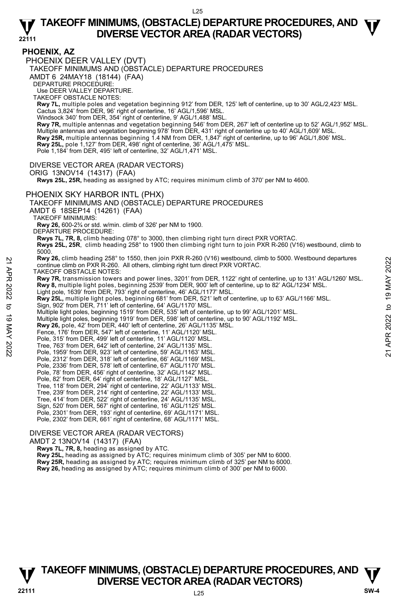## **PHOENIX, AZ**

PHOENIX DEER VALLEY (DVT)

TAKEOFF MINIMUMS AND (OBSTACLE) DEPARTURE PROCEDURES

AMDT 6 24MAY18 (18144) (FAA)

DEPARTURE PROCEDURE:

Use DEER VALLEY DEPARTURE.

TAKEOFF OBSTACLE NOTES:

**Rwy 7L,** multiple poles and vegetation beginning 912' from DER, 125' left of centerline, up to 30' AGL/2,423' MSL. Cactus 3,824' from DER, 96' right of centerline, 16' AGL/1,596' MSL.

Windsock 340' from DER, 354' right of centerline, 9' AGL/1,488' MSL

**Rwy 7R,** multiple antennas and vegetation beginning 546' from DER, 267' left of centerline up to 52' AGL/1,952' MSL. Multiple antennas and vegetation beginning 978' from DER, 431' right of centerline up to 40' AGL/1,609' MSL. **Rwy 25R,** multiple antennas beginning 1.4 NM from DER, 1,847' right of centerline, up to 96' AGL/1,806' MSL.<br>**Rwy 25L,** pole 1,127' from DER, 498' right of centerline, 36' AGL/1,475' MSL.

Pole 1,184' from DER, 495' left of centerline, 32' AGL/1,471' MSL.

DIVERSE VECTOR AREA (RADAR VECTORS)

ORIG 13NOV14 (14317) (FAA)

 **Rwys 25L, 25R,** heading as assigned by ATC; requires minimum climb of 370' per NM to 4600.

#### PHOENIX SKY HARBOR INTL (PHX)

TAKEOFF MINIMUMS AND (OBSTACLE) DEPARTURE PROCEDURES

AMDT 6 18SEP14 (14261) (FAA)

TAKEOFF MINIMUMS:

**Rwy 26,** 600-2¾ or std. w/min. climb of 326' per NM to 1900.

DEPARTURE PROCEDURE:

**Rwys 7L, 7R, 8,** climb heading 078° to 3000, then climbing right turn direct PXR VORTAC.

**Rwys 25L, 25R**, climb heading 258° to 1900 then climbing right turn to join PXR R-260 (V16) westbound, climb to 5000.

**Rwy 26,** climb heading 258° to 1550, then join PXR R-260 (V16) westbound, climb to 5000. Westbound departures continue climb on PXR R-260. All others, climbing right turn direct PXR VORTAC.

TAKEOFF OBSTACLE NOTES:

**Rwy 7R,** transmission towers and power lines, 3201' from DER, 1122' right of centerline, up to 131' AGL/1260' MSL. **Rwy 8,** multiple light poles, beginning 2539' from DER, 900' left of centerline, up to 82' AGL/1234' MSL. **EXAMP 26.** (Tim heading 259° to 1950, then Jonn JAK R-260 (V16) westbound, climb to 5000. Westbound departures<br>
TAKEOFF OBSTACLE NOTES:<br> **Rwy 78**, transmission towers and power lines, 3201' from DER, 1122' right of cente

Light pole, 1639' from DER, 793' right of centerline, 46' AGL/1177' MSL.

**Rwy 25L,** multiple light poles, beginning 681' from DER, 521' left of centerline, up to 63' AGL/1166' MSL.<br>Sign, 902' from DER, 711' left of centerline, 64' AGL/1170' MSL.

Multiple light poles, beginning 1519' from DER, 535' left of centerline, up to 99' AGL/1201' MSL.

Multiple light poles, beginning 1919' from DER, 598' left of centerline, up to 90' AGL/1192' MSL.<br>**Rwy 26,** pole, 42' from DER, 440' left of centerline, 26' AGL/1135' MSL.

Fence, 176' from DER, 547' left of centerline, 11' AGL/1120' MSL.

Pole, 315' from DER, 499' left of centerline, 11' AGL/1120' MSL.

Tree, 763' from DER, 642' left of centerline, 24' AGL/1135' MSL.

Pole, 1959' from DER, 923' left of centerline, 59' AGL/1163' MSL.

Pole, 2312' from DER, 318' left of centerline, 66' AGL/1169' MSL.

Pole, 2336' from DER, 578' left of centerline, 67' AGL/1170' MSL. Pole, 78' from DER, 456' right of centerline, 32' AGL/1142' MSL.

- 
- Pole, 82' from DER, 64' right of centerline, 18' AGL/1127' MSL.
- Tree, 118' from DER, 294' right of centerline, 22' AGL/1133' MSL.
- Tree, 239' from DER, 214' right of centerline, 22' AGL/1133' MSL.

Tree, 414' from DER, 522' right of centerline, 24' AGL/1135' MSL.

Sign, 520' from DER, 567' right of centerline, 16' AGL/1125' MSL. Pole, 2301' from DER, 193' right of centerline, 69' AGL/1171' MSL.

Pole, 2302' from DER, 661' right of centerline, 68' AGL/1171' MSL.

#### DIVERSE VECTOR AREA (RADAR VECTORS)

AMDT 2 13NOV14 (14317) (FAA)

 **Rwys 7L, 7R, 8,** heading as assigned by ATC.

**Rwy 25L,** heading as assigned by ATC; requires minimum climb of 305' per NM to 6000. **Rwy 25R,** heading as assigned by ATC; requires minimum climb of 325' per NM to 6000.

**Rwy 26,** heading as assigned by ATC; requires minimum climb of 300' per NM to 6000.

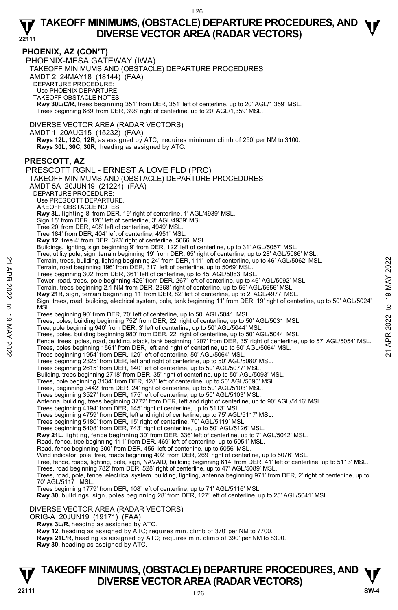### **PHOENIX, AZ (CON'T)**

PHOENIX-MESA GATEWAY (IWA) TAKEOFF MINIMUMS AND (OBSTACLE) DEPARTURE PROCEDURES AMDT 2 24MAY18 (18144) (FAA) DEPARTURE PROCEDURE: Use PHOENIX DEPARTURE. TAKEOFF OBSTACLE NOTES: **Rwy 30L/C/R,** trees beginning 351' from DER, 351' left of centerline, up to 20' AGL/1,359' MSL. Trees beginning 689' from DER, 398' right of centerline, up to 20' AGL/1,359' MSL.

DIVERSE VECTOR AREA (RADAR VECTORS)

AMDT 1 20AUG15 (15232) (FAA)

 **Rwys 12L, 12C, 12R**, as assigned by ATC; requires minimum climb of 250' per NM to 3100. **Rwys 30L, 30C, 30R**, heading as assigned by ATC.

## **PRESCOTT, AZ**

PRESCOTT RGNL - ERNEST A LOVE FLD (PRC) TAKEOFF MINIMUMS AND (OBSTACLE) DEPARTURE PROCEDURES AMDT 5A 20JUN19 (21224) (FAA) DEPARTURE PROCEDURE: Use PRESCOTT DEPARTURE. TAKEOFF OBSTACLE NOTES: **Rwy 3L,** lighting 8' from DER, 19' right of centerline, 1' AGL/4939' MSL. Sign 15' from DER, 126' left of centerline, 3' AGL/4939' MSL. Tree 20' from DER, 408' left of centerline, 4949' MSL. Tree 184' from DER, 404' left of centerline, 4951' MSL. **Rwy 12,** tree 4' from DER, 323' right of centerline, 5066' MSL. Buildings, lighting, sign beginning 9' from DER, 122' left of centerline, up to 31' AGL/5057' MSL. Tree, utility pole, sign, terrain beginning 19' from DER, 65' right of centerline, up to 28' AGL/5062' MSL.<br>
Terrain, road beginning 196' from DER, 317' left of centerline, up to 5069' MSL.<br>
Terrain, road beginning 302' fr Trees beginning 302' from DER, 361' left of centerline, up to 45' AGL/5083' MSL. Tower, road, trees, pole beginning 426' from DER, 267' left of centerline, up to 46' AGL/5092' MSL. Terrain, trees beginning 2.1 NM from DER, 2368' right of centerline, up to 56' AGL/5656' MSL. **Rwy 21R,** sign, terrain beginning 11' from DER, 82' left of centerline, up to 2' AGL/4977' MSL. Sign, trees, road, building, electrical system, pole, tank beginning 11' from DER, 19' right of centerline, up to 50' AGL/5024' M<sub>SL</sub> Trees beginning 90' from DER, 70' left of centerline, up to 50' AGL/5041' MSL. Trees, poles, building beginning 752' from DER, 22' right of centerline, up to 50' AGL/5031' MSL.<br>Tree, pole beginning 940' from DER, 3' left of centerline, up to 50' AGL/5044' MSL. Trees, poles, building beginning 980' from DER, 22' right of centerline, up to 50' AGL/5044' MSL. Fence, trees, poles, road, building, stack, tank beginning 1207' from DER, 35' right of centerline, up to 57' AGL/5054' MSL. Trees, poles beginning 1561' from DER, left and right of centerline, up to 50' AGL/5064' MSL. Trees beginning 1954' from DER, 129' left of centerline, 50' AGL/5064' MSL. Trees beginning 2325' from DER, left and right of centerline, up to 50' AGL/5080' MSL. Trees beginning 2615' from DER, 140' left of centerline, up to 50' AGL/5077' MSL. Building, trees beginning 2718' from DER, 35' right of centerline, up to 50' AGL/5093' MSL. Trees, pole beginning 3134' from DER, 128' left of centerline, up to 50' AGL/5090' MSL. Trees, beginning 3442' from DER, 24' right of centerline, up to 50' AGL/5103' MSL. Trees beginning 3527' from DER, 175' left of centerline, up to 50' AGL/5103' MSL. Antenna, building, trees beginning 3772' from DER, left and right of centerline, up to 90' AGL/5116' MSL. Trees beginning 4194' from DER, 145' right of centerline, up to 5113' MSL. Trees beginning 4759' from DER, left and right of centerline, up to 75' AGL/5117' MSL. Trees beginning 5180' from DER, 15' right of centerline, 70' AGL/5119' MSL. Trees beginning 5408' from DER, 743' right of centerline, up to 50' AGL/5126' MSL. **Rwy 21L,** lighting, fence beginning 30' from DER, 336' left of centerline, up to 7' AGL/5042' MSL. Road, fence, tree beginning 111' from DER, 469' left of centerline, up to 5051' MSL. Road, fence beginning 300' from DER, 455' left of centerline, up to 5056' MSL. Wind indicator, pole, tree, roads beginning 402' from DER, 269' right of centerline, up to 5076' MSL.<br>Tree, fence, roads, lighting, pole, sign, NAVAID, building beginning 614' from DER, 41' left of centerline, up to 5113' Trees, road beginning 782' from DER, 528' right of centerline, up to 47' AGL/5089' MSL. Trees, road, pole, fence, electrical system, building, lighting, antenna beginning 971' from DER, 2' right of centerline, up to 70' AGL/5117 ' MSL. Trees beginning 1779' from DER, 108' left of centerline, up to 71' AGL/5116' MSL. **Rwy 30,** buildings, sign, poles beginning 28' from DER, 127' left of centerline, up to 25' AGL/5041' MSL. DIVERSE VECTOR AREA (RADAR VECTORS) ORIG-A 20JUN19 (19171) (FAA)

 **Rwys 3L/R,** heading as assigned by ATC. **Rwy 12,** heading as assigned by ATC; requires min. climb of 370' per NM to 7700.

**Rwys 21L/R,** heading as assigned by ATC; requires min. climb of 390' per NM to 8300.

**Rwy 30,** heading as assigned by ATC.

## **TAKEOFF MINIMUMS, (OBSTACLE) DEPARTURE PROCEDURES, AND**  $\Psi$ **<br>DIVERSE VECTOR AREA (RADAR VECTORS) DIVERSE VECTOR AREA (RADAR VECTORS)** V<br>22111 SW-4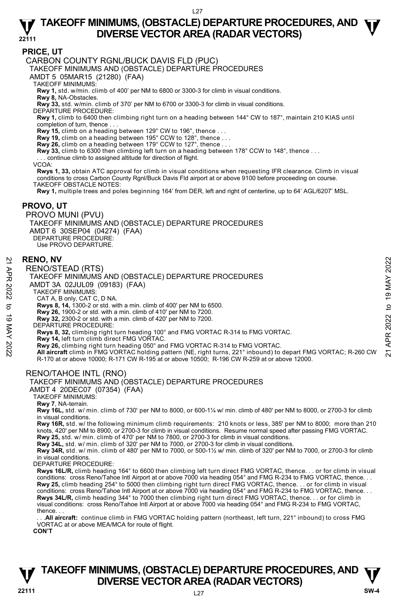### **PRICE, UT**

CARBON COUNTY RGNL/BUCK DAVIS FLD (PUC)

TAKEOFF MINIMUMS AND (OBSTACLE) DEPARTURE PROCEDURES

AMDT 5 05MAR15 (21280) (FAA)

TAKEOFF MINIMUMS:

**Rwy 1,** std. w/min. climb of 400' per NM to 6800 or 3300-3 for climb in visual conditions.

**Rwy 8,** NA-Obstacles.

**Rwy 33,** std. w/min. climb of 370' per NM to 6700 or 3300-3 for climb in visual conditions.

DEPARTURE PROCEDURE:

**Rwy 1,** climb to 6400 then climbing right turn on a heading between 144° CW to 187°, maintain 210 KIAS until completion of turn, thence . . .

**Rwy 15,** climb on a heading between 129° CW to 196°, thence . . .

**Rwy 19,** climb on a heading between 195° CCW to 128°, thence . . . **Rwy 26,** climb on a heading between 179° CCW to 127°, thence . . .

**Rwy 33,** climb to 6300 then climbing left turn on a heading between 178° CCW to 148°, thence . . .

continue climb to assigned altitude for direction of flight.

VCOA:

**Rwys 1, 33,** obtain ATC approval for climb in visual conditions when requesting IFR clearance. Climb in visual conditions to cross Carbon County Rgnl/Buck Davis Fld airport at or above 9100 before proceeding on course. TAKEOFF OBSTACLE NOTES:

**Rwy 1,** multiple trees and poles beginning 164' from DER, left and right of centerline, up to 64' AGL/6207' MSL.

#### **PROVO, UT**

PROVO MUNI (PVU) TAKEOFF MINIMUMS AND (OBSTACLE) DEPARTURE PROCEDURES AMDT 6 30SEP04 (04274) (FAA) DEPARTURE PROCEDURE: Use PROVO DEPARTURE.

#### **RENO, NV**

RENO/STEAD (RTS)

TAKEOFF MINIMUMS AND (OBSTACLE) DEPARTURE PROCEDURES

AMDT 3A 02JUL09 (09183) (FAA)

TAKEOFF MINIMUMS:

CAT A, B only, CAT C, D NA. **Rwys 8, 14,** 1300-2 or std. with a min. climb of 400' per NM to 6500.

**Rwy 26,** 1900-2 or std. with a min. climb of 410' per NM to 7200.

**Rwy 32,** 2300-2 or std. with a min. climb of 420' per NM to 7200. DEPARTURE PROCEDURE:

**Rwys 8, 32,** climbing right turn heading 100° and FMG VORTAC R-314 to FMG VORTAC.

**Rwy 14,** left turn climb direct FMG VORTAC.

**RENO, NV**<br>
RENO/STEAD (RTS)<br>
TAKEOFF MINIMUMS AND (OBSTACLE) DEPARTURE PROCEDURES<br>
AMDT 3A 02JUL09 (09183) (FAA)<br>
TAKEOFF MINIMUMS:<br>
CATA, B only, CAT C, D NA.<br>
CATA, B only, CAT C, D NA.<br>
TAKEOFF MINIMUMS:<br>
TAKEOFF MINI R-170 at or above 10000; R-171 CW R-195 at or above 10500; R-196 CW R-259 at or above 12000.

### RENO/TAHOE INTL (RNO)

AMDT 4 20DEC07 (07354) (FAA)

TAKEOFF MINIMUMS:

**Rwy 7**, NA-terrain.

**Rwy 16L,** std. w/ min. climb of 730' per NM to 8000, or 600-1¼ w/ min. climb of 480' per NM to 8000, or 2700-3 for climb in visual conditions.

**Rwy 16R,** std. w/ the following minimum climb requirements: 210 knots or less, 385' per NM to 8000; more than 210 knots, 420' per NM to 8900, or 2700-3 for climb in visual conditions. Resume normal speed after passing FMG VORTAC.

**Rwy 25,** std. w/ min. climb of 470' per NM to 7800, or 2700-3 for climb in visual conditions. **Rwy 34L,** std. w/ min. climb of 320' per NM to 7000, or 2700-3 for climb in visual conditions.

**Rwy 34R,** std. w/ min. climb of 480' per NM to 7000, or 500-1½ w/ min. climb of 320' per NM to 7000, or 2700-3 for climb in visual conditions.

DEPARTURE PROCEDURE:

**Rwys 16L/R,** climb heading 164° to 6600 then climbing left turn direct FMG VORTAC, thence. . . or for climb in visual conditions: cross Reno/Tahoe Intl Airport at or above 7000 via heading 054° and FMG R-234 to FMG VORTAC, thence. . . **Rwy 25,** climb heading 254° to 5000 then climbing right turn direct FMG VORTAC, thence. . . or for climb in visual<br>conditions: cross Reno/Tahoe Intl Airport at or above 7000 via heading 054° and FMG R-234 to FMG VORTAC, **Rwys 34L/R,** climb heading 344° to 7000 then climbing right turn direct FMG VORTAC, thence. . . or for climb in visual conditions: cross Reno/Tahoe Intl Airport at or above 7000 via heading 054° and FMG R-234 to FMG VORTAC, thence. . .

. All aircraft: continue climb in FMG VORTAC holding pattern (northeast, left turn, 221° inbound) to cross FMG VORTAC at or above MEA/MCA for route of flight.

**CON'T** 



TAKEOFF MINIMUMS AND (OBSTACLE) DEPARTURE PROCEDURES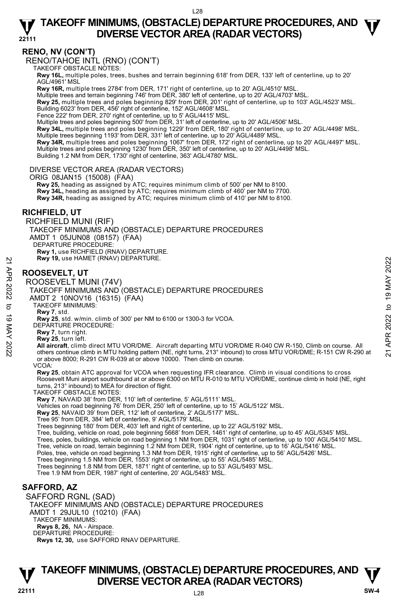### **RENO, NV (CON'T)**

RENO/TAHOE INTL (RNO) (CON'T)

TAKEOFF OBSTACLE NOTES:

**Rwy 16L,** multiple poles, trees, bushes and terrain beginning 618' from DER, 133' left of centerline, up to 20' AGL/4961' MSL

**Rwy 16R,** multiple trees 2784' from DER, 171' right of centerline, up to 20' AGL/4510' MSL.

Multiple trees and terrain beginning 746' from DER, 380' left of centerline, up to 20' AGL/4703' MSL.

**Rwy 25,** multiple trees and poles beginning 829' from DER, 201' right of centerline, up to 103' AGL/4523' MSL. Building 6023' from DER, 456' right of centerline, 152' AGL/4608' MSL.

Fence 222' from DER, 270' right of centerline, up to 5' AGL/4415' MSL.

Multiple trees and poles beginning 500' from DER, 31' left of centerline, up to 20' AGL/4506' MSL.

**Rwy 34L,** multiple trees and poles beginning 1229' from DER, 180' right of centerline, up to 20' AGL/4498' MSL.

Multiple trees beginning 1193' from DER, 331' left of centerline, up to 20' AGL/4489' MSL.<br>**Rwy 34R,** multiple trees and poles beginning 1067' from DER, 172' right of centerline, up to 20' AGL/4497' MSL. Multiple trees and poles beginning 1230' from DER, 350' left of centerline, up to 20' AGL/4498' MSL.

Building 1.2 NM from DER, 1730' right of centerline, 363' AGL/4780' MSL.

#### DIVERSE VECTOR AREA (RADAR VECTORS)

ORIG 08JAN15 (15008) (FAA)

 **Rwy 25,** heading as assigned by ATC; requires minimum climb of 500' per NM to 8100. **Rwy 34L,** heading as assigned by ATC; requires minimum climb of 460' per NM to 7700. **Rwy 34R,** heading as assigned by ATC; requires minimum climb of 410' per NM to 8100.

### **RICHFIELD, UT**

RICHFIELD MUNI (RIF) TAKEOFF MINIMUMS AND (OBSTACLE) DEPARTURE PROCEDURES AMDT 1 05JUN08 (08157) (FAA) DEPARTURE PROCEDURE: **Rwy 1,** use RICHFIELD (RNAV) DEPARTURE. **Rwy 19,** use HAMET (RNAV) DEPARTURE.

## **ROOSEVELT, UT**

ROOSEVELT MUNI (74V) TAKEOFF MINIMUMS AND (OBSTACLE) DEPARTURE PROCEDURES AMDT 2 10NOV16 (16315) (FAA) TAKEOFF MINIMUMS: **Rwy 7**, std. **Rwy 25**, std. w/min. climb of 300' per NM to 6100 or 1300-3 for VCOA. DEPARTURE PROCEDURE: **Rwy 7**, turn right. **Rwy 25**, turn left. **EXECUTE:**<br> **ROOSEVELT, UT**<br>
ROOSEVELT MUNI (74V)<br>
TAKEOFF MINIMUMS AND (OBSTACLE) DEPARTURE PROCEDURES<br>
AND TAKEOFF MINIMUMS AND (OBSTACLE) DEPARTURE PROCEDURES<br>
AND TAKEOFF MINIMUMS:<br>
TAKEOFF MINIMUMS:<br>
TAKEOFF MINIMUMS or above 8000; R-291 CW R-039 at or above 10000. Then climb on course. **VCOA Rwy 25**, obtain ATC approval for VCOA when requesting IFR clearance. Climb in visual conditions to cross Roosevelt Muni airport southbound at or above 6300 on MTU R-010 to MTU VOR/DME, continue climb in hold (NE, right turns, 213° inbound) to MEA for direction of flight. TAKEOFF OBSTACLE NOTES: **Rwy 7**, NAVAID 38' from DER, 110' left of centerline, 5' AGL/5111' MSL. Vehicles on road beginning 76' from DER, 250' left of centerline, up to 15' AGL/5122' MSL. **Rwy 25**, NAVAID 39' from DER, 112' left of centerline, 2' AGL/5177' MSL. Tree 95' from DER, 384' left of centerline, 9' AGL/5179' MSL. Trees beginning 180' from DER, 403' left and right of centerline, up to 22' AGL/5192' MSL. Tree, building, vehicle on road, pole beginning 5668' from DER, 1461' right of centerline, up to 45' AGL/5345' MSL.<br>Trees, poles, buildings, vehicle on road beginning 1 NM from DER, 1031' right of centerline, up to 100' AG Tree, vehicle on road, terrain beginning 1.2 NM from DER, 1904' right of centerline, up to 16' AGL/5416' MSL. Poles, tree, vehicle on road beginning 1.3 NM from DER, 1915' right of centerline, up to 56' AGL/5426' MSL. Trees beginning 1.5 NM from DER, 1553' right of centerline, up to 55' AGL/5485' MSL. Trees beginning 1.8 NM from DER, 1871' right of centerline, up to 53' AGL/5493' MSL. Tree 1.9 NM from DER, 1987' right of centerline, 20' AGL/5483' MSL. **SAFFORD, AZ** 

SAFFORD RGNL (SAD) TAKEOFF MINIMUMS AND (OBSTACLE) DEPARTURE PROCEDURES AMDT 1 29JUL10 (10210) (FAA) TAKEOFF MINIMUMS: **Rwys 8, 26,** NA - Airspace. DEPARTURE PROCEDURE: **Rwys 12, 30,** use SAFFORD RNAV DEPARTURE.

## **TAKEOFF MINIMUMS, (OBSTACLE) DEPARTURE PROCEDURES, AND**  $\Psi$ **<br>DIVERSE VECTOR AREA (RADAR VECTORS) V** DIVERSE VECTOR AREA (RADAR VECTORS) W SW-4 **BM**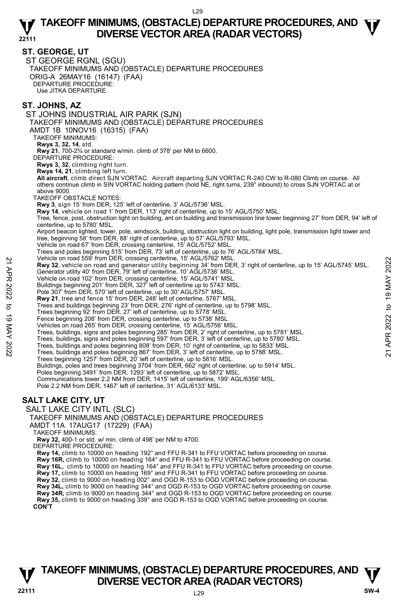#### **ST. GEORGE, UT**

ST GEORGE RGNL (SGU) TAKEOFF MINIMUMS AND (OBSTACLE) DEPARTURE PROCEDURES ORIG-A 26MAY16 (16147) (FAA) DEPARTURE PROCEDURE: Use JITKA DEPARTURE.

## **ST. JOHNS, AZ**

ST JOHNS INDUSTRIAL AIR PARK (SJN) TAKEOFF MINIMUMS AND (OBSTACLE) DEPARTURE PROCEDURES AMDT 1B 10NOV16 (16315) (FAA) TAKEOFF MINIMUMS: **Rwys 3, 32, 14**, std. **Rwy 21**, 700-2¾ or standard w/min. climb of 378' per NM to 6600. DEPARTURE PROCEDURE: **Rwys 3, 32**, climbing right turn. **Rwys 14, 21**, climbing left turn. **All aircraft**, climb direct SJN VORTAC. Aircraft departing SJN VORTAC R-240 CW to R-080 Climb on course. All others continue climb in SIN VORTAC holding pattern (hold NE, right turns, 239° inbound) to cross SJN VORTAC at or above 9000. TAKEOFF OBSTACLE NOTES: **Rwy 3**, sign 15' from DER, 125' left of centerline, 3' AGL/5736' MSL. **Rwy 14**, vehicle on road 1' from DER, 113' right of centerline, up to 15' AGL/5750' MSL. Tree, fence, post, obstruction light on building, ant on building and transmission line tower beginning 27' from DER, 94' left of centerline, up to 5780' MSL. Airport beacon lighted, tower, pole, windsock, building, obstruction light on building, light pole, transmission light tower and<br>tree, beginning 58' from DER, 88' right of centerline, up to 57' AGL/5793' MSL. Vehicle on road 67' from DER, crossing centerline, 15' AGL/5752' MSL. Trees and poles beginning 515' from DER, 73' left of centerline, up to 76' AGL/5784' MSL. Vehicle on road 559' from DER, crossing centerline, 15' AGL/5762' MSL. **Rwy 32**, vehicle on road and generator utility beginning 34' from DER, 3' right of centerline, up to 15' AGL/5745' MSL. Generator utility 40' from DER, 79' left of centerline, 10' AGL/5736' MSL. Vehicle on road 102' from DER, crossing centerline, 15' AGL/5741' MSL. Buildings beginning 201' from DER, 327' left of centerline up to 5743' MSL. Pole 307' from DER, 570' left of centerline, up to 30' AGL/5757' MSL. **Rwy 21**, tree and fence 15' from DER, 248' left of centerline, 5767' MSL. Trees and buildings beginning 23' from DER, 276' right of centerline, up to 5798' MSL. Trees beginning 92' from DER, 27' left of centerline, up to 5778' MSL. Fence beginning 208' from DER, crossing centerline, up to 5738' MSL. Vehicles on road 265' from DER, crossing centerline, 15' AGL/5756' MSL. Trees, buildings, signs and poles beginning 285' from DER, 2' right of centerline, up to 5781' MSL. Trees, buildings, signs and poles beginning 597' from DER, 3' left of centerline, up to 5780' MSL. Trees, buildings and poles beginning 808' from DER, 10' right of centerline, up to 5833' MSL. Trees, buildings and poles beginning 867' from DER, 3' left of centerline, up to 5788' MSL. Trees beginning 1257' from DER, 20' left of centerline, up to 5816' MSL. Buildings, poles and trees beginning 3704' from DER, 662' right of centerline, up to 5914' MSL.<br>Poles beginning 3491' from DER, 1293' left of centerline, up to 5872' MSL. Communications tower 2.2 NM from DER, 1415' left of centerline, 199' AGL/6356' MSL. Pole 2.2 NM from DER, 1467' left of centerline, 31' AGL/6133' MSL. **SALT LAKE CITY, UT**  SALT LAKE CITY INTL (SLC) TAKEOFF MINIMUMS AND (OBSTACLE) DEPARTURE PROCEDURES AMDT 11A 17AUG17 (17229) (FAA) TAKEOFF MINIMUMS: **Rwy 32,** 400-1 or std. w/ min. climb of 498' per NM to 4700. DEPARTURE PROCEDURE: **Rwy 14,** climb to 10000 on heading 192° and FFU R-341 to FFU VORTAC before proceeding on course. **Rwy 16R,** climb to 10000 on heading 164° and FFU R-341 to FFU VORTAC before proceeding on course. **Rwy 16L,** climb to 10000 on heading 164° and FFU R-341 to FFU VORTAC before proceeding on course. **Rwy 17,** climb to 10000 on heading 169° and FFU R-341 to FFU VORTAC before proceeding on course. **Rwy 32,** climb to 9000 on heading 002° and OGD R-153 to OGD VORTAC before proceeding on course. **Rwy 34L,** climb to 9000 on heading 344° and OGD R-153 to OGD VORTAC before proceeding on course. 22 Wericle on road sold form DER, rossing centerine, 19 AGL/5762' MSL.<br> **21 Rwy 32**, vehicle on road and generator utility beginning 34' from DER, 3' right of centerline, up to 15' AGL/5745' MSL.<br>
22 Cenerator utility 40'

**Rwy 35,** climb to 9000 on heading 339° and OGD R-153 to OGD VORTAC before proceeding on course. **CON'T** 

## L29 **TAKEOFF MINIMUMS, (OBSTACLE) DEPARTURE PROCEDURES, AND**  $\Psi$ **<br>DIVERSE VECTOR AREA (RADAR VECTORS) V** DIVERSE VECTOR AREA (RADAR VECTORS) W SW-4 **BM**

**Rwy 34R,** climb to 9000 on heading 344° and OGD R-153 to OGD VORTAC before proceeding on course.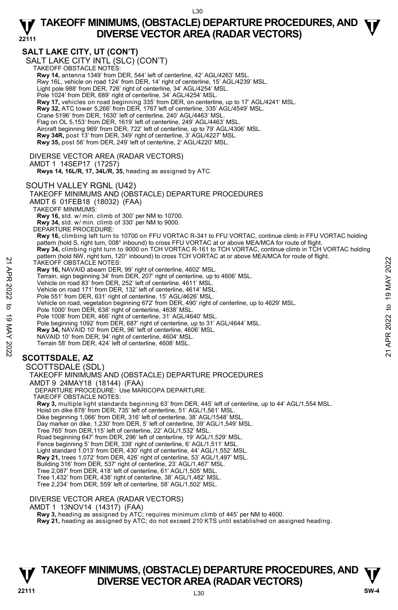## **SALT LAKE CITY, UT (CON'T)**

SALT LAKE CITY INTL (SLC)<sup>(</sup>CON'T)<br>TAKEOFF OBSTACLE NOTES: **Rwy 14,** antenna 1349' from DER, 544' left of centerline, 42' AGL/4263' MSL. Rwy 16L, vehicle on road 124' from DER, 14' right of centerline, 15' AGL/4239' MSL. Light pole 988' from DER, 726' right of centerline, 34' AGL/4254' MSL. Pole 1024' from DER, 689' right of centerline, 34' AGL/4254' MSL **Rwy 17,** vehicles on road beginning 335' from DER, on centerline, up to 17' AGL/4241' MSL. **Rwy 32,** ATC tower 5,266' from DER, 1767 left of centerline, 335' AGL/4549' MSL. Crane 5196' from DER, 1630' left of centerline, 240' AGL/4463' MSL. Flag on OL 5,153' from DER, 1619' left of centerline, 249' AGL/4463' MSL Aircraft beginning 969' from DER, 722' left of centerline, up to 79' AGL/4306' MSL. **Rwy 34R,** post 13' from DER, 349' right of centerline, 3' AGL/4227' MSL. **Rwy 35,** post 56' from DER, 249' left of centerline, 2' AGL/4220' MSL. DIVERSE VECTOR AREA (RADAR VECTORS) AMDT 1 14SEP17 (17257)  **Rwys 14, 16L/R, 17, 34L/R, 35,** heading as assigned by ATC. SOUTH VALLEY RGNL (U42) TAKEOFF MINIMUMS AND (OBSTACLE) DEPARTURE PROCEDURES AMDT 6 01FEB18 (18032) (FAA) TAKEOFF MINIMUMS: **Rwy 16,** std. w/ min. climb of 300' per NM to 10700. **Rwy 34,** std. w/ min. climb of 330' per NM to 9000. DEPARTURE PROCEDURE: **Rwy 16,** climbing left turn to 10700 on FFU VORTAC R-341 to FFU VORTAC, continue climb in FFU VORTAC holding pattern (hold S, right turn, 008° inbound) to cross FFU VORTAC at or above MEA/MCA for route of flight. **Rwy 34,** climbing right turn to 9000 on TCH VORTAC R-161 to TCH VORTAC, continue climb in TCH VORTAC holding pattern (hold NW, right turn, 120° inbound) to cross TCH VORTAC at or above MEA/MCA for route of flight. TAKEOFF OBSTACLE NOTES: **Rwy 16,** NAVAID abeam DER, 99' right of centerline, 4602' MSL. Terrain, sign beginning 34' from DER, 207' right of centerline, up to 4606' MSL. Vehicle on road 83' from DER, 252' left of centerline, 4611' MSL. Vehicle on road 171' from DER, 132' left of centerline, 4614' MSL. Pole 551' from DER, 631' right of centerline, 15' AGL/4626' MSL Vehicle on road, vegetation beginning 672' from DER, 490' right of centerline, up to 4629' MSL. Pole 1000' from DER, 638' right of centerline, 4638' MSL. Pole 1008' from DER, 466' right of centerline, 31' AGL/4640' MSL. Pole beginning 1092' from DER, 687' right of centerline, up to 31' AGL/4644' MSL.<br>**Rwy 34,** NAVAID 10' from DER, 96' left of centerline, 4606' MSL. NAVAID 10' from DER, 94' right of centerline, 4604' MSL. Terrain 58' from DER, 424' left of centerline, 4608' MSL. **SCOTTSDALE, AZ**  SCOTTSDALE (SDL) TAKEOFF MINIMUMS AND (OBSTACLE) DEPARTURE PROCEDURES AMDT 9 24MAY18 (18144) (FAA) DEPARTURE PROCEDURE: Use MARICOPA DEPARTURE. TAKEOFF OBSTACLE NOTES: **Rwy 3,** multiple light standards beginning 63' from DER, 445' left of centerline, up to 44' AGL/1,554 MSL. Hoist on dike 878' from DER, 735' left of centerline, 51' AGL/1,561' MSL Dike beginning 1,066' from DER, 316' left of centerline, 38' AGL/1548' MSL. Day marker on dike, 1,230' from DER, 5' left of centerline, 39' AGL/1,549' MSL. Tree 765' from DER,115' left of centerline, 22' AGL/1,532' MSL. Road beginning 647' from DER, 296' left of centerline, 19' AGL/1,529' MSL. Fence beginning 5' from DER, 338' right of centerline, 6' AGL/1,511' MSL. Light standard 1,013' from DER, 430' right of centerline, 44' AGL/1,552' MSL. **Rwy 21,** trees 1,072' from DER, 426' right of centerline, 53' AGL/1,497' MSL. Building 316' from DER, 537' right of centerline, 23' AGL/1,467' MSL. Tree 2,087' from DER, 418' left of centerline, 61' AGL/1,505' MSL. Tree 1,432' from DER, 438' right of centerline, 38' AGL/1,482' MSL. Tree 2,234' from DER, 559' left of centerline, 58' AGL/1,502' MSL. DIVERSE VECTOR AREA (RADAR VECTORS) 22 TAKEOFF OBSTACLE NOTES:<br>
TAKEOFF OBSTACLE NOTES:<br>
Termin, sign beginning 34 'from DER, 207' right of centerline, 4602' MSL.<br>
Termin, sign beginning 34 'from DER, 252' left of centerline, 4614' MSL.<br>
Vehicle on road 33'

**Rwy 3,** heading as assigned by ATC; requires minimum climb of 445' per NM to 4600.

**Rwy 21,** heading as assigned by ATC; do not exceed 210 KTS until established on assigned heading.

## **TAKEOFF MINIMUMS, (OBSTACLE) DEPARTURE PROCEDURES, AND**  $\Psi$ **<br>DIVERSE VECTOR AREA (RADAR VECTORS) V** DIVERSE VECTOR AREA (RADAR VECTORS) W SW-4 **BM**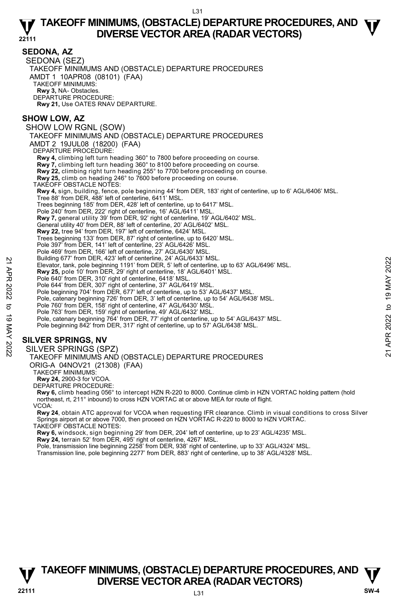#### **SEDONA, AZ**  SEDONA (SEZ) TAKEOFF MINIMUMS AND (OBSTACLE) DEPARTURE PROCEDURES AMDT 1 10APR08 (08101) (FAA) TAKEOFF MINIMUMS: **Rwy 3,** NA- Obstacles. DEPARTURE PROCEDURE: **Rwy 21,** Use OATES RNAV DEPARTURE. **SHOW LOW, AZ**  SHOW LOW RGNL (SOW) TAKEOFF MINIMUMS AND (OBSTACLE) DEPARTURE PROCEDURES AMDT 2 19JUL08 (18200) (FAA) DEPARTURE PROCEDURE: **Rwy 4,** climbing left turn heading 360° to 7800 before proceeding on course. **Rwy 7,** climbing left turn heading 360° to 8100 before proceeding on course. **Rwy 22,** climbing right turn heading 255° to 7700 before proceeding on course. **Rwy 25,** climb on heading 246° to 7600 before proceeding on course. TAKEOFF OBSTACLE NOTES: **Rwy 4,** sign, building, fence, pole beginning 44' from DER, 183' right of centerline, up to 6' AGL/6406' MSL. Tree 88' from DER, 488' left of centerline, 6411' MSL. Trees beginning 185' from DER, 428' left of centerline, up to 6417' MSL. Pole 240' from DER, 222' right of centerline, 16' AGL/6411' MSL. **Rwy 7,** general utility 39' from DER, 92' right of centerline, 19' AGL/6402' MSL. General utility 40' from DER, 88' left of centerline, 20' AGL/6402' MSL. **Rwy 22,** tree 94' from DER, 197' left of centerline, 6424' MSL. Trees beginning 133' from DER, 87' right of centerline, up to 6420' MSL. Pole 397' from DER, 141' left of centerline, 23' AGL/6426' MSL. Pole 469' from DER, 166' left of centerline, 27' AGL/6430' MSL Building 677' from DER, 423' left of centerline, 24' AGL/6433' MSL. Elevator, tank, pole beginning 1191' from DER, 5' left of centerline, up to 63' AGL/6496' MSL. **Rwy 25,** pole 10' from DER, 29' right of centerline, 18' AGL/6401' MSL. Pole 640' from DER, 310' right of centerline, 6418' MSL. Pole 644' from DER, 307' right of centerline, 37' AGL/6419' MSL. Pole beginning 704' from DER, 677' left of centerline, up to 53' AGL/6437' MSL. Pole, catenary beginning 726' from DER, 3' left of centerline, up to 54' AGL/6438' MSL.<br>Pole 760' from DER, 158' right of centerline, 47' AGL/6432' MSL.<br>Pole 763' from DER, 159' right of centerline, 49' AGL/6432' MSL. Pole, catenary beginning 764' from DER, 77' right of centerline, up to 54' AGL/6437' MSL. Pole beginning 842' from DER, 317' right of centerline, up to 57' AGL/6438' MSL. **SILVER SPRINGS, NV**  SILVER SPRINGS (SPZ) TAKEOFF MINIMUMS AND (OBSTACLE) DEPARTURE PROCEDURES Elevator, tank pole beginning 1911 from DER, 5' left of centerline, up to 63' AGL/6496' MSL.<br>
The start of the matter of the start of center ine, 18' AGL/6401' MSL.<br>
Pole 644' from DER, 30' right of center ine, 418' MSL.<br>

ORIG-A 04NOV21 (21308) (FAA)

TAKEOFF MINIMUMS:

**Rwy 24,** 2900-3 for VCOA.

DEPARTURE PROCEDURE:

**Rwy 6,** climb heading 056° to intercept HZN R-220 to 8000. Continue climb in HZN VORTAC holding pattern (hold northeast, rt, 211° inbound) to cross HZN VORTAC at or above MEA for route of flight. VCOA:

**Rwy 24**, obtain ATC approval for VCOA when requesting IFR clearance. Climb in visual conditions to cross Silver<br>Springs airport at or above 7000, then proceed on HZN VORTAC R-220 to 8000 to HZN VORTAC.

TAKEOFF OBSTACLE NOTES:

**Rwy 6,** windsock, sign beginning 29' from DER, 204' left of centerline, up to 23' AGL/4235' MSL. **Rwy 24,** terrain 52' from DER, 495' right of centerline, 4267' MSL.

Pole, transmission line beginning 2258' from DER, 938' right of centerline, up to 33' AGL/4324' MSL. Transmission line, pole beginning 2277' from DER, 883' right of centerline, up to 38' AGL/4328' MSL.

## **TAKEOFF MINIMUMS, (OBSTACLE) DEPARTURE PROCEDURES, AND**  $\Psi$ **<br>DIVERSE VECTOR AREA (RADAR VECTORS) V** DIVERSE VECTOR AREA (RADAR VECTORS) W SW-4 **BM**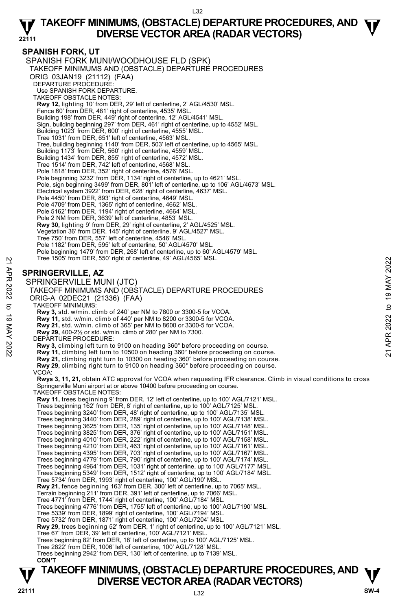## **SPANISH FORK, UT**

SPANISH FORK MUNI/WOODHOUSE FLD (SPK) TAKEOFF MINIMUMS AND (OBSTACLE) DEPARTURE PROCEDURES ORIG 03JAN19 (21112) (FAA) DEPARTURE PROCEDURE: Use SPANISH FORK DEPARTURE. TAKEOFF OBSTACLE NOTES: **Rwy 12,** lighting 10' from DER, 29' left of centerline, 2' AGL/4530' MSL. Fence 60' from DER, 481' right of centerline, 4535' MSL. Building 198' from DER, 449' right of centerline, 12' AGL/4541' MSL. Sign, building beginning 297' from DER, 461' right of centerline, up to 4552' MSL. Building 1023' from DER, 600' right of centerline, 4555' MSL. Tree 1031' from DER, 651' left of centerline, 4563' MSL. Tree, building beginning 1140' from DER, 503' left of centerline, up to 4565' MSL. Building 1173' from DER, 560' right of centerline, 4559' MSL. Building 1434' from DER, 855' right of centerline, 4572' MSL. Tree 1514' from DER, 742' left of centerline, 4568' MSL. Pole 1818' from DER, 352' right of centerline, 4576' MSL. Pole beginning 3232' from DER, 1134' right of centerline, up to 4621' MSL. Pole, sign beginning 3499' from DER, 801' left of centerline, up to 106' AGL/4673' MSL.<br>Electrical system 3922' from DER, 628' right of centerline, 4637' MSL. Pole 4450' from DER, 893' right of centerline, 4649' MSL. Pole 4709' from DER, 1365' right of centerline, 4662' MSL. Pole 5162' from DER, 1194' right of centerline, 4664' MSL. Pole 2 NM from DER, 3639' left of centerline, 4853' MSL. **Rwy 30,** lighting 9' from DER, 29' right of centerline, 2' AGL/4525' MSL. Vegetation 36' from DER, 145' right of centerline, 9' AGL/4527' MSL. Tree 750' from DER, 557' left of centerline, 4546' MSL. Pole 1182' from DER, 595' left of centerline, 50' AGL/4570' MSL Pole beginning 1479' from DER, 268' left of centerline, up to 60' AGL/4579' MSL. Tree 1505' from DER, 550' right of centerline, 49' AGL/4565' MSL. **SPRINGERVILLE, AZ**  SPRINGERVILLE MUNI (JTC) TAKEOFF MINIMUMS AND (OBSTACLE) DEPARTURE PROCEDURES ORIG-A 02DEC21 (21336) (FAA) TAKEOFF MINIMUMS: **Rwy 3,** std. w/min. climb of 240' per NM to 7800 or 3300-5 for VCOA. **Rwy 11,** std. w/min. climb of 440' per NM to 8200 or 3300-5 for VCOA. **Rwy 21,** std. w/min. climb of 365' per NM to 8600 or 3300-5 for VCOA. **Rwy 29,** 400-2½ or std. w/min. climb of 280' per NM to 7300. DEPARTURE PROCEDURE: **Rwy 3,** climbing left turn to 9100 on heading 360° before proceeding on course.  **Rwy 11,** climbing left turn to 10500 on heading 360° before proceeding on course.  **Rwy 21,** climbing right turn to 10300 on heading 360° before proceeding on course. **Rwy 29,** climbing right turn to 9100 on heading 360° before proceeding on course. VCOA: **Rwys 3, 11, 21,** obtain ATC approval for VCOA when requesting IFR clearance. Climb in visual conditions to cross Springerville Muni airport at or above 10400 before proceeding on course. TAKEOFF OBSTACLE NOTES: **Rwy 11,** trees beginning 9' from DER, 12' left of centerline, up to 100' AGL/7121' MSL. Trees beginning 162' from DER, 8' right of centerline, up to 100' AGL/7125' MSL. Trees beginning 3240' from DER, 48' right of centerline, up to 100' AGL/7135' MSL. Trees beginning 3440' from DER, 289' right of centerline, up to 100' AGL/7138' MSL. Trees beginning 3625' from DER, 135' right of centerline, up to 100' AGL/7148' MSL. Trees beginning 3825' from DER, 376' right of centerline, up to 100' AGL/7151' MSL. Trees beginning 4010' from DER, 222' right of centerline, up to 100' AGL/7158' MSL. Trees beginning 4210' from DER, 463' right of centerline, up to 100' AGL/7161' MSL. Trees beginning 4395' from DER, 703' right of centerline, up to 100' AGL/7167' MSL. Trees beginning 4779' from DER, 790' right of centerline, up to 100' AGL/7174' MSL. Trees beginning 4964' from DER, 1031' right of centerline, up to 100' AGL/7177' MSL. Trees beginning 5349' from DER, 1512' right of centerline, up to 100' AGL/7184' MSL. Tree 5734' from DER, 1993' right of centerline, 100' AGL/190' MSL. **Rwy 21,** fence beginning 163' from DER, 300' left of centerline, up to 7065' MSL. Terrain beginning 211' from DER, 391' left of centerline, up to 7066' MSL. Tree 4771' from DER, 1744' right of centerline, 100' AGL/7184' MSL. Trees beginning 4776' from DER, 1755' left of centerline, up to 100' AGL/7190' MSL. Tree 5339' from DER, 1899' right of centerline, 100' AGL/7194' MSL. Tree 5732' from DER, 1871' right of centerline, 100' AGL/7204' MSL. **Rwy 29,** trees beginning 52' from DER, 1' right of centerline, up to 100' AGL/7121' MSL.<br>Tree 67' from DER, 39' left of centerline, 100' AGL/7121' MSL. Trees beginning 82' from DER, 18' left of centerline, up to 100' AGL/7125' MSL. Tree 2822' from DER, 1006' left of centerline, 100' AGL/7128' MSL. Tree 1505 from DER, 550 right of centerline, 49' AGL/4565' MSL.<br> **27 SPRINGERVILLE, AZ**<br> **27 SPRINGERVILLE MUNI (JTC)**<br>
TAKEOFF MINIMUMS AND (OBSTACLE) DEPARTURE PROCEDURES<br>
ORIG-A 02DEC21 (21336) (FAA)<br> **37** TAKEOFF

Trees beginning 2942' from DER, 130' left of centerline, up to 7139' MSL. **CON'T**

## **TAKEOFF MINIMUMS, (OBSTACLE) DEPARTURE PROCEDURES, AND**  $\Psi$ **<br>DIVERSE VECTOR AREA (RADAR VECTORS) DIVERSE VECTOR AREA (RADAR VECTORS)** V<br>22111 SW-4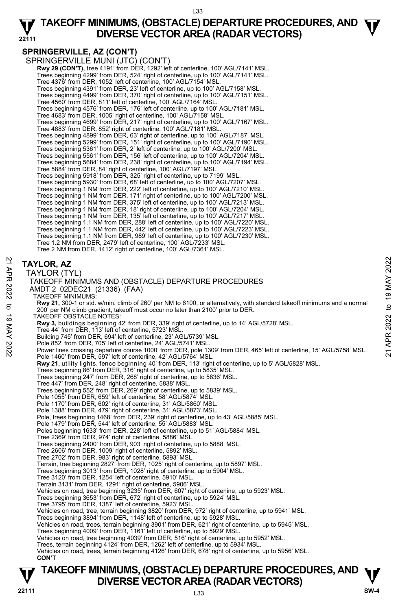## **SPRINGERVILLE, AZ (CON'T)**

SPRINGERVILLE MUNI (JTC) (CON'T) **Rwy 29 (CON'T),** tree 4191' from DER, 1292' left of centerline, 100' AGL/7141' MSL. Trees beginning 4299' from DER, 524' right of centerline, up to 100' AGL/7141' MSL. Tree 4376' from DER, 1052' left of centerline, 100' AGL/7154' MSL. Trees beginning 4391' from DER, 23' left of centerline, up to 100' AGL/7158' MSL. Trees beginning 4499' from DER, 370' right of centerline, up to 100' AGL/7151' MSL. Tree 4560' from DER, 811' left of centerline, 100' AGL/7164' MSL. Trees beginning 4576' from DER, 176' left of centerline, up to 100' AGL/7181' MSL. Tree 4683' from DER, 1005' right of centerline, 100' AGL/7158' MSL. Trees beginning 4699' from DER, 217' right of centerline, up to 100' AGL/7167' MSL. Tree 4883' from DER, 852' right of centerline, 100' AGL/7181' MSL. Trees beginning 4899' from DER, 63' right of centerline, up to 100' AGL/7187' MSL. Trees beginning 5299' from DER, 151' right of centerline, up to 100' AGL/7190' MSL. Trees beginning 5361' from DER, 2' left of centerline, up to 100' AGL/7200' MSL. Trees beginning 5561' from DER, 156' left of centerline, up to 100' AGL/7204' MSL. Trees beginning 5684' from DER, 238' right of centerline, up to 100' AGL/7194' MSL. Tree 5884' from DER, 84' right of centerline, 100' AGL/7197' MSL. Trees beginning 5918' from DER, 325' right of centerline, up to 7199' MSL. Trees beginning 5930' from DER, 68' left of centerline, up to 100' AGL/7207' MSL. Trees beginning 1 NM from DER, 222' left of centerline, up to 100' AGL/7210' MSL. Trees beginning 1 NM from DER, 171' right of centerline, up to 100' AGL/7200' MSL. Trees beginning 1 NM from DER, 375' left of centerline, up to 100' AGL/7213' MSL. Trees beginning 1 NM from DER, 18' right of centerline, up to 100' AGL/7204' MSL. Trees beginning 1 NM from DER, 135' left of centerline, up to 100' AGL/7217' MSL. Trees beginning 1.1 NM from DER, 288' left of centerline, up to 100' AGL/7220' MSL. Trees beginning 1.1 NM from DER, 442' left of centerline, up to 100' AGL/7223' MSL. Trees beginning 1.1 NM from DER, 989' left of centerline, up to 100' AGL/7230' MSL. Tree 1.2 NM from DER, 2479' left of centerline, 100' AGL/7233' MSL. Tree 2 NM from DER, 1412' right of centerline, 100' AGL/7361' MSL.

## **TAYLOR, AZ**

| 21 APR    | 2022<br><b>TAYLOR, AZ</b>                                                                                                                                                                 |
|-----------|-------------------------------------------------------------------------------------------------------------------------------------------------------------------------------------------|
|           | TAYLOR (TYL)                                                                                                                                                                              |
|           | MAY<br>TAKEOFF MINIMUMS AND (OBSTACLE) DEPARTURE PROCEDURES                                                                                                                               |
| 2022      | AMDT 2 02DEC21 (21336) (FAA)                                                                                                                                                              |
|           | $\sigma$<br><b>TAKEOFF MINIMUMS:</b>                                                                                                                                                      |
|           | $\overline{\phantom{0}}$<br>Rwy 21, 300-1 or std. w/min. climb of 260' per NM to 6100, or alternatively, with standard takeoff minimums and a normal                                      |
| ಕ         | þ<br>200' per NM climb gradient, takeoff must occur no later than 2100' prior to DER.                                                                                                     |
| $\vec{0}$ | TAKEOFF OBSTACLE NOTES:                                                                                                                                                                   |
|           | 2022<br>Rwy 3, buildings beginning 42' from DER, 339' right of centerline, up to 14' AGL/5728' MSL.                                                                                       |
|           | Tree 44' from DER, 113' left of centerline, 5723' MSL.                                                                                                                                    |
| MAY 2022  | <b>APR</b><br>Building 745' from DER, 694' left of centerline, 23' AGL/5739' MSL.                                                                                                         |
|           | Pole 852' from DER, 705' left of centerline, 24' AGL/5741' MSL.<br>Power lines crossing departure course 1000' from DER, pole 1309' from DER, 465' left of centerline, 15' AGL/5758' MSL. |
|           | $\overline{2}$<br>Pole 1460' from DER, 597' left of centerline, 42' AGL/5764' MSL.                                                                                                        |
|           | Rwy 21, utility lights, fence beginning 40' from DER, 113' right of centerline, up to 5' AGL/5828' MSL.                                                                                   |
|           | Trees beginning 86' from DER, 316' right of centerline, up to 5835' MSL.                                                                                                                  |
|           | Trees beginning 247' from DER, 268' right of centerline, up to 5836' MSL.                                                                                                                 |
|           | Tree 447' from DER, 248' right of centerline, 5838' MSL.                                                                                                                                  |
|           | Trees beginning 552' from DER, 269' right of centerline, up to 5839' MSL.                                                                                                                 |
|           | Pole 1055' from DER, 659' left of centerline, 58' AGL/5874' MSL.<br>Pole 1170' from DER, 602' right of centerline, 31' AGL/5860' MSL.                                                     |
|           | Pole 1388' from DER, 479' right of centerline, 31' AGL/5873' MSL.                                                                                                                         |
|           | Pole, trees beginning 1468' from DER, 239' right of centerline, up to 43' AGL/5885' MSL.                                                                                                  |
|           | Pole 1479' from DER, 544' left of centerline, 55' AGL/5883' MSL.                                                                                                                          |
|           | Poles beginning 1633' from DER, 228' left of centerline, up to 51' AGL/5884' MSL.                                                                                                         |
|           | Tree 2369' from DER, 974' right of centerline, 5886' MSL.                                                                                                                                 |
|           | Trees beginning 2400' from DER, 903' right of centerline, up to 5888' MSL.                                                                                                                |
|           | Tree 2606' from DER, 1009' right of centerline, 5892' MSL.                                                                                                                                |
|           | Tree 2702' from DER, 983' right of centerline, 5893' MSL.                                                                                                                                 |
|           | Terrain, tree beginning 2827' from DER, 1025' right of centerline, up to 5897' MSL.<br>Trees beginning 3013' from DER, 1028' right of centerline, up to 5904' MSL.                        |
|           | Tree 3120' from DER, 1254' left of centerline, 5910' MSL.                                                                                                                                 |
|           | Terrain 3131' from DER, 1291' right of centerline, 5906' MSL.                                                                                                                             |
|           | Vehicles on road, tree beginning 3235' from DER, 607' right of centerline, up to 5923' MSL.                                                                                               |
|           | Trees beginning 3653' from DER, 672' right of centerline, up to 5924' MSL.                                                                                                                |
|           | Tree 3795' from DER, 1387' left of centerline, 5923' MSL.                                                                                                                                 |
|           | Vehicles on road, tree, terrain beginning 3820' from DER, 972' right of centerline, up to 5941' MSL.                                                                                      |
|           | Trees beginning 3894' from DER, 1148' left of centerline, up to 5928' MSL.                                                                                                                |
|           | Vehicles on road, trees, terrain beginning 3901' from DER, 621' right of centerline, up to 5945' MSL.                                                                                     |
|           | Trees beginning 4009' from DER, 1161' left of centerline, up to 5929' MSL.<br>Vehicles on road, tree beginning 4039' from DER, 516' right of centerline, up to 5952' MSL.                 |
|           | Trees, terrain beginning 4124' from DER, 1262' left of centerline, up to 5934' MSL.                                                                                                       |
|           | Vehicles on road, trees, terrain beginning 4126' from DER, 678' right of centerline, up to 5956' MSL.                                                                                     |
|           | <b>CON'T</b>                                                                                                                                                                              |
|           | /-^-- ·<br>.                                                                                                                                                                              |

## **TAKEOFF MINIMUMS, (OBSTACLE) DEPARTURE PROCEDURES, AND**  $\Psi$ **<br>DIVERSE VECTOR AREA (RADAR VECTORS) DIVERSE VECTOR AREA (RADAR VECTORS) V**<br>22111 SW-4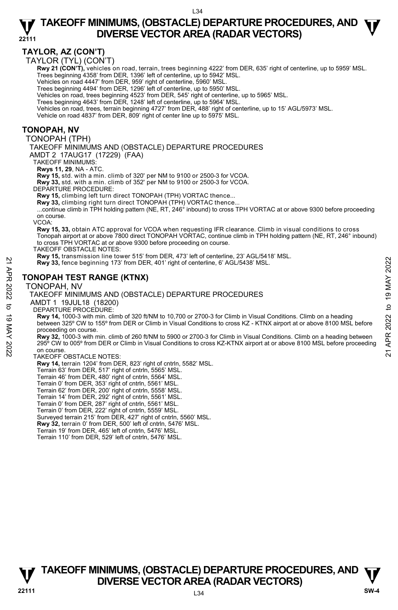## **TAYLOR, AZ (CON'T)**

TAYLOR (TYL) (CON'T)

Rwy 21 (CON'T), vehicles on road, terrain, trees beginning 4222' from DER, 635' right of centerline, up to 5959' MSL. Trees beginning 4358' from DER, 1396' left of centerline, up to 5942' MSL.

Vehicles on road 4447' from DER, 959' right of centerline, 5960' MSL.

Trees beginning 4494' from DER, 1296' left of centerline, up to 5950' MSL. Vehicles on road, trees beginning 4523' from DER, 545' right of centerline, up to 5965' MSL.

Trees beginning 4643' from DER, 1248' left of centerline, up to 5964' MSL.

Vehicles on road, trees, terrain beginning 4727' from DER, 488' right of centerline, up to 15' AGL/5973' MSL.

Vehicle on road 4837' from DER, 809' right of center line up to 5975' MSL.

### **TONOPAH, NV**

TONOPAH (TPH)

TAKEOFF MINIMUMS AND (OBSTACLE) DEPARTURE PROCEDURES

AMDT 2 17AUG17 (17229) (FAA)

TAKEOFF MINIMUMS:

**Rwys 11, 29**, NA - ATC.

**Rwy 15,** std. with a min. climb of 320' per NM to 9100 or 2500-3 for VCOA.

**Rwy 33,** std. with a min. climb of 352' per NM to 9100 or 2500-3 for VCOA. DEPARTURE PROCEDURE:

**Rwy 15,** climbing left turn direct TONOPAH (TPH) VORTAC thence...

**Rwy 33,** climbing right turn direct TONOPAH (TPH) VORTAC thence...

...continue climb in TPH holding pattern (NE, RT, 246 $^{\circ}$  inbound) to cross TPH VORTAC at or above 9300 before proceeding on course.

VCOA:

**Rwy 15, 33,** obtain ATC approval for VCOA when requesting IFR clearance. Climb in visual conditions to cross Tonopah airport at or above 7800 direct TONOPAH VORTAC, continue climb in TPH holding pattern (NE, RT, 246° inbound) to cross TPH VORTAC at or above 9300 before proceeding on course.

TAKEOFF OBSTACLE NOTES:

**Rwy 15,** transmission line tower 515' from DER, 473' left of centerline, 23' AGL/5418' MSL.

**Rwy 33,** fence beginning 173' from DER, 401' right of centerline, 6' AGL/5438' MSL.

### **TONOPAH TEST RANGE (KTNX)**

TONOPAH, NV

#### TAKEOFF MINIMUMS AND (OBSTACLE) DEPARTURE PROCEDURES

AMDT 1 19JUL18 (18200)

DEPARTURE PROCEDURE:

**Rwy 14,** 1000-3 with min. climb of 320 ft/NM to 10,700 or 2700-3 for Climb in Visual Conditions. Climb on a heading between 325º CW to 155º from DER or Climb in Visual Conditions to cross KZ - KTNX airport at or above 8100 MSL before proceeding on course. **21**<br> **221 ANY 33, fence beginning 173' from DER, 401' right of centerline, 6' AGL/5438' MSL.<br>
<b>221 TONOPAH TEST RANGE (KTNX)**<br> **221 TONOPAH, NV**<br> **221 TONOPAH, NV**<br> **221 TONOPAH, NV**<br> **221 TONOPAH, NV**<br> **221 TONOPAH TEST** 

**Rwy 32,** 1000-3 with min. climb of 260 ft/NM to 5900 or 2700-3 for Climb in Visual Conditions. Climb on a heading between 295º CW to 005º from DER or Climb in Visual Conditions to cross KZ-KTNX airport at or above 8100 MSL before proceeding on course.

#### TAKEOFF OBSTACLE NOTES:

**Rwy 14,** terrain 1204' from DER, 823' right of cntrln, 5582' MSL.

Terrain 63' from DER, 517' right of cntrln, 5565' MSL. Terrain 46' from DER, 480' right of cntrln, 5564' MSL.

Terrain 0' from DER, 353' right of cntrln, 5561' MSL.

Terrain 62' from DER, 200' right of cntrln, 5558' MSL. Terrain 14' from DER, 292' right of cntrln, 5561' MSL.

Terrain 0' from DER, 287' right of cntrln, 5561' MSL.

Terrain 0' from DER, 222' right of cntrln, 5559' MSL. Surveyed terrain 215' from DER, 427' right of cntrln, 5560' MSL.

**Rwy 32,** terrain 0' from DER, 500' left of cntrln, 5476' MSL.

Terrain 19' from DER, 465' left of cntrln, 5476' MSL.

Terrain 110' from DER, 529' left of cntrln, 5476' MSL.

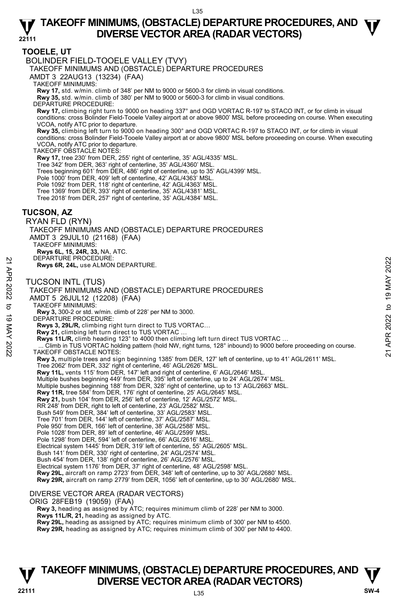## **TOOELE, UT**

BOLINDER FIELD-TOOELE VALLEY (TVY)

TAKEOFF MINIMUMS AND (OBSTACLE) DEPARTURE PROCEDURES

AMDT 3 22AUG13 (13234) (FAA)

TAKEOFF MINIMUMS:

**Rwy 17,** std. w/min. climb of 348' per NM to 9000 or 5600-3 for climb in visual conditions. **Rwy 35,** std. w/min. climb of 380' per NM to 9000 or 5600-3 for climb in visual conditions.

DEPARTURE PROCEDURE:

**Rwy 17,** climbing right turn to 9000 on heading 337° and OGD VORTAC R-197 to STACO INT, or for climb in visual conditions: cross Bolinder Field-Tooele Valley airport at or above 9800' MSL before proceeding on course. When executing VCOA, notify ATC prior to departure.

**Rwy 35,** climbing left turn to 9000 on heading 300° and OGD VORTAC R-197 to STACO INT, or for climb in visual conditions: cross Bolinder Field-Tooele Valley airport at or above 9800' MSL before proceeding on course. When executing VCOA, notify ATC prior to departure.

TAKEOFF OBSTACLE NOTES:

**Rwy 17,** tree 230' from DER, 255' right of centerline, 35' AGL/4335' MSL.

Tree 342' from DER, 363' right of centerline, 35' AGL/4360' MSL.

Trees beginning 601' from DER, 486' right of centerline, up to 35' AGL/4399' MSL.

Pole 1000' from DER, 409' left of centerline, 42' AGL/4363' MSL.

Pole 1092' from DER, 118' right of centerline, 42' AGL/4363' MSL. Tree 1369' from DER, 393' right of centerline, 35' AGL/4381' MSL.

Tree 2018' from DER, 257' right of centerline, 35' AGL/4384' MSL.

### **TUCSON, AZ**

RYAN FLD (RYN) TAKEOFF MINIMUMS AND (OBSTACLE) DEPARTURE PROCEDURES AMDT 3 29JUL10 (21168) (FAA) TAKEOFF MINIMUMS: **Rwys 6L, 15, 24R, 33,** NA, ATC. DEPARTURE PROCEDURE:

**Rwys 6R, 24L,** use ALMON DEPARTURE.

TUCSON INTL (TUS)



## **TAKEOFF MINIMUMS, (OBSTACLE) DEPARTURE PROCEDURES, AND**  $\Psi$ **<br>DIVERSE VECTOR AREA (RADAR VECTORS) V** DIVERSE VECTOR AREA (RADAR VECTORS) W SW-4 **SW-4**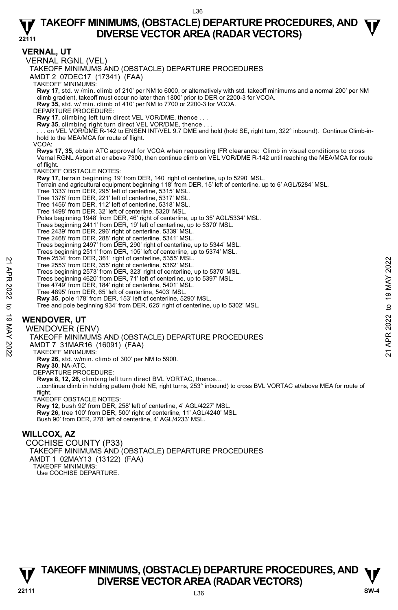**VERNAL, UT**  VERNAL RGNL (VEL) TAKEOFF MINIMUMS AND (OBSTACLE) DEPARTURE PROCEDURES AMDT 2 07DEC17 (17341) (FAA) TAKEOFF MINIMUMS: **Rwy 17,** std. w /min. climb of 210' per NM to 6000, or alternatively with std. takeoff minimums and a normal 200' per NM climb gradient, takeoff must occur no later than 1800' prior to DER or 2200-3 for VCOA. **Rwy 35,** std. w/ min. climb of 410' per NM to 7700 or 2200-3 for VCOA. DEPARTURE PROCEDURE: **Rwy 17,** climbing left turn direct VEL VOR/DME, thence . . . **Rwy 35,** climbing right turn direct VEL VOR/DME, thence . . . . . . on VEL VOR/DME R-142 to ENSEN INT/VEL 9.7 DME and hold (hold SE, right turn, 322° inbound). Continue Climb-inhold to the MEA/MCA for route of flight. VCOA: **Rwys 17, 35,** obtain ATC approval for VCOA when requesting IFR clearance: Climb in visual conditions to cross Vernal RGNL Airport at or above 7300, then continue climb on VEL VOR/DME R-142 until reaching the MEA/MCA for route of flight. TAKEOFF OBSTACLE NOTES: **Rwy 17,** terrain beginning 19' from DER, 140' right of centerline, up to 5290' MSL. Terrain and agricultural equipment beginning 118' from DER, 15' left of centerline, up to 6' AGL/5284' MSL.<br>Tree 1333' from DER, 295' left of centerline, 5315' MSL.<br>Tree 1378' from DER, 221' left of centerline, 5317' MSL. Tree 1456' from DER, 112' left of centerline, 5318' MSL. Tree 1498' from DER, 32' left of centerline, 5320' MSL. Poles beginning 1948' from DER, 46' right of centerline, up to 35' AGL/5334' MSL. Trees beginning 2411' from DER, 19' left of centerline, up to 5370' MSL. Tree 2439' from DER, 296' right of centerline, 5339' MSL. Tree 2468' from DER, 288' right of centerline, 5341' MSL. Trees beginning 2497' from DER, 290' right of centerline, up to 5344' MSL. Trees beginning 2511' from DER, 105' left of centerline, up to 5374' MSL. **T**ree 2534' from DER, 361' right of centerline, 5355' MSL. Tree 2553' from DER, 355' right of centerline, 5362' MSL. Trees beginning 2573' from DER, 323' right of centerline, up to 5370' MSL. Trees beginning 4620' from DER, 71' left of centerline, up to 5397' MSL. Tree 4749' from DER, 184' right of centerline, 5401' MSL. Tree 4895' from DER, 65' left of centerline, 5403' MSL. **Rwy 35,** pole 178' from DER, 153' left of centerline, 5290' MSL. Tree and pole beginning 934' from DER, 625' right of centerline, up to 5302' MSL. **WENDOVER, UT**  WENDOVER (ENV) TAKEOFF MINIMUMS AND (OBSTACLE) DEPARTURE PROCEDURES AMDT 7 31MAR16 (16091) (FAA) TAKEOFF MINIMUMS: **Rwy 26,** std. w/min. climb of 300' per NM to 5900. **Rwy 30**, NA-ATC. DEPARTURE PROCEDURE: **Rwys 8, 12, 26,** climbing left turn direct BVL VORTAC, thence… ...continue climb in holding pattern (hold NE, right turns, 253° inbound) to cross BVL VORTAC at/above MEA for route of flight. TAKEOFF OBSTACLE NOTES: **Rwy 12,** bush 92' from DER, 258' left of centerline, 4' AGL/4227' MSL. **Rwy 26,** tree 100' from DER, 500' right of centerline, 11' AGL/4240' MSL. Bush 90' from DER, 278' left of centerline, 4' AGL/4233' MSL. **WILLCOX, AZ**  COCHISE COUNTY (P33) TAKEOFF MINIMUMS AND (OBSTACLE) DEPARTURE PROCEDURES Tree 2533 from DER, 355 right of centerline, 5362' MSL.<br>
Tree 2553' from DER, 355' right of centerline, up to 5370' MSL.<br>
Trees beginning 4520' from DER, 71' left of centerline, up to 5370' MSL.<br>
Trees beginning 4620' from

**TAKEOFF MINIMUMS, (OBSTACLE) DEPARTURE PROCEDURES, AND**  $\Psi$ **<br>DIVERSE VECTOR AREA (RADAR VECTORS) V** DIVERSE VECTOR AREA (RADAR VECTORS) V<br>22111 SW-4

AMDT 1 02MAY13 (13122) (FAA)

TAKEOFF MINIMUMS: Use COCHISE DEPARTURE.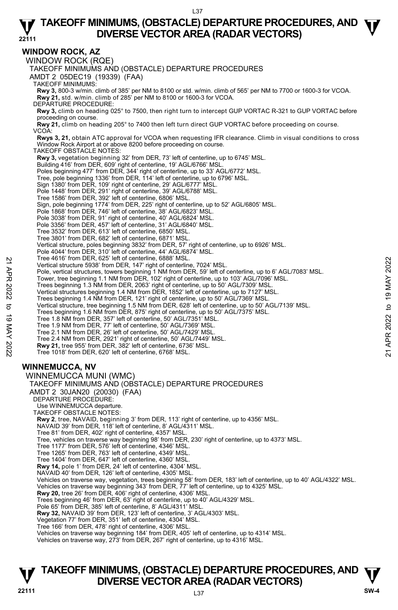### **WINDOW ROCK, AZ**

WINDOW ROCK (RQE) TAKEOFF MINIMUMS AND (OBSTACLE) DEPARTURE PROCEDURES AMDT 2 05DEC19 (19339) (FAA) TAKEOFF MINIMUMS: **Rwy 3,** 800-3 w/min. climb of 385' per NM to 8100 or std. w/min. climb of 565' per NM to 7700 or 1600-3 for VCOA. **Rwy 21,** std. w/min. climb of 285' per NM to 8100 or 1600-3 for VCOA. DEPARTURE PROCEDURE: **Rwy 3,** climb on heading 025° to 7500, then right turn to intercept GUP VORTAC R-321 to GUP VORTAC before proceeding on course. **Rwy 21,** climb on heading 205° to 7400 then left turn direct GUP VORTAC before proceeding on course. VCOA: **Rwys 3, 21,** obtain ATC approval for VCOA when requesting IFR clearance. Climb in visual conditions to cross Window Rock Airport at or above 8200 before proceeding on course. TAKEOFF OBSTACLE NOTES: **Rwy 3,** vegetation beginning 32' from DER, 73' left of centerline, up to 6745' MSL. Building 416' from DER, 609' right of centerline, 19' AGL/6766' MSL Poles beginning 477' from DER, 344' right of centerline, up to 33' AGL/6772' MSL. Tree, pole beginning 1336' from DER, 114' left of centerline, up to 6796' MSL. Sign 1380' from DER, 109' right of centerline, 29' AGL/6777' MSL.<br>Pole 1448' from DER, 291' right of centerline, 39' AGL/6788' MSL.<br>Tree 1586' from DER, 392' left of centerline, 6806' MSL. Sign, pole beginning 1774' from DER, 225' right of centerline, up to 52' AGL/6805' MSL. Pole 1868' from DER, 746' left of centerline, 38' AGL/6823' MSL. Pole 3038' from DER, 91' right of centerline, 40' AGL/6824' MSL. Pole 3356' from DER, 457' left of centerline, 31' AGL/6840' MSL. Tree 3532' from DER, 613' left of centerline, 6850' MSL. Tree 3801' from DER, 682' left of centerline, 6871' MSL. Vertical structure, poles beginning 3832' from DER, 57' right of centerline, up to 6926' MSL. Pole 4044' from DER, 310' left of centerline, 44' AGL/6874' MSL. Tree 4616' from DER, 625' left of centerline, 6888' MSL. Vertical structure 5938' from DER, 147' right of centerline, 7024' MSL. Pole, vertical structures, towers beginning 1 NM from DER, 59' left of centerline, up to 6' AGL/7083' MSL.<br>Tower, tree beginning 1.1 NM from DER, 102' right of centerline, up to 103' AGL/7096' MSL. Trees beginning 1.3 NM from DER, 2063' right of centerline, up to 50' AGL/7309' MSL. Vertical structures beginning 1.4 NM from DER, 1852' left of centerline, up to 7127' MSL. Trees beginning 1.4 NM from DER, 121' right of centerline, up to 50' AGL/7369' MSL. Vertical structure, tree beginning 1.5 NM from DER, 628' left of centerline, up to 50' AGL/7139' MSL. Trees beginning 1.6 NM from DER, 875' right of centerline, up to 50' AGL/7375' MSL. Tree 1.8 NM from DER, 357' left of centerline, 50' AGL/7351' MSL. Tree 1.9 NM from DER, 77' left of centerline, 50' AGL/7369' MSL. Tree 2.1 NM from DER, 26' left of centerline, 50' AGL/7429' MSL. Tree 2.4 NM from DER, 2921' right of centerline, 50' AGL/7449' MSL. **Rwy 21,** tree 955' from DER, 382' left of centerline, 6736' MSL. Tree 1018' from DER, 620' left of centerline, 6768' MSL. **WINNEMUCCA, NV**  WINNEMUCCA MUNI (WMC) TAKEOFF MINIMUMS AND (OBSTACLE) DEPARTURE PROCEDURES AMDT 2 30JAN20 (20030) (FAA) DEPARTURE PROCEDURE: Use WINNEMUCCA departure. TAKEOFF OBSTACLE NOTES: **Rwy 2**, tree, NAVAID, beginning 3' from DER, 113' right of centerline, up to 4356' MSL. NAVAID 39' from DER, 118' left of centerline, 8' AGL/4311' MSL. Tree 81' from DER, 402' right of centerline, 4357' MSL. Tree, vehicles on traverse way beginning 98' from DER, 230' right of centerline, up to 4373' MSL. Tree 1177' from DER, 576' left of centerline, 4346' MSL. Tree 1265' from DER, 763' left of centerline, 4349' MSL. Tree 1404' from DER, 647' left of centerline, 4360' MSL. **Rwy 14,** pole 1' from DER, 24' left of centerline, 4304' MSL. NAVAID 40' from DER, 126' left of centerline, 4305' MSL. Vehicles on traverse way, vegetation, trees beginning 58' from DER, 183' left of centerline, up to 40' AGL/4322' MSL.<br>Vehicles on traverse way beginning 343' from DER, 77' left of centerline, up to 4325' MSL. **Rwy 20,** tree 26' from DER, 406' right of centerline, 4306' MSL. Trees beginning 46' from DER, 63' right of centerline, up to 40' AGL/4329' MSL. Pole 65' from DER, 385' left of centerline, 8' AGL/4311' MSL. **Rwy 32,** NAVAID 39' from DER, 123' left of centerline, 3' AGL/4303' MSL. Vegetation 77' from DER, 351' left of centerline, 4304' MSL. Tree 166' from DER, 478' right of centerline, 4306' MSL. Vehicles on traverse way beginning 184' from DER, 405' left of centerline, up to 4314' MSL. Vehicles on traverse way, 273' from DER, 267' right of centerline, up to 4316' MSL. Vertical structure 5938' from DER, 147' right of centerline, 7024' MSL.<br>
Yertical structure 5938' from DER, 147' right of centerline, 7024' MSL.<br>
Tower, tree beginning 1.1 MM from DER, 199' right of centerline, up to 103'

## **TAKEOFF MINIMUMS, (OBSTACLE) DEPARTURE PROCEDURES, AND**  $\Psi$ **<br>DIVERSE VECTOR AREA (RADAR VECTORS) V** DIVERSE VECTOR AREA (RADAR VECTORS) V<br>22111 SW-4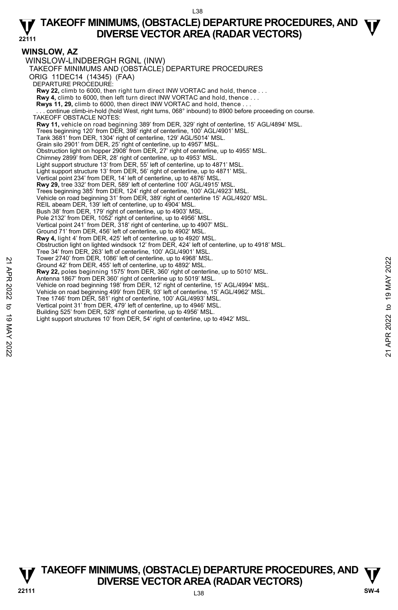### **WINSLOW, AZ**

WINSLOW-LINDBERGH RGNL (INW) TAKEOFF MINIMUMS AND (OBSTACLE) DEPARTURE PROCEDURES ORIG 11DEC14 (14345) (FAA) DEPARTURE PROCEDURE: **Rwy 22,** climb to 6000, then right turn direct INW VORTAC and hold, thence . . . **Rwy 4,** climb to 6000, then left turn direct INW VORTAC and hold, thence . . . **Rwys 11, 29,** climb to 6000, then direct INW VORTAC and hold, thence . . . . continue climb-in-hold (hold West, right turns, 068° inbound) to 8900 before proceeding on course. TAKEOFF OBSTACLE NOTES: **Rwy 11,** vehicle on road beginning 389' from DER, 329' right of centerline, 15' AGL/4894' MSL. Trees beginning 120' from DER, 398' right of centerline, 100' AGL/4901' MSL. Tank 3681' from DER, 1304' right of centerline, 129' AGL/5014' MSL. Grain silo 2901' from DER, 25' right of centerline, up to 4957' MSL. Obstruction light on hopper 2908' from DER, 27' right of centerline, up to 4955' MSL. Chimney 2899' from DER, 28' right of centerline, up to 4953' MSL. Light support structure 13' from DER, 55' left of centerline, up to 4871' MSL. Light support structure 13' from DER, 56' right of centerline, up to 4871' MSL. Vertical point 234' from DER, 14' left of centerline, up to 4876' MSL. **Rwy 29,** tree 332' from DER, 589' left of centerline 100' AGL/4915' MSL. Trees beginning 385' from DER, 124' right of centerline, 100' AGL/4923' MSL. Vehicle on road beginning 31' from DER, 389' right of centerline 15' AGL/4920' MSL. REIL abeam DER, 139' left of centerline, up to 4904' MSL. Bush 38' from DER, 179' right of centerline, up to 4903' MSL. Pole 2132' from DER, 1052' right of centerline, up to 4956' MSL. Vertical point 241' from DER, 318' right of centerline, up to 4907' MSL. Ground 71' from DER, 456' left of centerline, up to 4902' MSL. **Rwy 4,** light 4' from DER, 425' left of centerline, up to 4920' MSL. Obstruction light on lighted windsock 12' from DER, 424' left of centerline, up to 4918' MSL. Tree 34' from DER, 263' left of centerline, 100' AGL/4901' MSL. Tower 2740' from DER, 1086' left of centerline, up to 4968' MSL. Ground 42' from DER, 455' left of centerline, up to 4892' MSL. **Rwy 22,** poles beginning 1575' from DER, 360' right of centerline, up to 5010' MSL. Antenna 1867' from DER 360' right of centerline up to 5019' MSL. Vehicle on road beginning 198' from DER, 12' right of centerline, 15' AGL/4994' MSL. Vehicle on road beginning 499' from DER, 93' left of centerline, 15' AGL/4962' MSL. Tree 1746' from DER, 581' right of centerline, 100' AGL/4993' MSL. Vertical point 31' from DER, 479' left of centerline, up to 4946' MSL. Building 525' from DER, 528' right of centerline, up to 4956' MSL. Light support structures 10' from DER, 54' right of centerline, up to 4942' MSL. 22 I ower 2/40 Trom DER, 455' left of centerline, up to 4982' MSL.<br>
26 Ground 42' from DER, 455' left of centerline, up to 4892' MSL.<br>
27 Antenna 1867' from DER, 360' right of centerline, up to 5010' MSL.<br>
22 Antenna 1867